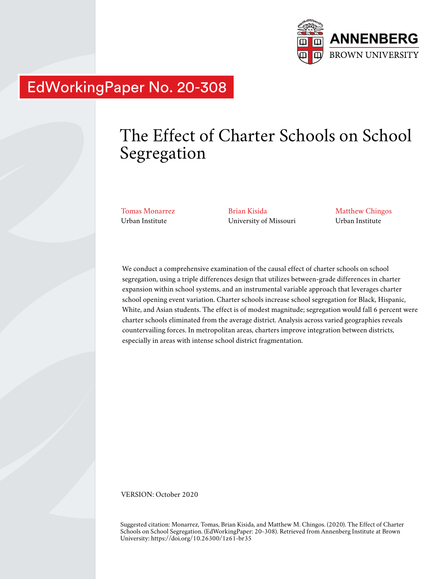

# EdWorkingPaper No. 20-308

# The Effect of Charter Schools on School Segregation

Tomas Monarrez Urban Institute

Brian Kisida University of Missouri

Matthew Chingos Urban Institute

We conduct a comprehensive examination of the causal effect of charter schools on school segregation, using a triple differences design that utilizes between-grade differences in charter expansion within school systems, and an instrumental variable approach that leverages charter school opening event variation. Charter schools increase school segregation for Black, Hispanic, White, and Asian students. The effect is of modest magnitude; segregation would fall 6 percent were charter schools eliminated from the average district. Analysis across varied geographies reveals countervailing forces. In metropolitan areas, charters improve integration between districts, especially in areas with intense school district fragmentation.

VERSION: October 2020

Suggested citation: Monarrez, Tomas, Brian Kisida, and Matthew M. Chingos. (2020). The Effect of Charter Schools on School Segregation. (EdWorkingPaper: 20-308). Retrieved from Annenberg Institute at Brown University: https://doi.org/10.26300/1z61-br35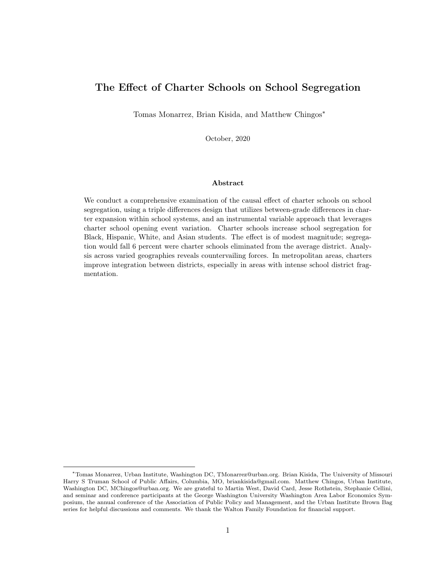# The Effect of Charter Schools on School Segregation

Tomas Monarrez, Brian Kisida, and Matthew Chingos<sup>∗</sup>

October, 2020

#### Abstract

We conduct a comprehensive examination of the causal effect of charter schools on school segregation, using a triple differences design that utilizes between-grade differences in charter expansion within school systems, and an instrumental variable approach that leverages charter school opening event variation. Charter schools increase school segregation for Black, Hispanic, White, and Asian students. The effect is of modest magnitude; segregation would fall 6 percent were charter schools eliminated from the average district. Analysis across varied geographies reveals countervailing forces. In metropolitan areas, charters improve integration between districts, especially in areas with intense school district fragmentation.

<sup>∗</sup>Tomas Monarrez, Urban Institute, Washington DC, TMonarrez@urban.org. Brian Kisida, The University of Missouri Harry S Truman School of Public Affairs, Columbia, MO, briankisida@gmail.com. Matthew Chingos, Urban Institute, Washington DC, MChingos@urban.org. We are grateful to Martin West, David Card, Jesse Rothstein, Stephanie Cellini, and seminar and conference participants at the George Washington University Washington Area Labor Economics Symposium, the annual conference of the Association of Public Policy and Management, and the Urban Institute Brown Bag series for helpful discussions and comments. We thank the Walton Family Foundation for financial support.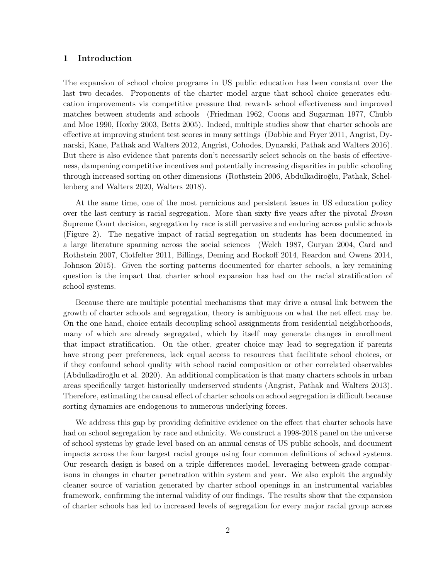# 1 Introduction

The expansion of school choice programs in US public education has been constant over the last two decades. Proponents of the charter model argue that school choice generates education improvements via competitive pressure that rewards school effectiveness and improved matches between students and schools (Friedman 1962, Coons and Sugarman 1977, Chubb and Moe 1990, Hoxby 2003, Betts 2005). Indeed, multiple studies show that charter schools are effective at improving student test scores in many settings (Dobbie and Fryer 2011, Angrist, Dynarski, Kane, Pathak and Walters 2012, Angrist, Cohodes, Dynarski, Pathak and Walters 2016). But there is also evidence that parents don't necessarily select schools on the basis of effectiveness, dampening competitive incentives and potentially increasing disparities in public schooling through increased sorting on other dimensions (Rothstein 2006, Abdulkadiroğlu, Pathak, Schellenberg and Walters 2020, Walters 2018).

At the same time, one of the most pernicious and persistent issues in US education policy over the last century is racial segregation. More than sixty five years after the pivotal Brown Supreme Court decision, segregation by race is still pervasive and enduring across public schools (Figure 2). The negative impact of racial segregation on students has been documented in a large literature spanning across the social sciences (Welch 1987, Guryan 2004, Card and Rothstein 2007, Clotfelter 2011, Billings, Deming and Rockoff 2014, Reardon and Owens 2014, Johnson 2015). Given the sorting patterns documented for charter schools, a key remaining question is the impact that charter school expansion has had on the racial stratification of school systems.

Because there are multiple potential mechanisms that may drive a causal link between the growth of charter schools and segregation, theory is ambiguous on what the net effect may be. On the one hand, choice entails decoupling school assignments from residential neighborhoods, many of which are already segregated, which by itself may generate changes in enrollment that impact stratification. On the other, greater choice may lead to segregation if parents have strong peer preferences, lack equal access to resources that facilitate school choices, or if they confound school quality with school racial composition or other correlated observables (Abdulkadiroğlu et al. 2020). An additional complication is that many charters schools in urban areas specifically target historically underserved students (Angrist, Pathak and Walters 2013). Therefore, estimating the causal effect of charter schools on school segregation is difficult because sorting dynamics are endogenous to numerous underlying forces.

We address this gap by providing definitive evidence on the effect that charter schools have had on school segregation by race and ethnicity. We construct a 1998-2018 panel on the universe of school systems by grade level based on an annual census of US public schools, and document impacts across the four largest racial groups using four common definitions of school systems. Our research design is based on a triple differences model, leveraging between-grade comparisons in changes in charter penetration within system and year. We also exploit the arguably cleaner source of variation generated by charter school openings in an instrumental variables framework, confirming the internal validity of our findings. The results show that the expansion of charter schools has led to increased levels of segregation for every major racial group across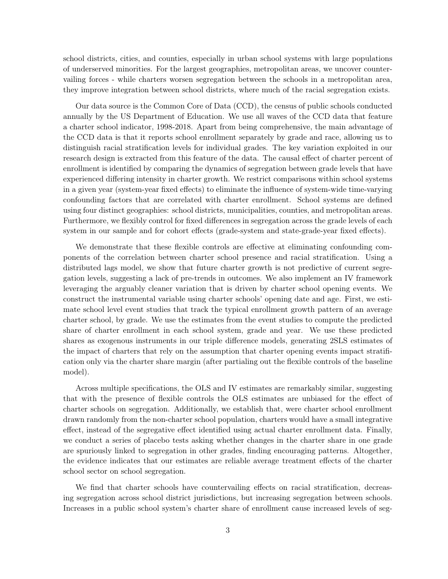school districts, cities, and counties, especially in urban school systems with large populations of underserved minorities. For the largest geographies, metropolitan areas, we uncover countervailing forces - while charters worsen segregation between the schools in a metropolitan area, they improve integration between school districts, where much of the racial segregation exists.

Our data source is the Common Core of Data (CCD), the census of public schools conducted annually by the US Department of Education. We use all waves of the CCD data that feature a charter school indicator, 1998-2018. Apart from being comprehensive, the main advantage of the CCD data is that it reports school enrollment separately by grade and race, allowing us to distinguish racial stratification levels for individual grades. The key variation exploited in our research design is extracted from this feature of the data. The causal effect of charter percent of enrollment is identified by comparing the dynamics of segregation between grade levels that have experienced differing intensity in charter growth. We restrict comparisons within school systems in a given year (system-year fixed effects) to eliminate the influence of system-wide time-varying confounding factors that are correlated with charter enrollment. School systems are defined using four distinct geographies: school districts, municipalities, counties, and metropolitan areas. Furthermore, we flexibly control for fixed differences in segregation across the grade levels of each system in our sample and for cohort effects (grade-system and state-grade-year fixed effects).

We demonstrate that these flexible controls are effective at eliminating confounding components of the correlation between charter school presence and racial stratification. Using a distributed lags model, we show that future charter growth is not predictive of current segregation levels, suggesting a lack of pre-trends in outcomes. We also implement an IV framework leveraging the arguably cleaner variation that is driven by charter school opening events. We construct the instrumental variable using charter schools' opening date and age. First, we estimate school level event studies that track the typical enrollment growth pattern of an average charter school, by grade. We use the estimates from the event studies to compute the predicted share of charter enrollment in each school system, grade and year. We use these predicted shares as exogenous instruments in our triple difference models, generating 2SLS estimates of the impact of charters that rely on the assumption that charter opening events impact stratification only via the charter share margin (after partialing out the flexible controls of the baseline model).

Across multiple specifications, the OLS and IV estimates are remarkably similar, suggesting that with the presence of flexible controls the OLS estimates are unbiased for the effect of charter schools on segregation. Additionally, we establish that, were charter school enrollment drawn randomly from the non-charter school population, charters would have a small integrative effect, instead of the segregative effect identified using actual charter enrollment data. Finally, we conduct a series of placebo tests asking whether changes in the charter share in one grade are spuriously linked to segregation in other grades, finding encouraging patterns. Altogether, the evidence indicates that our estimates are reliable average treatment effects of the charter school sector on school segregation.

We find that charter schools have countervailing effects on racial stratification, decreasing segregation across school district jurisdictions, but increasing segregation between schools. Increases in a public school system's charter share of enrollment cause increased levels of seg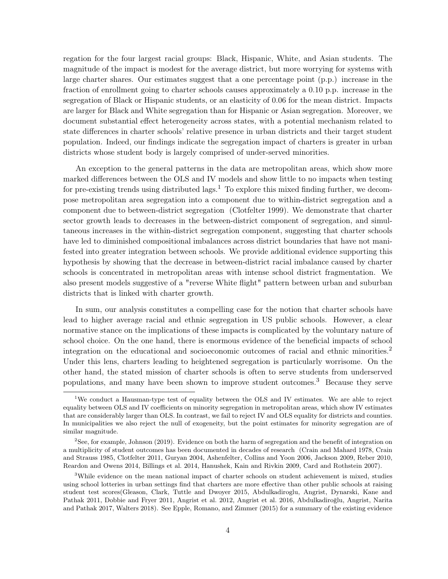regation for the four largest racial groups: Black, Hispanic, White, and Asian students. The magnitude of the impact is modest for the average district, but more worrying for systems with large charter shares. Our estimates suggest that a one percentage point (p.p.) increase in the fraction of enrollment going to charter schools causes approximately a 0.10 p.p. increase in the segregation of Black or Hispanic students, or an elasticity of 0.06 for the mean district. Impacts are larger for Black and White segregation than for Hispanic or Asian segregation. Moreover, we document substantial effect heterogeneity across states, with a potential mechanism related to state differences in charter schools' relative presence in urban districts and their target student population. Indeed, our findings indicate the segregation impact of charters is greater in urban districts whose student body is largely comprised of under-served minorities.

An exception to the general patterns in the data are metropolitan areas, which show more marked differences between the OLS and IV models and show little to no impacts when testing for pre-existing trends using distributed lags.<sup>1</sup> To explore this mixed finding further, we decompose metropolitan area segregation into a component due to within-district segregation and a component due to between-district segregation (Clotfelter 1999). We demonstrate that charter sector growth leads to decreases in the between-district component of segregation, and simultaneous increases in the within-district segregation component, suggesting that charter schools have led to diminished compositional imbalances across district boundaries that have not manifested into greater integration between schools. We provide additional evidence supporting this hypothesis by showing that the decrease in between-district racial imbalance caused by charter schools is concentrated in metropolitan areas with intense school district fragmentation. We also present models suggestive of a "reverse White flight" pattern between urban and suburban districts that is linked with charter growth.

In sum, our analysis constitutes a compelling case for the notion that charter schools have lead to higher average racial and ethnic segregation in US public schools. However, a clear normative stance on the implications of these impacts is complicated by the voluntary nature of school choice. On the one hand, there is enormous evidence of the beneficial impacts of school integration on the educational and socioeconomic outcomes of racial and ethnic minorities.<sup>2</sup> Under this lens, charters leading to heightened segregation is particularly worrisome. On the other hand, the stated mission of charter schools is often to serve students from underserved populations, and many have been shown to improve student outcomes.3 Because they serve

<sup>&</sup>lt;sup>1</sup>We conduct a Hausman-type test of equality between the OLS and IV estimates. We are able to reject equality between OLS and IV coefficients on minority segregation in metropolitan areas, which show IV estimates that are considerably larger than OLS. In contrast, we fail to reject IV and OLS equality for districts and counties. In municipalities we also reject the null of exogeneity, but the point estimates for minority segregation are of similar magnitude.

<sup>2</sup>See, for example, Johnson (2019). Evidence on both the harm of segregation and the benefit of integration on a multiplicity of student outcomes has been documented in decades of research (Crain and Mahard 1978, Crain and Strauss 1985, Clotfelter 2011, Guryan 2004, Ashenfelter, Collins and Yoon 2006, Jackson 2009, Reber 2010, Reardon and Owens 2014, Billings et al. 2014, Hanushek, Kain and Rivkin 2009, Card and Rothstein 2007).

<sup>&</sup>lt;sup>3</sup>While evidence on the mean national impact of charter schools on student achievement is mixed, studies using school lotteries in urban settings find that charters are more effective than other public schools at raising student test scores(Gleason, Clark, Tuttle and Dwoyer 2015, Abdulkadiroglu, Angrist, Dynarski, Kane and Pathak 2011, Dobbie and Fryer 2011, Angrist et al. 2012, Angrist et al. 2016, Abdulkadiroğlu, Angrist, Narita and Pathak 2017, Walters 2018). See Epple, Romano, and Zimmer (2015) for a summary of the existing evidence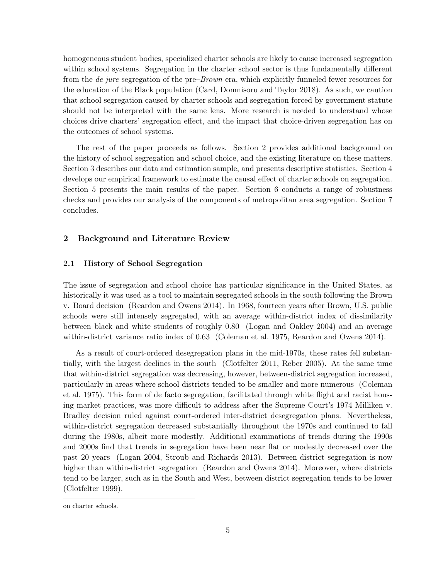homogeneous student bodies, specialized charter schools are likely to cause increased segregation within school systems. Segregation in the charter school sector is thus fundamentally different from the de jure segregation of the pre–Brown era, which explicitly funneled fewer resources for the education of the Black population (Card, Domnisoru and Taylor 2018). As such, we caution that school segregation caused by charter schools and segregation forced by government statute should not be interpreted with the same lens. More research is needed to understand whose choices drive charters' segregation effect, and the impact that choice-driven segregation has on the outcomes of school systems.

The rest of the paper proceeds as follows. Section 2 provides additional background on the history of school segregation and school choice, and the existing literature on these matters. Section 3 describes our data and estimation sample, and presents descriptive statistics. Section 4 develops our empirical framework to estimate the causal effect of charter schools on segregation. Section 5 presents the main results of the paper. Section 6 conducts a range of robustness checks and provides our analysis of the components of metropolitan area segregation. Section 7 concludes.

# 2 Background and Literature Review

#### 2.1 History of School Segregation

The issue of segregation and school choice has particular significance in the United States, as historically it was used as a tool to maintain segregated schools in the south following the Brown v. Board decision (Reardon and Owens 2014). In 1968, fourteen years after Brown, U.S. public schools were still intensely segregated, with an average within-district index of dissimilarity between black and white students of roughly 0.80 (Logan and Oakley 2004) and an average within-district variance ratio index of 0.63 (Coleman et al. 1975, Reardon and Owens 2014).

As a result of court-ordered desegregation plans in the mid-1970s, these rates fell substantially, with the largest declines in the south (Clotfelter 2011, Reber 2005). At the same time that within-district segregation was decreasing, however, between-district segregation increased, particularly in areas where school districts tended to be smaller and more numerous (Coleman et al. 1975). This form of de facto segregation, facilitated through white flight and racist housing market practices, was more difficult to address after the Supreme Court's 1974 Milliken v. Bradley decision ruled against court-ordered inter-district desegregation plans. Nevertheless, within-district segregation decreased substantially throughout the 1970s and continued to fall during the 1980s, albeit more modestly. Additional examinations of trends during the 1990s and 2000s find that trends in segregation have been near flat or modestly decreased over the past 20 years (Logan 2004, Stroub and Richards 2013). Between-district segregation is now higher than within-district segregation (Reardon and Owens 2014). Moreover, where districts tend to be larger, such as in the South and West, between district segregation tends to be lower (Clotfelter 1999).

on charter schools.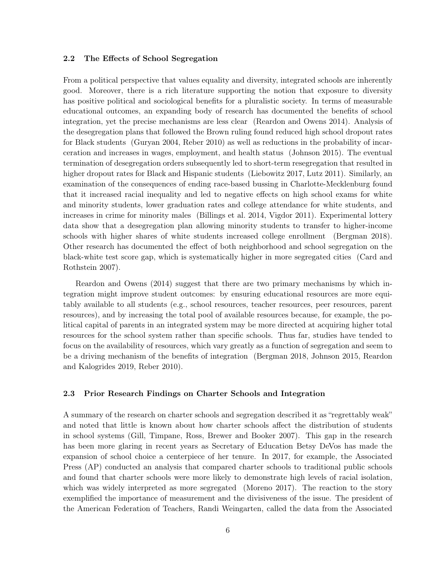#### 2.2 The Effects of School Segregation

From a political perspective that values equality and diversity, integrated schools are inherently good. Moreover, there is a rich literature supporting the notion that exposure to diversity has positive political and sociological benefits for a pluralistic society. In terms of measurable educational outcomes, an expanding body of research has documented the benefits of school integration, yet the precise mechanisms are less clear (Reardon and Owens 2014). Analysis of the desegregation plans that followed the Brown ruling found reduced high school dropout rates for Black students (Guryan 2004, Reber 2010) as well as reductions in the probability of incarceration and increases in wages, employment, and health status (Johnson 2015). The eventual termination of desegregation orders subsequently led to short-term resegregation that resulted in higher dropout rates for Black and Hispanic students (Liebowitz 2017, Lutz 2011). Similarly, an examination of the consequences of ending race-based bussing in Charlotte-Mecklenburg found that it increased racial inequality and led to negative effects on high school exams for white and minority students, lower graduation rates and college attendance for white students, and increases in crime for minority males (Billings et al. 2014, Vigdor 2011). Experimental lottery data show that a desegregation plan allowing minority students to transfer to higher-income schools with higher shares of white students increased college enrollment (Bergman 2018). Other research has documented the effect of both neighborhood and school segregation on the black-white test score gap, which is systematically higher in more segregated cities (Card and Rothstein 2007).

Reardon and Owens (2014) suggest that there are two primary mechanisms by which integration might improve student outcomes: by ensuring educational resources are more equitably available to all students (e.g., school resources, teacher resources, peer resources, parent resources), and by increasing the total pool of available resources because, for example, the political capital of parents in an integrated system may be more directed at acquiring higher total resources for the school system rather than specific schools. Thus far, studies have tended to focus on the availability of resources, which vary greatly as a function of segregation and seem to be a driving mechanism of the benefits of integration (Bergman 2018, Johnson 2015, Reardon and Kalogrides 2019, Reber 2010).

# 2.3 Prior Research Findings on Charter Schools and Integration

A summary of the research on charter schools and segregation described it as "regrettably weak" and noted that little is known about how charter schools affect the distribution of students in school systems (Gill, Timpane, Ross, Brewer and Booker 2007). This gap in the research has been more glaring in recent years as Secretary of Education Betsy DeVos has made the expansion of school choice a centerpiece of her tenure. In 2017, for example, the Associated Press (AP) conducted an analysis that compared charter schools to traditional public schools and found that charter schools were more likely to demonstrate high levels of racial isolation, which was widely interpreted as more segregated (Moreno 2017). The reaction to the story exemplified the importance of measurement and the divisiveness of the issue. The president of the American Federation of Teachers, Randi Weingarten, called the data from the Associated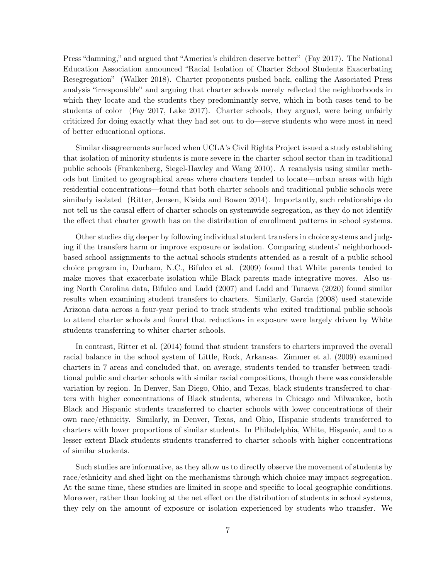Press "damning," and argued that "America's children deserve better" (Fay 2017). The National Education Association announced "Racial Isolation of Charter School Students Exacerbating Resegregation" (Walker 2018). Charter proponents pushed back, calling the Associated Press analysis "irresponsible" and arguing that charter schools merely reflected the neighborhoods in which they locate and the students they predominantly serve, which in both cases tend to be students of color (Fay 2017, Lake 2017). Charter schools, they argued, were being unfairly criticized for doing exactly what they had set out to do—serve students who were most in need of better educational options.

Similar disagreements surfaced when UCLA's Civil Rights Project issued a study establishing that isolation of minority students is more severe in the charter school sector than in traditional public schools (Frankenberg, Siegel-Hawley and Wang 2010). A reanalysis using similar methods but limited to geographical areas where charters tended to locate—urban areas with high residential concentrations—found that both charter schools and traditional public schools were similarly isolated (Ritter, Jensen, Kisida and Bowen 2014). Importantly, such relationships do not tell us the causal effect of charter schools on systemwide segregation, as they do not identify the effect that charter growth has on the distribution of enrollment patterns in school systems.

Other studies dig deeper by following individual student transfers in choice systems and judging if the transfers harm or improve exposure or isolation. Comparing students' neighborhoodbased school assignments to the actual schools students attended as a result of a public school choice program in, Durham, N.C., Bifulco et al. (2009) found that White parents tended to make moves that exacerbate isolation while Black parents made integrative moves. Also using North Carolina data, Bifulco and Ladd (2007) and Ladd and Turaeva (2020) found similar results when examining student transfers to charters. Similarly, Garcia (2008) used statewide Arizona data across a four-year period to track students who exited traditional public schools to attend charter schools and found that reductions in exposure were largely driven by White students transferring to whiter charter schools.

In contrast, Ritter et al. (2014) found that student transfers to charters improved the overall racial balance in the school system of Little, Rock, Arkansas. Zimmer et al. (2009) examined charters in 7 areas and concluded that, on average, students tended to transfer between traditional public and charter schools with similar racial compositions, though there was considerable variation by region. In Denver, San Diego, Ohio, and Texas, black students transferred to charters with higher concentrations of Black students, whereas in Chicago and Milwaukee, both Black and Hispanic students transferred to charter schools with lower concentrations of their own race/ethnicity. Similarly, in Denver, Texas, and Ohio, Hispanic students transferred to charters with lower proportions of similar students. In Philadelphia, White, Hispanic, and to a lesser extent Black students students transferred to charter schools with higher concentrations of similar students.

Such studies are informative, as they allow us to directly observe the movement of students by race/ethnicity and shed light on the mechanisms through which choice may impact segregation. At the same time, these studies are limited in scope and specific to local geographic conditions. Moreover, rather than looking at the net effect on the distribution of students in school systems, they rely on the amount of exposure or isolation experienced by students who transfer. We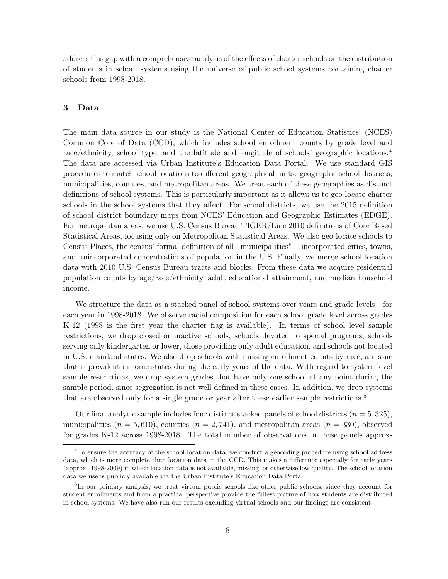address this gap with a comprehensive analysis of the effects of charter schools on the distribution of students in school systems using the universe of public school systems containing charter schools from 1998-2018.

# 3 Data

The main data source in our study is the National Center of Education Statistics' (NCES) Common Core of Data (CCD), which includes school enrollment counts by grade level and race/ethnicity, school type, and the latitude and longitude of schools' geographic locations.<sup>4</sup> The data are accessed via Urban Institute's Education Data Portal. We use standard GIS procedures to match school locations to different geographical units: geographic school districts, municipalities, counties, and metropolitan areas. We treat each of these geographies as distinct definitions of school systems. This is particularly important as it allows us to geo-locate charter schools in the school systems that they affect. For school districts, we use the 2015 definition of school district boundary maps from NCES' Education and Geographic Estimates (EDGE). For metropolitan areas, we use U.S. Census Bureau TIGER/Line 2010 definitions of Core Based Statistical Areas, focusing only on Metropolitan Statistical Areas. We also geo-locate schools to Census Places, the census' formal definition of all "municipalities" – incorporated cities, towns, and unincorporated concentrations of population in the U.S. Finally, we merge school location data with 2010 U.S. Census Bureau tracts and blocks. From these data we acquire residential population counts by age/race/ethnicity, adult educational attainment, and median household income.

We structure the data as a stacked panel of school systems over years and grade levels—for each year in 1998-2018. We observe racial composition for each school grade level across grades K-12 (1998 is the first year the charter flag is available). In terms of school level sample restrictions, we drop closed or inactive schools, schools devoted to special programs, schools serving only kindergarten or lower, those providing only adult education, and schools not located in U.S. mainland states. We also drop schools with missing enrollment counts by race, an issue that is prevalent in some states during the early years of the data. With regard to system level sample restrictions, we drop system-grades that have only one school at any point during the sample period, since segregation is not well defined in these cases. In addition, we drop systems that are observed only for a single grade or year after these earlier sample restrictions.5

Our final analytic sample includes four distinct stacked panels of school districts  $(n = 5, 325)$ , municipalities  $(n = 5, 610)$ , counties  $(n = 2, 741)$ , and metropolitan areas  $(n = 330)$ , observed for grades K-12 across 1998-2018. The total number of observations in these panels approx-

<sup>&</sup>lt;sup>4</sup>To ensure the accuracy of the school location data, we conduct a geocoding procedure using school address data, which is more complete than location data in the CCD. This makes a difference especially for early years (approx. 1998-2009) in which location data is not available, missing, or otherwise low quality. The school location data we use is publicly available via the Urban Institute's Education Data Portal.

<sup>&</sup>lt;sup>5</sup>In our primary analysis, we treat virtual public schools like other public schools, since they account for student enrollments and from a practical perspective provide the fullest picture of how students are distributed in school systems. We have also run our results excluding virtual schools and our findings are consistent.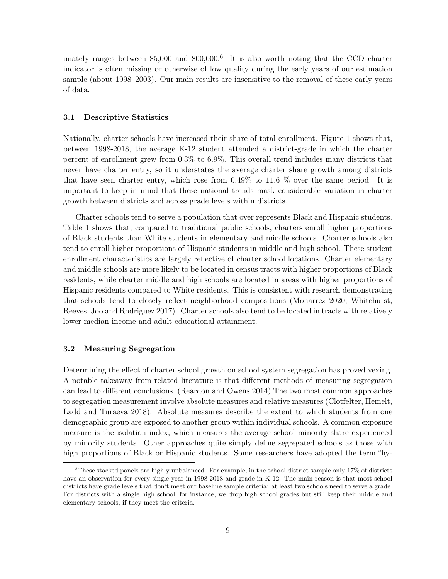imately ranges between 85,000 and 800,000.<sup>6</sup> It is also worth noting that the CCD charter indicator is often missing or otherwise of low quality during the early years of our estimation sample (about 1998–2003). Our main results are insensitive to the removal of these early years of data.

#### 3.1 Descriptive Statistics

Nationally, charter schools have increased their share of total enrollment. Figure 1 shows that, between 1998-2018, the average K-12 student attended a district-grade in which the charter percent of enrollment grew from 0.3% to 6.9%. This overall trend includes many districts that never have charter entry, so it understates the average charter share growth among districts that have seen charter entry, which rose from  $0.49\%$  to 11.6 % over the same period. It is important to keep in mind that these national trends mask considerable variation in charter growth between districts and across grade levels within districts.

Charter schools tend to serve a population that over represents Black and Hispanic students. Table 1 shows that, compared to traditional public schools, charters enroll higher proportions of Black students than White students in elementary and middle schools. Charter schools also tend to enroll higher proportions of Hispanic students in middle and high school. These student enrollment characteristics are largely reflective of charter school locations. Charter elementary and middle schools are more likely to be located in census tracts with higher proportions of Black residents, while charter middle and high schools are located in areas with higher proportions of Hispanic residents compared to White residents. This is consistent with research demonstrating that schools tend to closely reflect neighborhood compositions (Monarrez 2020, Whitehurst, Reeves, Joo and Rodriguez 2017). Charter schools also tend to be located in tracts with relatively lower median income and adult educational attainment.

#### 3.2 Measuring Segregation

Determining the effect of charter school growth on school system segregation has proved vexing. A notable takeaway from related literature is that different methods of measuring segregation can lead to different conclusions (Reardon and Owens 2014) The two most common approaches to segregation measurement involve absolute measures and relative measures (Clotfelter, Hemelt, Ladd and Turaeva 2018). Absolute measures describe the extent to which students from one demographic group are exposed to another group within individual schools. A common exposure measure is the isolation index, which measures the average school minority share experienced by minority students. Other approaches quite simply define segregated schools as those with high proportions of Black or Hispanic students. Some researchers have adopted the term "hy-

<sup>6</sup>These stacked panels are highly unbalanced. For example, in the school district sample only 17% of districts have an observation for every single year in 1998-2018 and grade in K-12. The main reason is that most school districts have grade levels that don't meet our baseline sample criteria: at least two schools need to serve a grade. For districts with a single high school, for instance, we drop high school grades but still keep their middle and elementary schools, if they meet the criteria.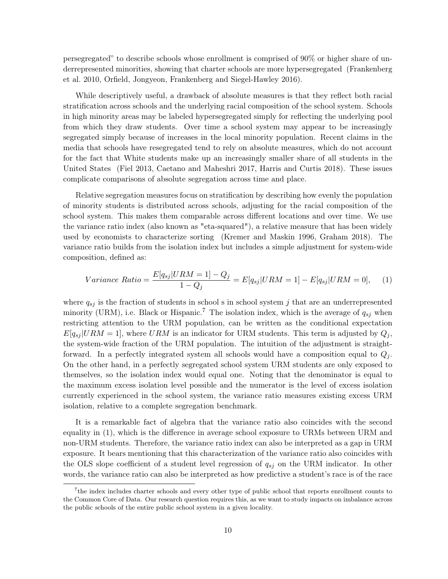persegregated" to describe schools whose enrollment is comprised of 90% or higher share of underrepresented minorities, showing that charter schools are more hypersegregated (Frankenberg et al. 2010, Orfield, Jongyeon, Frankenberg and Siegel-Hawley 2016).

While descriptively useful, a drawback of absolute measures is that they reflect both racial stratification across schools and the underlying racial composition of the school system. Schools in high minority areas may be labeled hypersegregated simply for reflecting the underlying pool from which they draw students. Over time a school system may appear to be increasingly segregated simply because of increases in the local minority population. Recent claims in the media that schools have resegregated tend to rely on absolute measures, which do not account for the fact that White students make up an increasingly smaller share of all students in the United States (Fiel 2013, Caetano and Maheshri 2017, Harris and Curtis 2018). These issues complicate comparisons of absolute segregation across time and place.

Relative segregation measures focus on stratification by describing how evenly the population of minority students is distributed across schools, adjusting for the racial composition of the school system. This makes them comparable across different locations and over time. We use the variance ratio index (also known as "eta-squared"), a relative measure that has been widely used by economists to characterize sorting (Kremer and Maskin 1996, Graham 2018). The variance ratio builds from the isolation index but includes a simple adjustment for system-wide composition, defined as:

$$
Variance \; Ratio = \frac{E[q_{sj}| URM = 1] - Q_j}{1 - Q_j} = E[q_{sj}| URM = 1] - E[q_{sj}| URM = 0], \quad (1)
$$

where  $q_{sj}$  is the fraction of students in school s in school system j that are an underrepresented minority (URM), i.e. Black or Hispanic.<sup>7</sup> The isolation index, which is the average of  $q_{sj}$  when restricting attention to the URM population, can be written as the conditional expectation  $E[q_{sj} | URM = 1]$ , where URM is an indicator for URM students. This term is adjusted by  $Q_j$ , the system-wide fraction of the URM population. The intuition of the adjustment is straightforward. In a perfectly integrated system all schools would have a composition equal to  $Q_j$ . On the other hand, in a perfectly segregated school system URM students are only exposed to themselves, so the isolation index would equal one. Noting that the denominator is equal to the maximum excess isolation level possible and the numerator is the level of excess isolation currently experienced in the school system, the variance ratio measures existing excess URM isolation, relative to a complete segregation benchmark.

It is a remarkable fact of algebra that the variance ratio also coincides with the second equality in (1), which is the difference in average school exposure to URMs between URM and non-URM students. Therefore, the variance ratio index can also be interpreted as a gap in URM exposure. It bears mentioning that this characterization of the variance ratio also coincides with the OLS slope coefficient of a student level regression of  $q_{sj}$  on the URM indicator. In other words, the variance ratio can also be interpreted as how predictive a student's race is of the race

<sup>&</sup>lt;sup>7</sup>the index includes charter schools and every other type of public school that reports enrollment counts to the Common Core of Data. Our research question requires this, as we want to study impacts on imbalance across the public schools of the entire public school system in a given locality.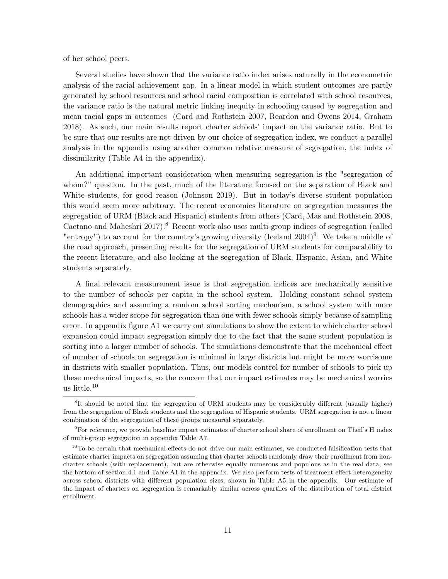of her school peers.

Several studies have shown that the variance ratio index arises naturally in the econometric analysis of the racial achievement gap. In a linear model in which student outcomes are partly generated by school resources and school racial composition is correlated with school resources, the variance ratio is the natural metric linking inequity in schooling caused by segregation and mean racial gaps in outcomes (Card and Rothstein 2007, Reardon and Owens 2014, Graham 2018). As such, our main results report charter schools' impact on the variance ratio. But to be sure that our results are not driven by our choice of segregation index, we conduct a parallel analysis in the appendix using another common relative measure of segregation, the index of dissimilarity (Table A4 in the appendix).

An additional important consideration when measuring segregation is the "segregation of whom?" question. In the past, much of the literature focused on the separation of Black and White students, for good reason (Johnson 2019). But in today's diverse student population this would seem more arbitrary. The recent economics literature on segregation measures the segregation of URM (Black and Hispanic) students from others (Card, Mas and Rothstein 2008, Caetano and Maheshri 2017).8 Recent work also uses multi-group indices of segregation (called "entropy") to account for the country's growing diversity (Iceland  $2004$ )<sup>9</sup>. We take a middle of the road approach, presenting results for the segregation of URM students for comparability to the recent literature, and also looking at the segregation of Black, Hispanic, Asian, and White students separately.

A final relevant measurement issue is that segregation indices are mechanically sensitive to the number of schools per capita in the school system. Holding constant school system demographics and assuming a random school sorting mechanism, a school system with more schools has a wider scope for segregation than one with fewer schools simply because of sampling error. In appendix figure A1 we carry out simulations to show the extent to which charter school expansion could impact segregation simply due to the fact that the same student population is sorting into a larger number of schools. The simulations demonstrate that the mechanical effect of number of schools on segregation is minimal in large districts but might be more worrisome in districts with smaller population. Thus, our models control for number of schools to pick up these mechanical impacts, so the concern that our impact estimates may be mechanical worries us little.10

<sup>&</sup>lt;sup>8</sup>It should be noted that the segregation of URM students may be considerably different (usually higher) from the segregation of Black students and the segregation of Hispanic students. URM segregation is not a linear combination of the segregation of these groups measured separately.

<sup>&</sup>lt;sup>9</sup>For reference, we provide baseline impact estimates of charter school share of enrollment on Theil's H index of multi-group segregation in appendix Table A7.

<sup>&</sup>lt;sup>10</sup>To be certain that mechanical effects do not drive our main estimates, we conducted falsification tests that estimate charter impacts on segregation assuming that charter schools randomly draw their enrollment from noncharter schools (with replacement), but are otherwise equally numerous and populous as in the real data, see the bottom of section 4.1 and Table A1 in the appendix. We also perform tests of treatment effect heterogeneity across school districts with different population sizes, shown in Table A5 in the appendix. Our estimate of the impact of charters on segregation is remarkably similar across quartiles of the distribution of total district enrollment.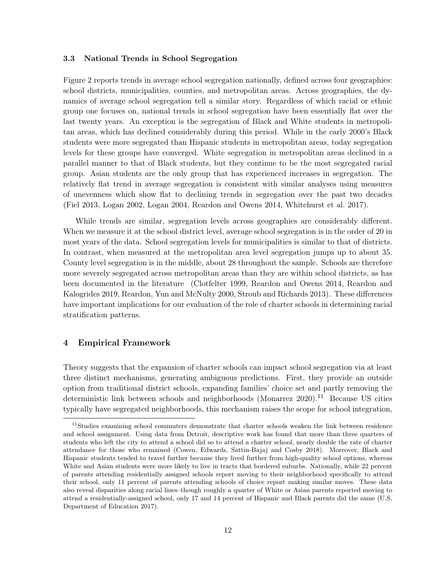#### 3.3 National Trends in School Segregation

Figure 2 reports trends in average school segregation nationally, defined across four geographies: school districts, municipalities, counties, and metropolitan areas. Across geographies, the dynamics of average school segregation tell a similar story. Regardless of which racial or ethnic group one focuses on, national trends in school segregation have been essentially flat over the last twenty years. An exception is the segregation of Black and White students in metropolitan areas, which has declined considerably during this period. While in the early 2000's Black students were more segregated than Hispanic students in metropolitan areas, today segregation levels for these groups have converged. White segregation in metropolitan areas declined in a parallel manner to that of Black students, but they continue to be the most segregated racial group. Asian students are the only group that has experienced increases in segregation. The relatively flat trend in average segregation is consistent with similar analyses using measures of unevenness which show flat to declining trends in segregation over the past two decades (Fiel 2013, Logan 2002, Logan 2004, Reardon and Owens 2014, Whitehurst et al. 2017).

While trends are similar, segregation levels across geographies are considerably different. When we measure it at the school district level, average school segregation is in the order of 20 in most years of the data. School segregation levels for municipalities is similar to that of districts. In contrast, when measured at the metropolitan area level segregation jumps up to about 35. County level segregation is in the middle, about 28 throughout the sample. Schools are therefore more severely segregated across metropolitan areas than they are within school districts, as has been documented in the literature (Clotfelter 1999, Reardon and Owens 2014, Reardon and Kalogrides 2019, Reardon, Yun and McNulty 2000, Stroub and Richards 2013). These differences have important implications for our evaluation of the role of charter schools in determining racial stratification patterns.

#### 4 Empirical Framework

Theory suggests that the expansion of charter schools can impact school segregation via at least three distinct mechanisms, generating ambiguous predictions. First, they provide an outside option from traditional district schools, expanding families' choice set and partly removing the deterministic link between schools and neighborhoods (Monarrez 2020).<sup>11</sup> Because US cities typically have segregated neighborhoods, this mechanism raises the scope for school integration,

<sup>&</sup>lt;sup>11</sup>Studies examining school commuters demonstrate that charter schools weaken the link between residence and school assignment. Using data from Detroit, descriptive work has found that more than three quarters of students who left the city to attend a school did so to attend a charter school, nearly double the rate of charter attendance for those who remained (Cowen, Edwards, Sattin-Bajaj and Cosby 2018). Moreover, Black and Hispanic students tended to travel further because they lived further from high-quality school options, whereas White and Asian students were more likely to live in tracts that bordered suburbs. Nationally, while 22 percent of parents attending residentially assigned schools report moving to their neighborhood specifically to attend their school, only 11 percent of parents attending schools of choice report making similar moves. These data also reveal disparities along racial lines–though roughly a quarter of White or Asian parents reported moving to attend a residentially-assigned school, only 17 and 14 percent of Hispanic and Black parents did the same (U.S. Department of Education 2017).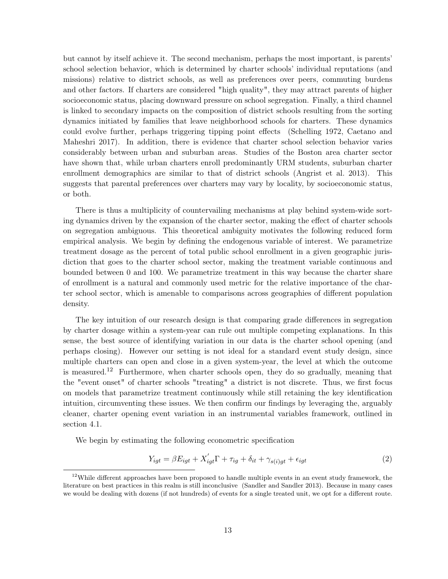but cannot by itself achieve it. The second mechanism, perhaps the most important, is parents' school selection behavior, which is determined by charter schools' individual reputations (and missions) relative to district schools, as well as preferences over peers, commuting burdens and other factors. If charters are considered "high quality", they may attract parents of higher socioeconomic status, placing downward pressure on school segregation. Finally, a third channel is linked to secondary impacts on the composition of district schools resulting from the sorting dynamics initiated by families that leave neighborhood schools for charters. These dynamics could evolve further, perhaps triggering tipping point effects (Schelling 1972, Caetano and Maheshri 2017). In addition, there is evidence that charter school selection behavior varies considerably between urban and suburban areas. Studies of the Boston area charter sector have shown that, while urban charters enroll predominantly URM students, suburban charter enrollment demographics are similar to that of district schools (Angrist et al. 2013). This suggests that parental preferences over charters may vary by locality, by socioeconomic status, or both.

There is thus a multiplicity of countervailing mechanisms at play behind system-wide sorting dynamics driven by the expansion of the charter sector, making the effect of charter schools on segregation ambiguous. This theoretical ambiguity motivates the following reduced form empirical analysis. We begin by defining the endogenous variable of interest. We parametrize treatment dosage as the percent of total public school enrollment in a given geographic jurisdiction that goes to the charter school sector, making the treatment variable continuous and bounded between 0 and 100. We parametrize treatment in this way because the charter share of enrollment is a natural and commonly used metric for the relative importance of the charter school sector, which is amenable to comparisons across geographies of different population density.

The key intuition of our research design is that comparing grade differences in segregation by charter dosage within a system-year can rule out multiple competing explanations. In this sense, the best source of identifying variation in our data is the charter school opening (and perhaps closing). However our setting is not ideal for a standard event study design, since multiple charters can open and close in a given system-year, the level at which the outcome is measured.<sup>12</sup> Furthermore, when charter schools open, they do so gradually, meaning that the "event onset" of charter schools "treating" a district is not discrete. Thus, we first focus on models that parametrize treatment continuously while still retaining the key identification intuition, circumventing these issues. We then confirm our findings by leveraging the, arguably cleaner, charter opening event variation in an instrumental variables framework, outlined in section 4.1.

We begin by estimating the following econometric specification

$$
Y_{igt} = \beta E_{igt} + X'_{igt} \Gamma + \tau_{ig} + \delta_{it} + \gamma_{s(i)gt} + \epsilon_{igt}
$$
\n(2)

 $12$ While different approaches have been proposed to handle multiple events in an event study framework, the literature on best practices in this realm is still inconclusive (Sandler and Sandler 2013). Because in many cases we would be dealing with dozens (if not hundreds) of events for a single treated unit, we opt for a different route.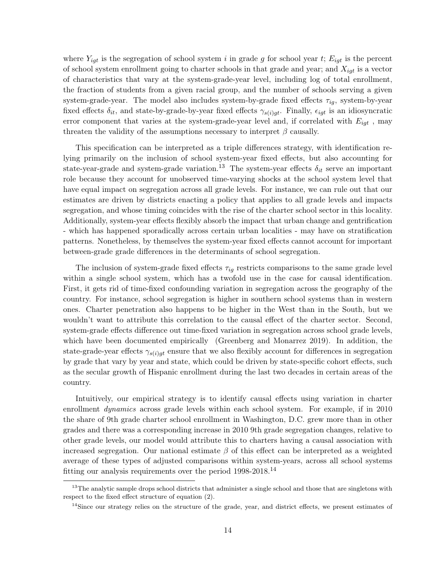where  $Y_{igt}$  is the segregation of school system i in grade g for school year t;  $E_{igt}$  is the percent of school system enrollment going to charter schools in that grade and year; and  $X_{iqt}$  is a vector of characteristics that vary at the system-grade-year level, including log of total enrollment, the fraction of students from a given racial group, and the number of schools serving a given system-grade-year. The model also includes system-by-grade fixed effects  $\tau_{iq}$ , system-by-year fixed effects  $\delta_{it}$ , and state-by-grade-by-year fixed effects  $\gamma_{s(i)gt}$ . Finally,  $\epsilon_{igt}$  is an idiosyncratic error component that varies at the system-grade-year level and, if correlated with  $E_{i\sigma t}$ , may threaten the validity of the assumptions necessary to interpret  $\beta$  causally.

This specification can be interpreted as a triple differences strategy, with identification relying primarily on the inclusion of school system-year fixed effects, but also accounting for state-year-grade and system-grade variation.<sup>13</sup> The system-year effects  $\delta_{it}$  serve an important role because they account for unobserved time-varying shocks at the school system level that have equal impact on segregation across all grade levels. For instance, we can rule out that our estimates are driven by districts enacting a policy that applies to all grade levels and impacts segregation, and whose timing coincides with the rise of the charter school sector in this locality. Additionally, system-year effects flexibly absorb the impact that urban change and gentrification - which has happened sporadically across certain urban localities - may have on stratification patterns. Nonetheless, by themselves the system-year fixed effects cannot account for important between-grade grade differences in the determinants of school segregation.

The inclusion of system-grade fixed effects  $\tau_{ig}$  restricts comparisons to the same grade level within a single school system, which has a twofold use in the case for causal identification. First, it gets rid of time-fixed confounding variation in segregation across the geography of the country. For instance, school segregation is higher in southern school systems than in western ones. Charter penetration also happens to be higher in the West than in the South, but we wouldn't want to attribute this correlation to the causal effect of the charter sector. Second, system-grade effects difference out time-fixed variation in segregation across school grade levels, which have been documented empirically (Greenberg and Monarrez 2019). In addition, the state-grade-year effects  $\gamma_{s(i)qt}$  ensure that we also flexibly account for differences in segregation by grade that vary by year and state, which could be driven by state-specific cohort effects, such as the secular growth of Hispanic enrollment during the last two decades in certain areas of the country.

Intuitively, our empirical strategy is to identify causal effects using variation in charter enrollment *dynamics* across grade levels within each school system. For example, if in 2010 the share of 9th grade charter school enrollment in Washington, D.C. grew more than in other grades and there was a corresponding increase in 2010 9th grade segregation changes, relative to other grade levels, our model would attribute this to charters having a causal association with increased segregation. Our national estimate  $\beta$  of this effect can be interpreted as a weighted average of these types of adjusted comparisons within system-years, across all school systems fitting our analysis requirements over the period 1998-2018.<sup>14</sup>

<sup>&</sup>lt;sup>13</sup>The analytic sample drops school districts that administer a single school and those that are singletons with respect to the fixed effect structure of equation (2).

<sup>&</sup>lt;sup>14</sup>Since our strategy relies on the structure of the grade, year, and district effects, we present estimates of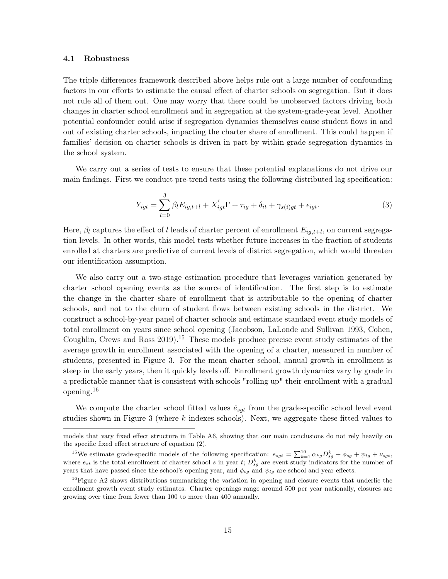#### 4.1 Robustness

The triple differences framework described above helps rule out a large number of confounding factors in our efforts to estimate the causal effect of charter schools on segregation. But it does not rule all of them out. One may worry that there could be unobserved factors driving both changes in charter school enrollment and in segregation at the system-grade-year level. Another potential confounder could arise if segregation dynamics themselves cause student flows in and out of existing charter schools, impacting the charter share of enrollment. This could happen if families' decision on charter schools is driven in part by within-grade segregation dynamics in the school system.

We carry out a series of tests to ensure that these potential explanations do not drive our main findings. First we conduct pre-trend tests using the following distributed lag specification:

$$
Y_{igt} = \sum_{l=0}^{3} \beta_l E_{ig,t+l} + X'_{igt} \Gamma + \tau_{ig} + \delta_{it} + \gamma_{s(i)gt} + \epsilon_{igt}.
$$
\n(3)

Here,  $\beta_l$  captures the effect of l leads of charter percent of enrollment  $E_{ig,t+l}$ , on current segregation levels. In other words, this model tests whether future increases in the fraction of students enrolled at charters are predictive of current levels of district segregation, which would threaten our identification assumption.

We also carry out a two-stage estimation procedure that leverages variation generated by charter school opening events as the source of identification. The first step is to estimate the change in the charter share of enrollment that is attributable to the opening of charter schools, and not to the churn of student flows between existing schools in the district. We construct a school-by-year panel of charter schools and estimate standard event study models of total enrollment on years since school opening (Jacobson, LaLonde and Sullivan 1993, Cohen, Coughlin, Crews and Ross  $2019$ .<sup>15</sup> These models produce precise event study estimates of the average growth in enrollment associated with the opening of a charter, measured in number of students, presented in Figure 3. For the mean charter school, annual growth in enrollment is steep in the early years, then it quickly levels off. Enrollment growth dynamics vary by grade in a predictable manner that is consistent with schools "rolling up" their enrollment with a gradual opening.16

We compute the charter school fitted values  $\hat{e}_{sqt}$  from the grade-specific school level event studies shown in Figure 3 (where k indexes schools). Next, we aggregate these fitted values to

models that vary fixed effect structure in Table A6, showing that our main conclusions do not rely heavily on the specific fixed effect structure of equation (2).

<sup>&</sup>lt;sup>15</sup>We estimate grade-specific models of the following specification:  $e_{sgt} = \sum_{k=1}^{10} \alpha_{kg} D_{sg}^k + \phi_{sg} + \psi_{tg} + \nu_{sgt}$ where  $e_{st}$  is the total enrollment of charter school s in year t;  $D_{sg}^{k}$  are event study indicators for the number of years that have passed since the school's opening year, and  $\phi_{sg}$  and  $\psi_{tg}$  are school and year effects.

 $16$ Figure A2 shows distributions summarizing the variation in opening and closure events that underlie the enrollment growth event study estimates. Charter openings range around 500 per year nationally, closures are growing over time from fewer than 100 to more than 400 annually.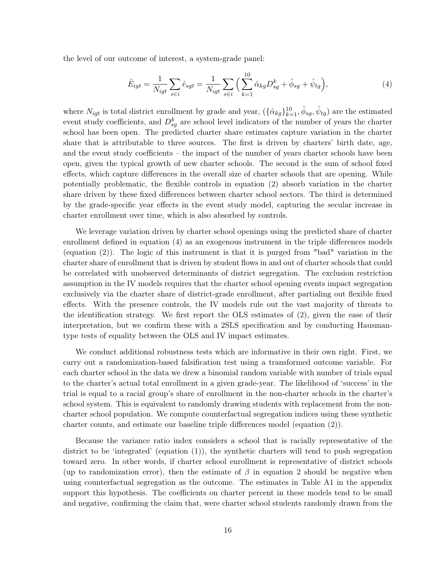the level of our outcome of interest, a system-grade panel:

$$
\hat{E}_{igt} = \frac{1}{N_{igt}} \sum_{s \in i} \hat{e}_{sgt} = \frac{1}{N_{igt}} \sum_{s \in i} \left( \sum_{k=1}^{10} \hat{\alpha}_{kg} D_{sg}^k + \hat{\phi}_{sg} + \hat{\psi}_{tg} \right),\tag{4}
$$

where  $N_{igt}$  is total district enrollment by grade and year,  $(\{\hat{\alpha}_{kg}\}_{k=1}^{10}, \hat{\phi}_{sg}, \hat{\psi}_{tg})$  are the estimated event study coefficients, and  $D_{sg}^k$  are school level indicators of the number of years the charter school has been open. The predicted charter share estimates capture variation in the charter share that is attributable to three sources. The first is driven by charters' birth date, age, and the event study coefficients – the impact of the number of years charter schools have been open, given the typical growth of new charter schools. The second is the sum of school fixed effects, which capture differences in the overall size of charter schools that are opening. While potentially problematic, the flexible controls in equation (2) absorb variation in the charter share driven by these fixed differences between charter school sectors. The third is determined by the grade-specific year effects in the event study model, capturing the secular increase in charter enrollment over time, which is also absorbed by controls.

We leverage variation driven by charter school openings using the predicted share of charter enrollment defined in equation (4) as an exogenous instrument in the triple differences models (equation (2)). The logic of this instrument is that it is purged from "bad" variation in the charter share of enrollment that is driven by student flows in and out of charter schools that could be correlated with unobserved determinants of district segregation. The exclusion restriction assumption in the IV models requires that the charter school opening events impact segregation exclusively via the charter share of district-grade enrollment, after partialing out flexible fixed effects. With the presence controls, the IV models rule out the vast majority of threats to the identification strategy. We first report the OLS estimates of (2), given the ease of their interpretation, but we confirm these with a 2SLS specification and by conducting Hausmantype tests of equality between the OLS and IV impact estimates.

We conduct additional robustness tests which are informative in their own right. First, we carry out a randomization-based falsification test using a transformed outcome variable. For each charter school in the data we drew a binomial random variable with number of trials equal to the charter's actual total enrollment in a given grade-year. The likelihood of 'success' in the trial is equal to a racial group's share of enrollment in the non-charter schools in the charter's school system. This is equivalent to randomly drawing students with replacement from the noncharter school population. We compute counterfactual segregation indices using these synthetic charter counts, and estimate our baseline triple differences model (equation (2)).

Because the variance ratio index considers a school that is racially representative of the district to be 'integrated' (equation (1)), the synthetic charters will tend to push segregation toward zero. In other words, if charter school enrollment is representative of district schools (up to randomization error), then the estimate of  $\beta$  in equation 2 should be negative when using counterfactual segregation as the outcome. The estimates in Table A1 in the appendix support this hypothesis. The coefficients on charter percent in these models tend to be small and negative, confirming the claim that, were charter school students randomly drawn from the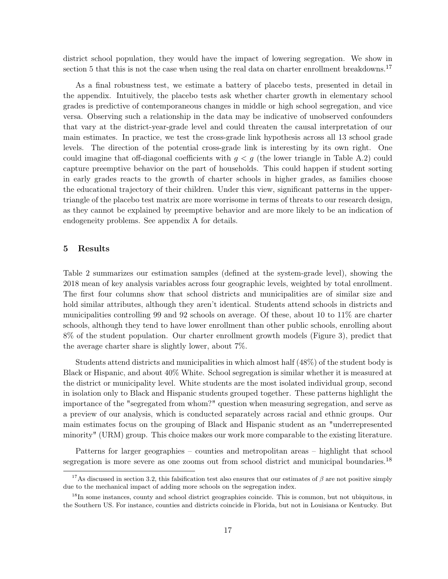district school population, they would have the impact of lowering segregation. We show in section 5 that this is not the case when using the real data on charter enrollment breakdowns.<sup>17</sup>

As a final robustness test, we estimate a battery of placebo tests, presented in detail in the appendix. Intuitively, the placebo tests ask whether charter growth in elementary school grades is predictive of contemporaneous changes in middle or high school segregation, and vice versa. Observing such a relationship in the data may be indicative of unobserved confounders that vary at the district-year-grade level and could threaten the causal interpretation of our main estimates. In practice, we test the cross-grade link hypothesis across all 13 school grade levels. The direction of the potential cross-grade link is interesting by its own right. One could imagine that off-diagonal coefficients with  $g < g$  (the lower triangle in Table A.2) could capture preemptive behavior on the part of households. This could happen if student sorting in early grades reacts to the growth of charter schools in higher grades, as families choose the educational trajectory of their children. Under this view, significant patterns in the uppertriangle of the placebo test matrix are more worrisome in terms of threats to our research design, as they cannot be explained by preemptive behavior and are more likely to be an indication of endogeneity problems. See appendix A for details.

# 5 Results

Table 2 summarizes our estimation samples (defined at the system-grade level), showing the 2018 mean of key analysis variables across four geographic levels, weighted by total enrollment. The first four columns show that school districts and municipalities are of similar size and hold similar attributes, although they aren't identical. Students attend schools in districts and municipalities controlling 99 and 92 schools on average. Of these, about 10 to 11% are charter schools, although they tend to have lower enrollment than other public schools, enrolling about 8% of the student population. Our charter enrollment growth models (Figure 3), predict that the average charter share is slightly lower, about 7%.

Students attend districts and municipalities in which almost half (48%) of the student body is Black or Hispanic, and about 40% White. School segregation is similar whether it is measured at the district or municipality level. White students are the most isolated individual group, second in isolation only to Black and Hispanic students grouped together. These patterns highlight the importance of the "segregated from whom?" question when measuring segregation, and serve as a preview of our analysis, which is conducted separately across racial and ethnic groups. Our main estimates focus on the grouping of Black and Hispanic student as an "underrepresented minority" (URM) group. This choice makes our work more comparable to the existing literature.

Patterns for larger geographies – counties and metropolitan areas – highlight that school segregation is more severe as one zooms out from school district and municipal boundaries.<sup>18</sup>

<sup>&</sup>lt;sup>17</sup>As discussed in section 3.2, this falsification test also ensures that our estimates of  $\beta$  are not positive simply due to the mechanical impact of adding more schools on the segregation index.

<sup>&</sup>lt;sup>18</sup>In some instances, county and school district geographies coincide. This is common, but not ubiquitous, in the Southern US. For instance, counties and districts coincide in Florida, but not in Louisiana or Kentucky. But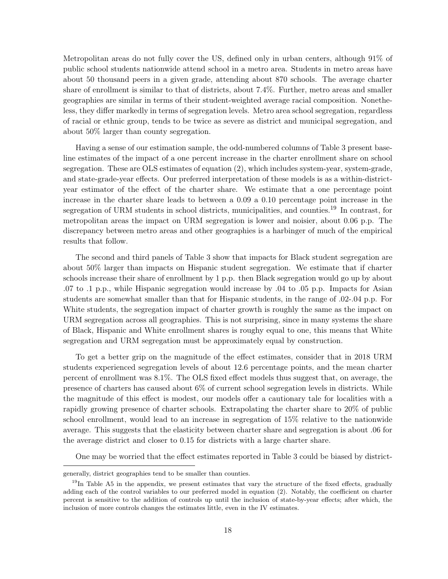Metropolitan areas do not fully cover the US, defined only in urban centers, although 91% of public school students nationwide attend school in a metro area. Students in metro areas have about 50 thousand peers in a given grade, attending about 870 schools. The average charter share of enrollment is similar to that of districts, about 7.4%. Further, metro areas and smaller geographies are similar in terms of their student-weighted average racial composition. Nonetheless, they differ markedly in terms of segregation levels. Metro area school segregation, regardless of racial or ethnic group, tends to be twice as severe as district and municipal segregation, and about 50% larger than county segregation.

Having a sense of our estimation sample, the odd-numbered columns of Table 3 present baseline estimates of the impact of a one percent increase in the charter enrollment share on school segregation. These are OLS estimates of equation (2), which includes system-year, system-grade, and state-grade-year effects. Our preferred interpretation of these models is as a within-districtyear estimator of the effect of the charter share. We estimate that a one percentage point increase in the charter share leads to between a 0.09 a 0.10 percentage point increase in the segregation of URM students in school districts, municipalities, and counties.<sup>19</sup> In contrast, for metropolitan areas the impact on URM segregation is lower and noisier, about 0.06 p.p. The discrepancy between metro areas and other geographies is a harbinger of much of the empirical results that follow.

The second and third panels of Table 3 show that impacts for Black student segregation are about 50% larger than impacts on Hispanic student segregation. We estimate that if charter schools increase their share of enrollment by 1 p.p. then Black segregation would go up by about .07 to .1 p.p., while Hispanic segregation would increase by .04 to .05 p.p. Impacts for Asian students are somewhat smaller than that for Hispanic students, in the range of .02-.04 p.p. For White students, the segregation impact of charter growth is roughly the same as the impact on URM segregation across all geographies. This is not surprising, since in many systems the share of Black, Hispanic and White enrollment shares is roughy equal to one, this means that White segregation and URM segregation must be approximately equal by construction.

To get a better grip on the magnitude of the effect estimates, consider that in 2018 URM students experienced segregation levels of about 12.6 percentage points, and the mean charter percent of enrollment was 8.1%. The OLS fixed effect models thus suggest that, on average, the presence of charters has caused about 6% of current school segregation levels in districts. While the magnitude of this effect is modest, our models offer a cautionary tale for localities with a rapidly growing presence of charter schools. Extrapolating the charter share to 20% of public school enrollment, would lead to an increase in segregation of 15% relative to the nationwide average. This suggests that the elasticity between charter share and segregation is about .06 for the average district and closer to 0.15 for districts with a large charter share.

One may be worried that the effect estimates reported in Table 3 could be biased by district-

generally, district geographies tend to be smaller than counties.

 $19$ In Table A5 in the appendix, we present estimates that vary the structure of the fixed effects, gradually adding each of the control variables to our preferred model in equation (2). Notably, the coefficient on charter percent is sensitive to the addition of controls up until the inclusion of state-by-year effects; after which, the inclusion of more controls changes the estimates little, even in the IV estimates.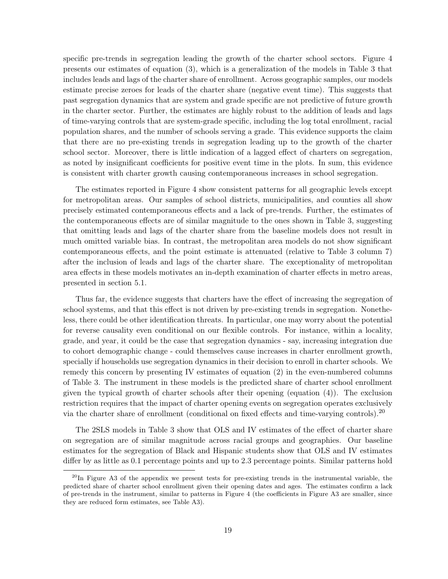specific pre-trends in segregation leading the growth of the charter school sectors. Figure 4 presents our estimates of equation (3), which is a generalization of the models in Table 3 that includes leads and lags of the charter share of enrollment. Across geographic samples, our models estimate precise zeroes for leads of the charter share (negative event time). This suggests that past segregation dynamics that are system and grade specific are not predictive of future growth in the charter sector. Further, the estimates are highly robust to the addition of leads and lags of time-varying controls that are system-grade specific, including the log total enrollment, racial population shares, and the number of schools serving a grade. This evidence supports the claim that there are no pre-existing trends in segregation leading up to the growth of the charter school sector. Moreover, there is little indication of a lagged effect of charters on segregation, as noted by insignificant coefficients for positive event time in the plots. In sum, this evidence is consistent with charter growth causing contemporaneous increases in school segregation.

The estimates reported in Figure 4 show consistent patterns for all geographic levels except for metropolitan areas. Our samples of school districts, municipalities, and counties all show precisely estimated contemporaneous effects and a lack of pre-trends. Further, the estimates of the contemporaneous effects are of similar magnitude to the ones shown in Table 3, suggesting that omitting leads and lags of the charter share from the baseline models does not result in much omitted variable bias. In contrast, the metropolitan area models do not show significant contemporaneous effects, and the point estimate is attenuated (relative to Table 3 column 7) after the inclusion of leads and lags of the charter share. The exceptionality of metropolitan area effects in these models motivates an in-depth examination of charter effects in metro areas, presented in section 5.1.

Thus far, the evidence suggests that charters have the effect of increasing the segregation of school systems, and that this effect is not driven by pre-existing trends in segregation. Nonetheless, there could be other identification threats. In particular, one may worry about the potential for reverse causality even conditional on our flexible controls. For instance, within a locality, grade, and year, it could be the case that segregation dynamics - say, increasing integration due to cohort demographic change - could themselves cause increases in charter enrollment growth, specially if households use segregation dynamics in their decision to enroll in charter schools. We remedy this concern by presenting IV estimates of equation (2) in the even-numbered columns of Table 3. The instrument in these models is the predicted share of charter school enrollment given the typical growth of charter schools after their opening (equation (4)). The exclusion restriction requires that the impact of charter opening events on segregation operates exclusively via the charter share of enrollment (conditional on fixed effects and time-varying controls).<sup>20</sup>

The 2SLS models in Table 3 show that OLS and IV estimates of the effect of charter share on segregation are of similar magnitude across racial groups and geographies. Our baseline estimates for the segregation of Black and Hispanic students show that OLS and IV estimates differ by as little as 0.1 percentage points and up to 2.3 percentage points. Similar patterns hold

 $^{20}$ In Figure A3 of the appendix we present tests for pre-existing trends in the instrumental variable, the predicted share of charter school enrollment given their opening dates and ages. The estimates confirm a lack of pre-trends in the instrument, similar to patterns in Figure 4 (the coefficients in Figure A3 are smaller, since they are reduced form estimates, see Table A3).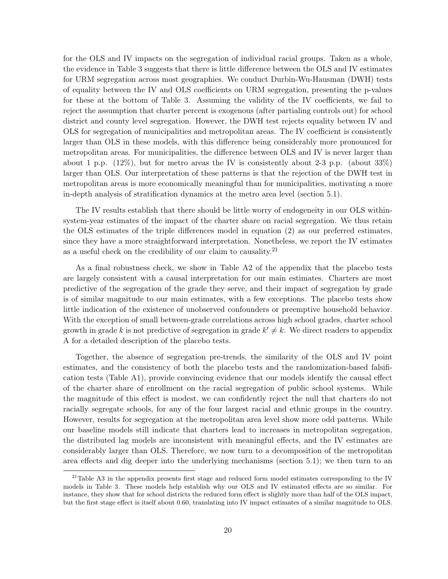for the OLS and IV impacts on the segregation of individual racial groups. Taken as a whole, the evidence in Table 3 suggests that there is little difference between the OLS and IV estimates for URM segregation across most geographies. We conduct Durbin-Wu-Hausman (DWH) tests of equality between the IV and OLS coefficients on URM segregation, presenting the p-values for these at the bottom of Table 3. Assuming the validity of the IV coefficients, we fail to reject the assumption that charter percent is exogenous (after partialing controls out) for school district and county level segregation. However, the DWH test rejects equality between IV and OLS for segregation of municipalities and metropolitan areas. The IV coefficient is consistently larger than OLS in these models, with this difference being considerably more pronounced for metropolitan areas. For municipalities, the difference between OLS and IV is never larger than about 1 p.p.  $(12\%)$ , but for metro areas the IV is consistently about 2-3 p.p. (about 33%) larger than OLS. Our interpretation of these patterns is that the rejection of the DWH test in metropolitan areas is more economically meaningful than for municipalities, motivating a more in-depth analysis of stratification dynamics at the metro area level (section 5.1).

The IV results establish that there should be little worry of endogeneity in our OLS withinsystem-year estimates of the impact of the charter share on racial segregation. We thus retain the OLS estimates of the triple differences model in equation (2) as our preferred estimates, since they have a more straightforward interpretation. Nonetheless, we report the IV estimates as a useful check on the credibility of our claim to causality.<sup>21</sup>

As a final robustness check, we show in Table A2 of the appendix that the placebo tests are largely consistent with a causal interpretation for our main estimates. Charters are most predictive of the segregation of the grade they serve, and their impact of segregation by grade is of similar magnitude to our main estimates, with a few exceptions. The placebo tests show little indication of the existence of unobserved confounders or preemptive household behavior. With the exception of small between-grade correlations across high school grades, charter school growth in grade k is not predictive of segregation in grade  $k' \neq k$ . We direct readers to appendix A for a detailed description of the placebo tests.

Together, the absence of segregation pre-trends, the similarity of the OLS and IV point estimates, and the consistency of both the placebo tests and the randomization-based falsification tests (Table A1), provide convincing evidence that our models identify the causal effect of the charter share of enrollment on the racial segregation of public school systems. While the magnitude of this effect is modest, we can confidently reject the null that charters do not racially segregate schools, for any of the four largest racial and ethnic groups in the country. However, results for segregation at the metropolitan area level show more odd patterns. While our baseline models still indicate that charters lead to increases in metropolitan segregation, the distributed lag models are inconsistent with meaningful effects, and the IV estimates are considerably larger than OLS. Therefore, we now turn to a decomposition of the metropolitan area effects and dig deeper into the underlying mechanisms (section 5.1); we then turn to an

<sup>&</sup>lt;sup>21</sup>Table A3 in the appendix presents first stage and reduced form model estimates corresponding to the IV models in Table 3. These models help establish why our OLS and IV estimated effects are so similar. For instance, they show that for school districts the reduced form effect is slightly more than half of the OLS impact, but the first stage effect is itself about 0.60, translating into IV impact estimates of a similar magnitude to OLS.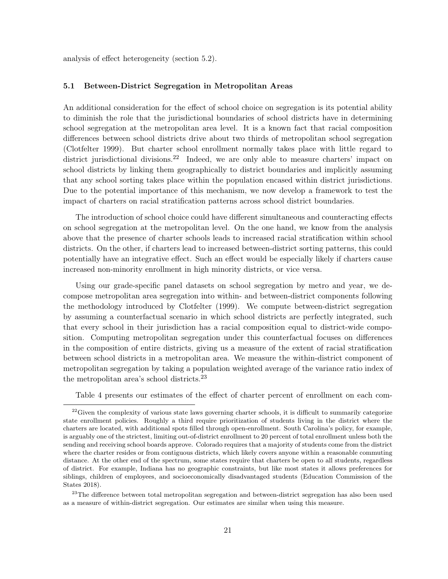analysis of effect heterogeneity (section 5.2).

#### 5.1 Between-District Segregation in Metropolitan Areas

An additional consideration for the effect of school choice on segregation is its potential ability to diminish the role that the jurisdictional boundaries of school districts have in determining school segregation at the metropolitan area level. It is a known fact that racial composition differences between school districts drive about two thirds of metropolitan school segregation (Clotfelter 1999). But charter school enrollment normally takes place with little regard to district jurisdictional divisions.<sup>22</sup> Indeed, we are only able to measure charters' impact on school districts by linking them geographically to district boundaries and implicitly assuming that any school sorting takes place within the population encased within district jurisdictions. Due to the potential importance of this mechanism, we now develop a framework to test the impact of charters on racial stratification patterns across school district boundaries.

The introduction of school choice could have different simultaneous and counteracting effects on school segregation at the metropolitan level. On the one hand, we know from the analysis above that the presence of charter schools leads to increased racial stratification within school districts. On the other, if charters lead to increased between-district sorting patterns, this could potentially have an integrative effect. Such an effect would be especially likely if charters cause increased non-minority enrollment in high minority districts, or vice versa.

Using our grade-specific panel datasets on school segregation by metro and year, we decompose metropolitan area segregation into within- and between-district components following the methodology introduced by Clotfelter (1999). We compute between-district segregation by assuming a counterfactual scenario in which school districts are perfectly integrated, such that every school in their jurisdiction has a racial composition equal to district-wide composition. Computing metropolitan segregation under this counterfactual focuses on differences in the composition of entire districts, giving us a measure of the extent of racial stratification between school districts in a metropolitan area. We measure the within-district component of metropolitan segregation by taking a population weighted average of the variance ratio index of the metropolitan area's school districts.23

Table 4 presents our estimates of the effect of charter percent of enrollment on each com-

 $^{23}\mathrm{The}$  difference between total metropolitan segregation and between-district segregation has also been used as a measure of within-district segregation. Our estimates are similar when using this measure.

 $22$ Given the complexity of various state laws governing charter schools, it is difficult to summarily categorize state enrollment policies. Roughly a third require prioritization of students living in the district where the charters are located, with additional spots filled through open-enrollment. South Carolina's policy, for example, is arguably one of the strictest, limiting out-of-district enrollment to 20 percent of total enrollment unless both the sending and receiving school boards approve. Colorado requires that a majority of students come from the district where the charter resides or from contiguous districts, which likely covers anyone within a reasonable commuting distance. At the other end of the spectrum, some states require that charters be open to all students, regardless of district. For example, Indiana has no geographic constraints, but like most states it allows preferences for siblings, children of employees, and socioeconomically disadvantaged students (Education Commission of the States 2018).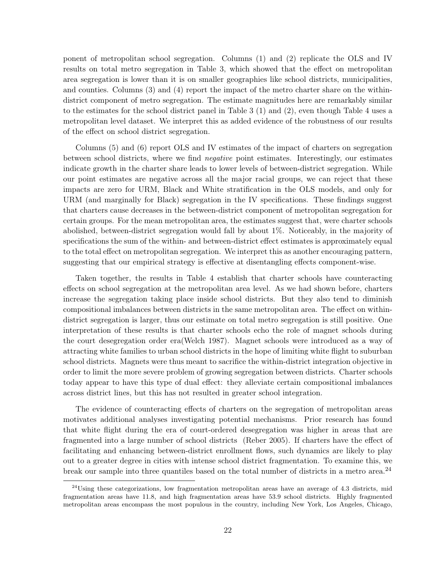ponent of metropolitan school segregation. Columns (1) and (2) replicate the OLS and IV results on total metro segregation in Table 3, which showed that the effect on metropolitan area segregation is lower than it is on smaller geographies like school districts, municipalities, and counties. Columns (3) and (4) report the impact of the metro charter share on the withindistrict component of metro segregation. The estimate magnitudes here are remarkably similar to the estimates for the school district panel in Table 3 (1) and (2), even though Table 4 uses a metropolitan level dataset. We interpret this as added evidence of the robustness of our results of the effect on school district segregation.

Columns (5) and (6) report OLS and IV estimates of the impact of charters on segregation between school districts, where we find negative point estimates. Interestingly, our estimates indicate growth in the charter share leads to lower levels of between-district segregation. While our point estimates are negative across all the major racial groups, we can reject that these impacts are zero for URM, Black and White stratification in the OLS models, and only for URM (and marginally for Black) segregation in the IV specifications. These findings suggest that charters cause decreases in the between-district component of metropolitan segregation for certain groups. For the mean metropolitan area, the estimates suggest that, were charter schools abolished, between-district segregation would fall by about 1%. Noticeably, in the majority of specifications the sum of the within- and between-district effect estimates is approximately equal to the total effect on metropolitan segregation. We interpret this as another encouraging pattern, suggesting that our empirical strategy is effective at disentangling effects component-wise.

Taken together, the results in Table 4 establish that charter schools have counteracting effects on school segregation at the metropolitan area level. As we had shown before, charters increase the segregation taking place inside school districts. But they also tend to diminish compositional imbalances between districts in the same metropolitan area. The effect on withindistrict segregation is larger, thus our estimate on total metro segregation is still positive. One interpretation of these results is that charter schools echo the role of magnet schools during the court desegregation order era(Welch 1987). Magnet schools were introduced as a way of attracting white families to urban school districts in the hope of limiting white flight to suburban school districts. Magnets were thus meant to sacrifice the within-district integration objective in order to limit the more severe problem of growing segregation between districts. Charter schools today appear to have this type of dual effect: they alleviate certain compositional imbalances across district lines, but this has not resulted in greater school integration.

The evidence of counteracting effects of charters on the segregation of metropolitan areas motivates additional analyses investigating potential mechanisms. Prior research has found that white flight during the era of court-ordered desegregation was higher in areas that are fragmented into a large number of school districts (Reber 2005). If charters have the effect of facilitating and enhancing between-district enrollment flows, such dynamics are likely to play out to a greater degree in cities with intense school district fragmentation. To examine this, we break our sample into three quantiles based on the total number of districts in a metro area.<sup>24</sup>

 $24$ Using these categorizations, low fragmentation metropolitan areas have an average of 4.3 districts, mid fragmentation areas have 11.8, and high fragmentation areas have 53.9 school districts. Highly fragmented metropolitan areas encompass the most populous in the country, including New York, Los Angeles, Chicago,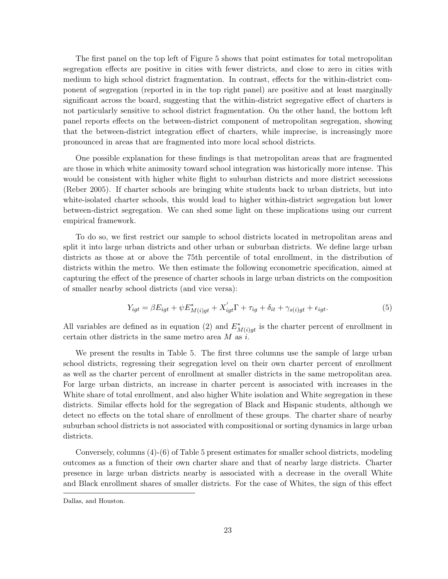The first panel on the top left of Figure 5 shows that point estimates for total metropolitan segregation effects are positive in cities with fewer districts, and close to zero in cities with medium to high school district fragmentation. In contrast, effects for the within-district component of segregation (reported in in the top right panel) are positive and at least marginally significant across the board, suggesting that the within-district segregative effect of charters is not particularly sensitive to school district fragmentation. On the other hand, the bottom left panel reports effects on the between-district component of metropolitan segregation, showing that the between-district integration effect of charters, while imprecise, is increasingly more pronounced in areas that are fragmented into more local school districts.

One possible explanation for these findings is that metropolitan areas that are fragmented are those in which white animosity toward school integration was historically more intense. This would be consistent with higher white flight to suburban districts and more district secessions (Reber 2005). If charter schools are bringing white students back to urban districts, but into white-isolated charter schools, this would lead to higher within-district segregation but lower between-district segregation. We can shed some light on these implications using our current empirical framework.

To do so, we first restrict our sample to school districts located in metropolitan areas and split it into large urban districts and other urban or suburban districts. We define large urban districts as those at or above the 75th percentile of total enrollment, in the distribution of districts within the metro. We then estimate the following econometric specification, aimed at capturing the effect of the presence of charter schools in large urban districts on the composition of smaller nearby school districts (and vice versa):

$$
Y_{igt} = \beta E_{igt} + \psi E_{M(i)gt}^* + X_{igt}' \Gamma + \tau_{ig} + \delta_{it} + \gamma_{s(i)gt} + \epsilon_{igt}.
$$
\n
$$
\tag{5}
$$

All variables are defined as in equation (2) and  $E^*_{M(i)gt}$  is the charter percent of enrollment in certain other districts in the same metro area  $M$  as  $i$ .

We present the results in Table 5. The first three columns use the sample of large urban school districts, regressing their segregation level on their own charter percent of enrollment as well as the charter percent of enrollment at smaller districts in the same metropolitan area. For large urban districts, an increase in charter percent is associated with increases in the White share of total enrollment, and also higher White isolation and White segregation in these districts. Similar effects hold for the segregation of Black and Hispanic students, although we detect no effects on the total share of enrollment of these groups. The charter share of nearby suburban school districts is not associated with compositional or sorting dynamics in large urban districts.

Conversely, columns (4)-(6) of Table 5 present estimates for smaller school districts, modeling outcomes as a function of their own charter share and that of nearby large districts. Charter presence in large urban districts nearby is associated with a decrease in the overall White and Black enrollment shares of smaller districts. For the case of Whites, the sign of this effect

Dallas, and Houston.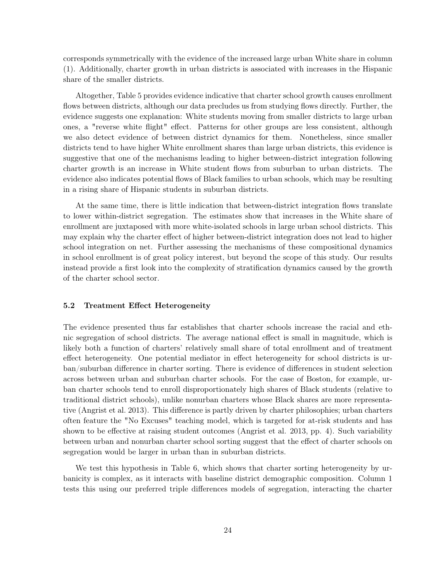corresponds symmetrically with the evidence of the increased large urban White share in column (1). Additionally, charter growth in urban districts is associated with increases in the Hispanic share of the smaller districts.

Altogether, Table 5 provides evidence indicative that charter school growth causes enrollment flows between districts, although our data precludes us from studying flows directly. Further, the evidence suggests one explanation: White students moving from smaller districts to large urban ones, a "reverse white flight" effect. Patterns for other groups are less consistent, although we also detect evidence of between district dynamics for them. Nonetheless, since smaller districts tend to have higher White enrollment shares than large urban districts, this evidence is suggestive that one of the mechanisms leading to higher between-district integration following charter growth is an increase in White student flows from suburban to urban districts. The evidence also indicates potential flows of Black families to urban schools, which may be resulting in a rising share of Hispanic students in suburban districts.

At the same time, there is little indication that between-district integration flows translate to lower within-district segregation. The estimates show that increases in the White share of enrollment are juxtaposed with more white-isolated schools in large urban school districts. This may explain why the charter effect of higher between-district integration does not lead to higher school integration on net. Further assessing the mechanisms of these compositional dynamics in school enrollment is of great policy interest, but beyond the scope of this study. Our results instead provide a first look into the complexity of stratification dynamics caused by the growth of the charter school sector.

# 5.2 Treatment Effect Heterogeneity

The evidence presented thus far establishes that charter schools increase the racial and ethnic segregation of school districts. The average national effect is small in magnitude, which is likely both a function of charters' relatively small share of total enrollment and of treatment effect heterogeneity. One potential mediator in effect heterogeneity for school districts is urban/suburban difference in charter sorting. There is evidence of differences in student selection across between urban and suburban charter schools. For the case of Boston, for example, urban charter schools tend to enroll disproportionately high shares of Black students (relative to traditional district schools), unlike nonurban charters whose Black shares are more representative (Angrist et al. 2013). This difference is partly driven by charter philosophies; urban charters often feature the "No Excuses" teaching model, which is targeted for at-risk students and has shown to be effective at raising student outcomes (Angrist et al. 2013, pp. 4). Such variability between urban and nonurban charter school sorting suggest that the effect of charter schools on segregation would be larger in urban than in suburban districts.

We test this hypothesis in Table 6, which shows that charter sorting heterogeneity by urbanicity is complex, as it interacts with baseline district demographic composition. Column 1 tests this using our preferred triple differences models of segregation, interacting the charter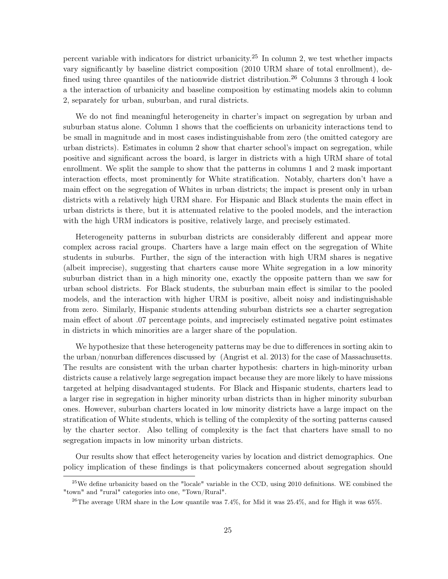percent variable with indicators for district urbanicity.<sup>25</sup> In column 2, we test whether impacts vary significantly by baseline district composition (2010 URM share of total enrollment), defined using three quantiles of the nationwide district distribution.<sup>26</sup> Columns 3 through 4 look a the interaction of urbanicity and baseline composition by estimating models akin to column 2, separately for urban, suburban, and rural districts.

We do not find meaningful heterogeneity in charter's impact on segregation by urban and suburban status alone. Column 1 shows that the coefficients on urbanicity interactions tend to be small in magnitude and in most cases indistinguishable from zero (the omitted category are urban districts). Estimates in column 2 show that charter school's impact on segregation, while positive and significant across the board, is larger in districts with a high URM share of total enrollment. We split the sample to show that the patterns in columns 1 and 2 mask important interaction effects, most prominently for White stratification. Notably, charters don't have a main effect on the segregation of Whites in urban districts; the impact is present only in urban districts with a relatively high URM share. For Hispanic and Black students the main effect in urban districts is there, but it is attenuated relative to the pooled models, and the interaction with the high URM indicators is positive, relatively large, and precisely estimated.

Heterogeneity patterns in suburban districts are considerably different and appear more complex across racial groups. Charters have a large main effect on the segregation of White students in suburbs. Further, the sign of the interaction with high URM shares is negative (albeit imprecise), suggesting that charters cause more White segregation in a low minority suburban district than in a high minority one, exactly the opposite pattern than we saw for urban school districts. For Black students, the suburban main effect is similar to the pooled models, and the interaction with higher URM is positive, albeit noisy and indistinguishable from zero. Similarly, Hispanic students attending suburban districts see a charter segregation main effect of about .07 percentage points, and imprecisely estimated negative point estimates in districts in which minorities are a larger share of the population.

We hypothesize that these heterogeneity patterns may be due to differences in sorting akin to the urban/nonurban differences discussed by (Angrist et al. 2013) for the case of Massachusetts. The results are consistent with the urban charter hypothesis: charters in high-minority urban districts cause a relatively large segregation impact because they are more likely to have missions targeted at helping disadvantaged students. For Black and Hispanic students, charters lead to a larger rise in segregation in higher minority urban districts than in higher minority suburban ones. However, suburban charters located in low minority districts have a large impact on the stratification of White students, which is telling of the complexity of the sorting patterns caused by the charter sector. Also telling of complexity is the fact that charters have small to no segregation impacts in low minority urban districts.

Our results show that effect heterogeneity varies by location and district demographics. One policy implication of these findings is that policymakers concerned about segregation should

 $25$ We define urbanicity based on the "locale" variable in the CCD, using 2010 definitions. WE combined the "town" and "rural" categories into one, "Town/Rural".

 $^{26}$ The average URM share in the Low quantile was 7.4%, for Mid it was 25.4%, and for High it was 65%.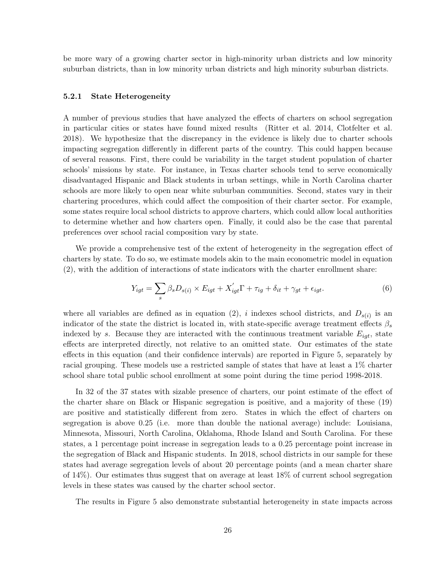be more wary of a growing charter sector in high-minority urban districts and low minority suburban districts, than in low minority urban districts and high minority suburban districts.

#### 5.2.1 State Heterogeneity

A number of previous studies that have analyzed the effects of charters on school segregation in particular cities or states have found mixed results (Ritter et al. 2014, Clotfelter et al. 2018). We hypothesize that the discrepancy in the evidence is likely due to charter schools impacting segregation differently in different parts of the country. This could happen because of several reasons. First, there could be variability in the target student population of charter schools' missions by state. For instance, in Texas charter schools tend to serve economically disadvantaged Hispanic and Black students in urban settings, while in North Carolina charter schools are more likely to open near white suburban communities. Second, states vary in their chartering procedures, which could affect the composition of their charter sector. For example, some states require local school districts to approve charters, which could allow local authorities to determine whether and how charters open. Finally, it could also be the case that parental preferences over school racial composition vary by state.

We provide a comprehensive test of the extent of heterogeneity in the segregation effect of charters by state. To do so, we estimate models akin to the main econometric model in equation (2), with the addition of interactions of state indicators with the charter enrollment share:

$$
Y_{igt} = \sum_{s} \beta_{s} D_{s(i)} \times E_{igt} + X'_{igt} \Gamma + \tau_{ig} + \delta_{it} + \gamma_{gt} + \epsilon_{igt}.
$$
\n(6)

where all variables are defined as in equation (2), i indexes school districts, and  $D_{s(i)}$  is an indicator of the state the district is located in, with state-specific average treatment effects  $\beta_s$ indexed by s. Because they are interacted with the continuous treatment variable  $E_{iqt}$ , state effects are interpreted directly, not relative to an omitted state. Our estimates of the state effects in this equation (and their confidence intervals) are reported in Figure 5, separately by racial grouping. These models use a restricted sample of states that have at least a 1% charter school share total public school enrollment at some point during the time period 1998-2018.

In 32 of the 37 states with sizable presence of charters, our point estimate of the effect of the charter share on Black or Hispanic segregation is positive, and a majority of these (19) are positive and statistically different from zero. States in which the effect of charters on segregation is above 0.25 (i.e. more than double the national average) include: Louisiana, Minnesota, Missouri, North Carolina, Oklahoma, Rhode Island and South Carolina. For these states, a 1 percentage point increase in segregation leads to a 0.25 percentage point increase in the segregation of Black and Hispanic students. In 2018, school districts in our sample for these states had average segregation levels of about 20 percentage points (and a mean charter share of 14%). Our estimates thus suggest that on average at least 18% of current school segregation levels in these states was caused by the charter school sector.

The results in Figure 5 also demonstrate substantial heterogeneity in state impacts across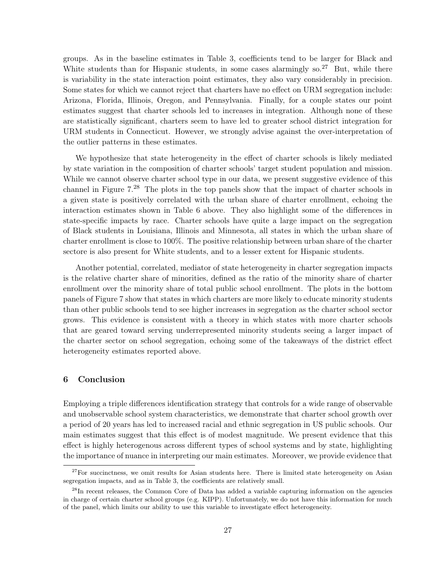groups. As in the baseline estimates in Table 3, coefficients tend to be larger for Black and White students than for Hispanic students, in some cases alarmingly so.<sup>27</sup> But, while there is variability in the state interaction point estimates, they also vary considerably in precision. Some states for which we cannot reject that charters have no effect on URM segregation include: Arizona, Florida, Illinois, Oregon, and Pennsylvania. Finally, for a couple states our point estimates suggest that charter schools led to increases in integration. Although none of these are statistically significant, charters seem to have led to greater school district integration for URM students in Connecticut. However, we strongly advise against the over-interpretation of the outlier patterns in these estimates.

We hypothesize that state heterogeneity in the effect of charter schools is likely mediated by state variation in the composition of charter schools' target student population and mission. While we cannot observe charter school type in our data, we present suggestive evidence of this channel in Figure 7.28 The plots in the top panels show that the impact of charter schools in a given state is positively correlated with the urban share of charter enrollment, echoing the interaction estimates shown in Table 6 above. They also highlight some of the differences in state-specific impacts by race. Charter schools have quite a large impact on the segregation of Black students in Louisiana, Illinois and Minnesota, all states in which the urban share of charter enrollment is close to 100%. The positive relationship between urban share of the charter sectore is also present for White students, and to a lesser extent for Hispanic students.

Another potential, correlated, mediator of state heterogeneity in charter segregation impacts is the relative charter share of minorities, defined as the ratio of the minority share of charter enrollment over the minority share of total public school enrollment. The plots in the bottom panels of Figure 7 show that states in which charters are more likely to educate minority students than other public schools tend to see higher increases in segregation as the charter school sector grows. This evidence is consistent with a theory in which states with more charter schools that are geared toward serving underrepresented minority students seeing a larger impact of the charter sector on school segregation, echoing some of the takeaways of the district effect heterogeneity estimates reported above.

# 6 Conclusion

Employing a triple differences identification strategy that controls for a wide range of observable and unobservable school system characteristics, we demonstrate that charter school growth over a period of 20 years has led to increased racial and ethnic segregation in US public schools. Our main estimates suggest that this effect is of modest magnitude. We present evidence that this effect is highly heterogenous across different types of school systems and by state, highlighting the importance of nuance in interpreting our main estimates. Moreover, we provide evidence that

<sup>&</sup>lt;sup>27</sup>For succinctness, we omit results for Asian students here. There is limited state heterogeneity on Asian segregation impacts, and as in Table 3, the coefficients are relatively small.

<sup>&</sup>lt;sup>28</sup>In recent releases, the Common Core of Data has added a variable capturing information on the agencies in charge of certain charter school groups (e.g. KIPP). Unfortunately, we do not have this information for much of the panel, which limits our ability to use this variable to investigate effect heterogeneity.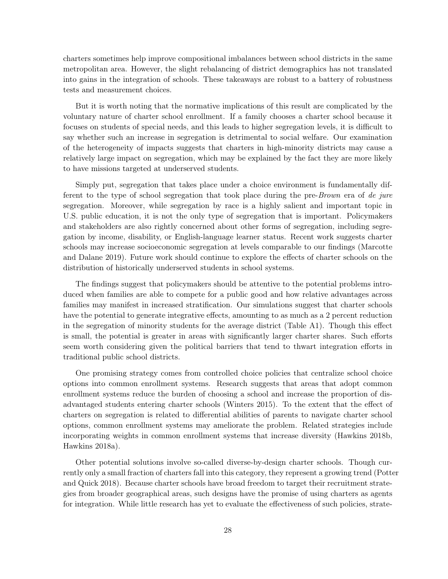charters sometimes help improve compositional imbalances between school districts in the same metropolitan area. However, the slight rebalancing of district demographics has not translated into gains in the integration of schools. These takeaways are robust to a battery of robustness tests and measurement choices.

But it is worth noting that the normative implications of this result are complicated by the voluntary nature of charter school enrollment. If a family chooses a charter school because it focuses on students of special needs, and this leads to higher segregation levels, it is difficult to say whether such an increase in segregation is detrimental to social welfare. Our examination of the heterogeneity of impacts suggests that charters in high-minority districts may cause a relatively large impact on segregation, which may be explained by the fact they are more likely to have missions targeted at underserved students.

Simply put, segregation that takes place under a choice environment is fundamentally different to the type of school segregation that took place during the pre-Brown era of de jure segregation. Moreover, while segregation by race is a highly salient and important topic in U.S. public education, it is not the only type of segregation that is important. Policymakers and stakeholders are also rightly concerned about other forms of segregation, including segregation by income, disability, or English-language learner status. Recent work suggests charter schools may increase socioeconomic segregation at levels comparable to our findings (Marcotte and Dalane 2019). Future work should continue to explore the effects of charter schools on the distribution of historically underserved students in school systems.

The findings suggest that policymakers should be attentive to the potential problems introduced when families are able to compete for a public good and how relative advantages across families may manifest in increased stratification. Our simulations suggest that charter schools have the potential to generate integrative effects, amounting to as much as a 2 percent reduction in the segregation of minority students for the average district (Table A1). Though this effect is small, the potential is greater in areas with significantly larger charter shares. Such efforts seem worth considering given the political barriers that tend to thwart integration efforts in traditional public school districts.

One promising strategy comes from controlled choice policies that centralize school choice options into common enrollment systems. Research suggests that areas that adopt common enrollment systems reduce the burden of choosing a school and increase the proportion of disadvantaged students entering charter schools (Winters 2015). To the extent that the effect of charters on segregation is related to differential abilities of parents to navigate charter school options, common enrollment systems may ameliorate the problem. Related strategies include incorporating weights in common enrollment systems that increase diversity (Hawkins 2018b, Hawkins 2018a).

Other potential solutions involve so-called diverse-by-design charter schools. Though currently only a small fraction of charters fall into this category, they represent a growing trend (Potter and Quick 2018). Because charter schools have broad freedom to target their recruitment strategies from broader geographical areas, such designs have the promise of using charters as agents for integration. While little research has yet to evaluate the effectiveness of such policies, strate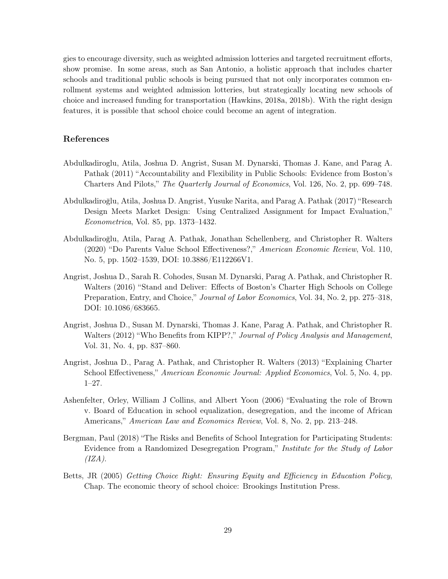gies to encourage diversity, such as weighted admission lotteries and targeted recruitment efforts, show promise. In some areas, such as San Antonio, a holistic approach that includes charter schools and traditional public schools is being pursued that not only incorporates common enrollment systems and weighted admission lotteries, but strategically locating new schools of choice and increased funding for transportation (Hawkins, 2018a, 2018b). With the right design features, it is possible that school choice could become an agent of integration.

# References

- Abdulkadiroglu, Atila, Joshua D. Angrist, Susan M. Dynarski, Thomas J. Kane, and Parag A. Pathak (2011) "Accountability and Flexibility in Public Schools: Evidence from Boston's Charters And Pilots," The Quarterly Journal of Economics, Vol. 126, No. 2, pp. 699–748.
- Abdulkadiroğlu, Atila, Joshua D. Angrist, Yusuke Narita, and Parag A. Pathak (2017) "Research Design Meets Market Design: Using Centralized Assignment for Impact Evaluation," Econometrica, Vol. 85, pp. 1373–1432.
- Abdulkadiroğlu, Atila, Parag A. Pathak, Jonathan Schellenberg, and Christopher R. Walters (2020) "Do Parents Value School Effectiveness?," American Economic Review, Vol. 110, No. 5, pp. 1502–1539, DOI: [10.3886/E112266V1.](http://dx.doi.org/10.3886/E112266V1)
- Angrist, Joshua D., Sarah R. Cohodes, Susan M. Dynarski, Parag A. Pathak, and Christopher R. Walters (2016) "Stand and Deliver: Effects of Boston's Charter High Schools on College Preparation, Entry, and Choice," Journal of Labor Economics, Vol. 34, No. 2, pp. 275–318, DOI: [10.1086/683665.](http://dx.doi.org/10.1086/683665)
- Angrist, Joshua D., Susan M. Dynarski, Thomas J. Kane, Parag A. Pathak, and Christopher R. Walters (2012) "Who Benefits from KIPP?," Journal of Policy Analysis and Management, Vol. 31, No. 4, pp. 837–860.
- Angrist, Joshua D., Parag A. Pathak, and Christopher R. Walters (2013) "Explaining Charter School Effectiveness," American Economic Journal: Applied Economics, Vol. 5, No. 4, pp. 1–27.
- Ashenfelter, Orley, William J Collins, and Albert Yoon (2006) "Evaluating the role of Brown v. Board of Education in school equalization, desegregation, and the income of African Americans," American Law and Economics Review, Vol. 8, No. 2, pp. 213–248.
- Bergman, Paul (2018) "The Risks and Benefits of School Integration for Participating Students: Evidence from a Randomized Desegregation Program," Institute for the Study of Labor  $(IZA).$
- Betts, JR (2005) Getting Choice Right: Ensuring Equity and Efficiency in Education Policy, Chap. The economic theory of school choice: Brookings Institution Press.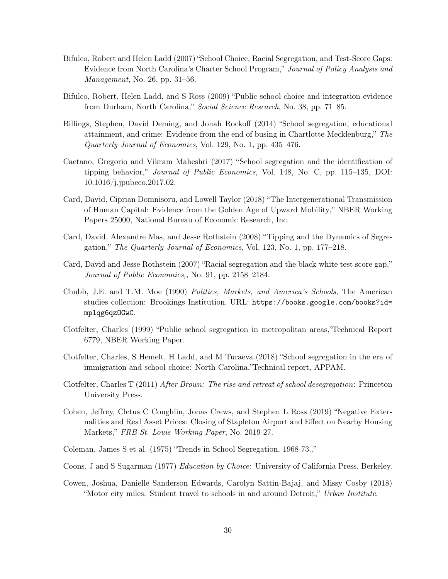- Bifulco, Robert and Helen Ladd (2007) "School Choice, Racial Segregation, and Test-Score Gaps: Evidence from North Carolina's Charter School Program," Journal of Policy Analysis and Management, No. 26, pp. 31–56.
- Bifulco, Robert, Helen Ladd, and S Ross (2009) "Public school choice and integration evidence from Durham, North Carolina," Social Science Research, No. 38, pp. 71–85.
- Billings, Stephen, David Deming, and Jonah Rockoff (2014) "School segregation, educational attainment, and crime: Evidence from the end of busing in Chartlotte-Mecklenburg," The Quarterly Journal of Economics, Vol. 129, No. 1, pp. 435–476.
- Caetano, Gregorio and Vikram Maheshri (2017) "School segregation and the identification of tipping behavior," Journal of Public Economics, Vol. 148, No. C, pp. 115–135, DOI: [10.1016/j.jpubeco.2017.02.](http://dx.doi.org/10.1016/j.jpubeco.2017.02)
- Card, David, Ciprian Domnisoru, and Lowell Taylor (2018) "The Intergenerational Transmission of Human Capital: Evidence from the Golden Age of Upward Mobility," NBER Working Papers 25000, National Bureau of Economic Research, Inc.
- Card, David, Alexandre Mas, and Jesse Rothstein (2008) "Tipping and the Dynamics of Segregation," The Quarterly Journal of Economics, Vol. 123, No. 1, pp. 177–218.
- Card, David and Jesse Rothstein (2007) "Racial segregation and the black-white test score gap," Journal of Public Economics,, No. 91, pp. 2158–2184.
- Chubb, J.E. and T.M. Moe (1990) Politics, Markets, and America's Schools, The American studies collection: Brookings Institution, URL: [https://books.google.com/books?id=](https://books.google.com/books?id=mplqg6qzOGwC) [mplqg6qzOGwC](https://books.google.com/books?id=mplqg6qzOGwC).
- Clotfelter, Charles (1999) "Public school segregation in metropolitan areas,"Technical Report 6779, NBER Working Paper.
- Clotfelter, Charles, S Hemelt, H Ladd, and M Turaeva (2018) "School segregation in the era of immigration and school choice: North Carolina,"Technical report, APPAM.
- Clotfelter, Charles T (2011) After Brown: The rise and retreat of school desegregation: Princeton University Press.
- Cohen, Jeffrey, Cletus C Coughlin, Jonas Crews, and Stephen L Ross (2019) "Negative Externalities and Real Asset Prices: Closing of Stapleton Airport and Effect on Nearby Housing Markets," FRB St. Louis Working Paper, No. 2019-27.
- Coleman, James S et al. (1975) "Trends in School Segregation, 1968-73.."
- Coons, J and S Sugarman (1977) Education by Choice: University of California Press, Berkeley.
- Cowen, Joshua, Danielle Sanderson Edwards, Carolyn Sattin-Bajaj, and Missy Cosby (2018) "Motor city miles: Student travel to schools in and around Detroit," Urban Institute.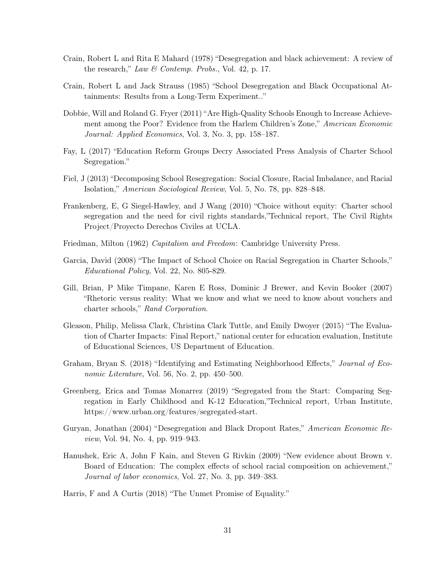- Crain, Robert L and Rita E Mahard (1978) "Desegregation and black achievement: A review of the research," Law & Contemp. Probs., Vol. 42, p. 17.
- Crain, Robert L and Jack Strauss (1985) "School Desegregation and Black Occupational Attainments: Results from a Long-Term Experiment.."
- Dobbie, Will and Roland G. Fryer (2011) "Are High-Quality Schools Enough to Increase Achievement among the Poor? Evidence from the Harlem Children's Zone," American Economic Journal: Applied Economics, Vol. 3, No. 3, pp. 158–187.
- Fay, L (2017) "Education Reform Groups Decry Associated Press Analysis of Charter School Segregation."
- Fiel, J (2013) "Decomposing School Resegregation: Social Closure, Racial Imbalance, and Racial Isolation," American Sociological Review, Vol. 5, No. 78, pp. 828–848.
- Frankenberg, E, G Siegel-Hawley, and J Wang (2010) "Choice without equity: Charter school segregation and the need for civil rights standards,"Technical report, The Civil Rights Project/Proyecto Derechos Civiles at UCLA.
- Friedman, Milton (1962) Capitalism and Freedom: Cambridge University Press.
- Garcia, David (2008) "The Impact of School Choice on Racial Segregation in Charter Schools," Educational Policy, Vol. 22, No. 805-829.
- Gill, Brian, P Mike Timpane, Karen E Ross, Dominic J Brewer, and Kevin Booker (2007) "Rhetoric versus reality: What we know and what we need to know about vouchers and charter schools," Rand Corporation.
- Gleason, Philip, Melissa Clark, Christina Clark Tuttle, and Emily Dwoyer (2015) "The Evaluation of Charter Impacts: Final Report," national center for education evaluation, Institute of Educational Sciences, US Department of Education.
- Graham, Bryan S. (2018) "Identifying and Estimating Neighborhood Effects," Journal of Economic Literature, Vol. 56, No. 2, pp. 450–500.
- Greenberg, Erica and Tomas Monarrez (2019) "Segregated from the Start: Comparing Segregation in Early Childhood and K-12 Education,"Technical report, Urban Institute, https://www.urban.org/features/segregated-start.
- Guryan, Jonathan (2004) "Desegregation and Black Dropout Rates," American Economic Review, Vol. 94, No. 4, pp. 919–943.
- Hanushek, Eric A, John F Kain, and Steven G Rivkin (2009) "New evidence about Brown v. Board of Education: The complex effects of school racial composition on achievement," Journal of labor economics, Vol. 27, No. 3, pp. 349–383.
- Harris, F and A Curtis (2018) "The Unmet Promise of Equality."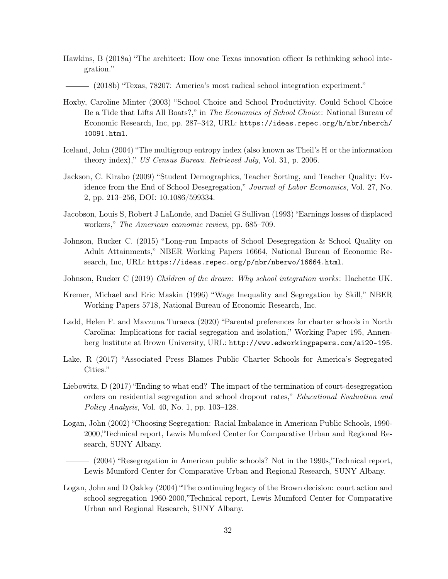- Hawkins, B (2018a) "The architect: How one Texas innovation officer Is rethinking school integration."
	- (2018b) "Texas, 78207: America's most radical school integration experiment."
- Hoxby, Caroline Minter (2003) "School Choice and School Productivity. Could School Choice Be a Tide that Lifts All Boats?," in The Economics of School Choice: National Bureau of Economic Research, Inc, pp. 287–342, URL: [https://ideas.repec.org/h/nbr/nberch/](https://ideas.repec.org/h/nbr/nberch/10091.html) [10091.html](https://ideas.repec.org/h/nbr/nberch/10091.html).
- Iceland, John (2004) "The multigroup entropy index (also known as Theil's H or the information theory index)," US Census Bureau. Retrieved July, Vol. 31, p. 2006.
- Jackson, C. Kirabo (2009) "Student Demographics, Teacher Sorting, and Teacher Quality: Evidence from the End of School Desegregation," Journal of Labor Economics, Vol. 27, No. 2, pp. 213–256, DOI: [10.1086/599334.](http://dx.doi.org/10.1086/599334)
- Jacobson, Louis S, Robert J LaLonde, and Daniel G Sullivan (1993) "Earnings losses of displaced workers," The American economic review, pp. 685–709.
- Johnson, Rucker C. (2015) "Long-run Impacts of School Desegregation & School Quality on Adult Attainments," NBER Working Papers 16664, National Bureau of Economic Research, Inc, URL: <https://ideas.repec.org/p/nbr/nberwo/16664.html>.
- Johnson, Rucker C (2019) Children of the dream: Why school integration works: Hachette UK.
- Kremer, Michael and Eric Maskin (1996) "Wage Inequality and Segregation by Skill," NBER Working Papers 5718, National Bureau of Economic Research, Inc.
- Ladd, Helen F. and Mavzuna Turaeva (2020) "Parental preferences for charter schools in North Carolina: Implications for racial segregation and isolation," Working Paper 195, Annenberg Institute at Brown University, URL: <http://www.edworkingpapers.com/ai20-195>.
- Lake, R (2017) "Associated Press Blames Public Charter Schools for America's Segregated Cities."
- Liebowitz, D (2017) "Ending to what end? The impact of the termination of court-desegregation orders on residential segregation and school dropout rates," Educational Evaluation and Policy Analysis, Vol. 40, No. 1, pp.  $103-128$ .
- Logan, John (2002) "Choosing Segregation: Racial Imbalance in American Public Schools, 1990- 2000,"Technical report, Lewis Mumford Center for Comparative Urban and Regional Research, SUNY Albany.

(2004) "Resegregation in American public schools? Not in the 1990s,"Technical report, Lewis Mumford Center for Comparative Urban and Regional Research, SUNY Albany.

Logan, John and D Oakley (2004) "The continuing legacy of the Brown decision: court action and school segregation 1960-2000,"Technical report, Lewis Mumford Center for Comparative Urban and Regional Research, SUNY Albany.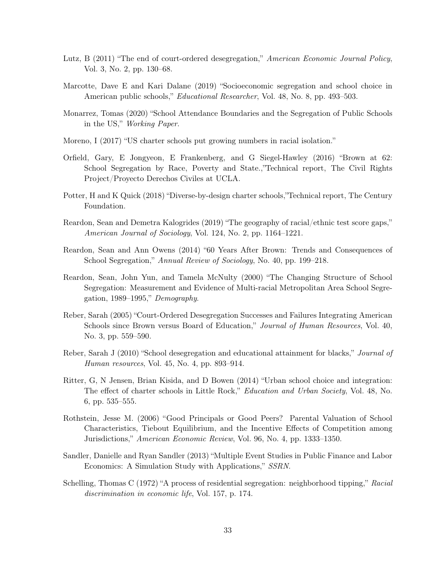- Lutz, B (2011) "The end of court-ordered desegregation," American Economic Journal Policy, Vol. 3, No. 2, pp. 130–68.
- Marcotte, Dave E and Kari Dalane (2019) "Socioeconomic segregation and school choice in American public schools," Educational Researcher, Vol. 48, No. 8, pp. 493–503.
- Monarrez, Tomas (2020) "School Attendance Boundaries and the Segregation of Public Schools in the US," Working Paper.
- Moreno, I (2017) "US charter schools put growing numbers in racial isolation."
- Orfield, Gary, E Jongyeon, E Frankenberg, and G Siegel-Hawley (2016) "Brown at 62: School Segregation by Race, Poverty and State.,"Technical report, The Civil Rights Project/Proyecto Derechos Civiles at UCLA.
- Potter, H and K Quick (2018) "Diverse-by-design charter schools,"Technical report, The Century Foundation.
- Reardon, Sean and Demetra Kalogrides (2019) "The geography of racial/ethnic test score gaps," American Journal of Sociology, Vol. 124, No. 2, pp. 1164–1221.
- Reardon, Sean and Ann Owens (2014) "60 Years After Brown: Trends and Consequences of School Segregation," Annual Review of Sociology, No. 40, pp. 199–218.
- Reardon, Sean, John Yun, and Tamela McNulty (2000) "The Changing Structure of School Segregation: Measurement and Evidence of Multi-racial Metropolitan Area School Segregation, 1989–1995," Demography.
- Reber, Sarah (2005) "Court-Ordered Desegregation Successes and Failures Integrating American Schools since Brown versus Board of Education," Journal of Human Resources, Vol. 40, No. 3, pp. 559–590.
- Reber, Sarah J (2010) "School desegregation and educational attainment for blacks," Journal of Human resources, Vol. 45, No. 4, pp. 893–914.
- Ritter, G, N Jensen, Brian Kisida, and D Bowen (2014) "Urban school choice and integration: The effect of charter schools in Little Rock," Education and Urban Society, Vol. 48, No. 6, pp. 535–555.
- Rothstein, Jesse M. (2006) "Good Principals or Good Peers? Parental Valuation of School Characteristics, Tiebout Equilibrium, and the Incentive Effects of Competition among Jurisdictions," American Economic Review, Vol. 96, No. 4, pp. 1333–1350.
- Sandler, Danielle and Ryan Sandler (2013) "Multiple Event Studies in Public Finance and Labor Economics: A Simulation Study with Applications," SSRN.
- Schelling, Thomas C (1972) "A process of residential segregation: neighborhood tipping," Racial discrimination in economic life, Vol. 157, p. 174.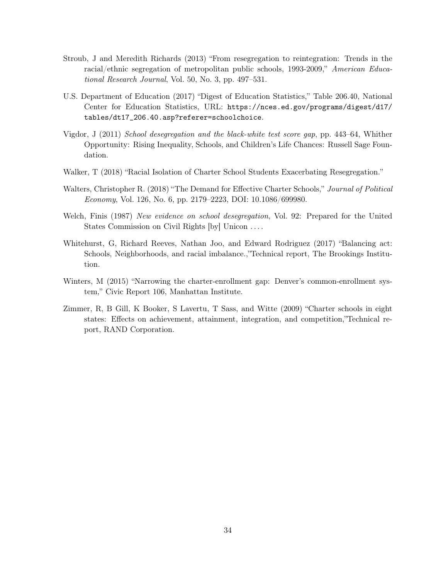- Stroub, J and Meredith Richards (2013) "From resegregation to reintegration: Trends in the racial/ethnic segregation of metropolitan public schools, 1993-2009," American Educational Research Journal, Vol. 50, No. 3, pp. 497–531.
- U.S. Department of Education (2017) "Digest of Education Statistics," Table 206.40, National Center for Education Statistics, URL: [https://nces.ed.gov/programs/digest/d17/](https://nces.ed.gov/programs/digest/d17/tables/dt17_206.40.asp?referer=schoolchoice) [tables/dt17\\_206.40.asp?referer=schoolchoice](https://nces.ed.gov/programs/digest/d17/tables/dt17_206.40.asp?referer=schoolchoice).
- Vigdor, J (2011) School desegregation and the black-white test score gap, pp. 443–64, Whither Opportunity: Rising Inequality, Schools, and Children's Life Chances: Russell Sage Foundation.
- Walker, T (2018) "Racial Isolation of Charter School Students Exacerbating Resegregation."
- Walters, Christopher R. (2018) "The Demand for Effective Charter Schools," Journal of Political Economy, Vol. 126, No. 6, pp. 2179–2223, DOI: [10.1086/699980.](http://dx.doi.org/10.1086/699980)
- Welch, Finis (1987) New evidence on school desegregation, Vol. 92: Prepared for the United States Commission on Civil Rights [by] Unicon . . . .
- Whitehurst, G, Richard Reeves, Nathan Joo, and Edward Rodriguez (2017) "Balancing act: Schools, Neighborhoods, and racial imbalance.,"Technical report, The Brookings Institution.
- Winters, M (2015) "Narrowing the charter-enrollment gap: Denver's common-enrollment system," Civic Report 106, Manhattan Institute.
- Zimmer, R, B Gill, K Booker, S Lavertu, T Sass, and Witte (2009) "Charter schools in eight states: Effects on achievement, attainment, integration, and competition,"Technical report, RAND Corporation.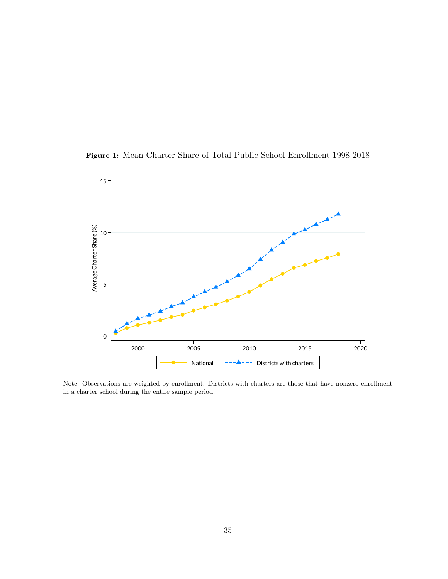Figure 1: Mean Charter Share of Total Public School Enrollment 1998-2018



Note: Observations are weighted by enrollment. Districts with charters are those that have nonzero enrollment in a charter school during the entire sample period.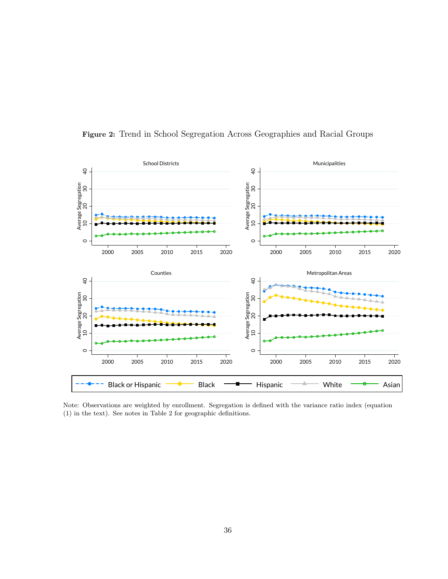

Figure 2: Trend in School Segregation Across Geographies and Racial Groups

Note: Observations are weighted by enrollment. Segregation is defined with the variance ratio index (equation (1) in the text). See notes in Table 2 for geographic definitions.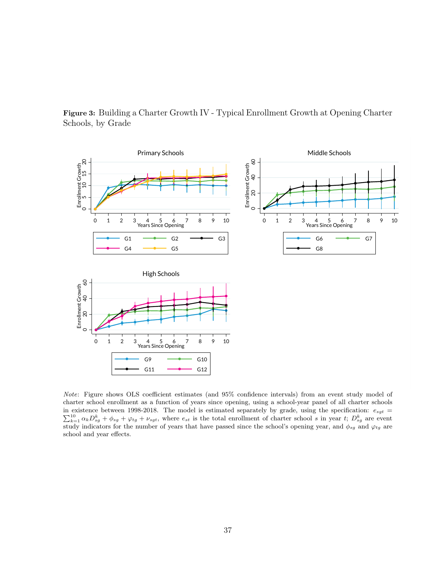

Figure 3: Building a Charter Growth IV - Typical Enrollment Growth at Opening Charter Schools, by Grade

Note: Figure shows OLS coefficient estimates (and 95% confidence intervals) from an event study model of charter school enrollment as a function of years since opening, using a school-year panel of all charter schools  $\sum_{k=1}^{10} \alpha_k D_{sg}^k + \phi_{sg} + \varphi_{tg} + \nu_{sgt}$ , where  $e_{st}$  is the total enrollment of charter school s in year t;  $D_{sg}^k$  are event in existence between 1998-2018. The model is estimated separately by grade, using the specification:  $e_{sgt}$  = study indicators for the number of years that have passed since the school's opening year, and  $\phi_{sg}$  and  $\varphi_{tg}$  are school and year effects.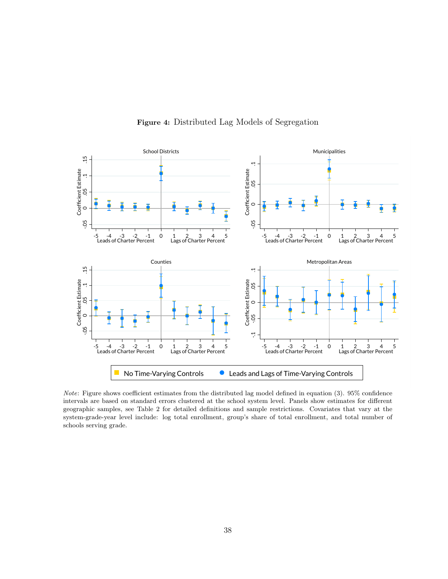

Figure 4: Distributed Lag Models of Segregation

Note: Figure shows coefficient estimates from the distributed lag model defined in equation (3). 95% confidence intervals are based on standard errors clustered at the school system level. Panels show estimates for different geographic samples, see Table 2 for detailed definitions and sample restrictions. Covariates that vary at the system-grade-year level include: log total enrollment, group's share of total enrollment, and total number of schools serving grade.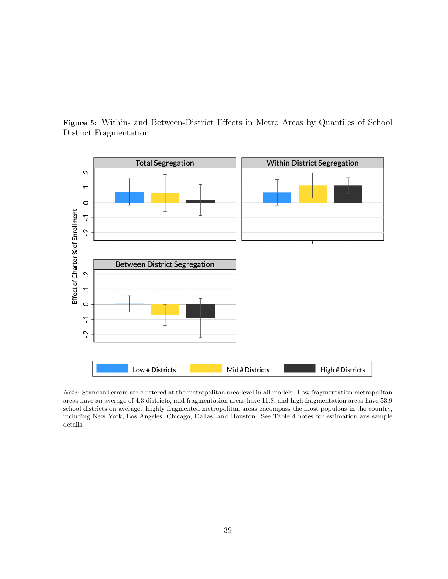

Figure 5: Within- and Between-District Effects in Metro Areas by Quantiles of School District Fragmentation

Note: Standard errors are clustered at the metropolitan area level in all models. Low fragmentation metropolitan areas have an average of 4.3 districts, mid fragmentation areas have 11.8, and high fragmentation areas have 53.9 school districts on average. Highly fragmented metropolitan areas encompass the most populous in the country, including New York, Los Angeles, Chicago, Dallas, and Houston. See Table 4 notes for estimation ans sample details.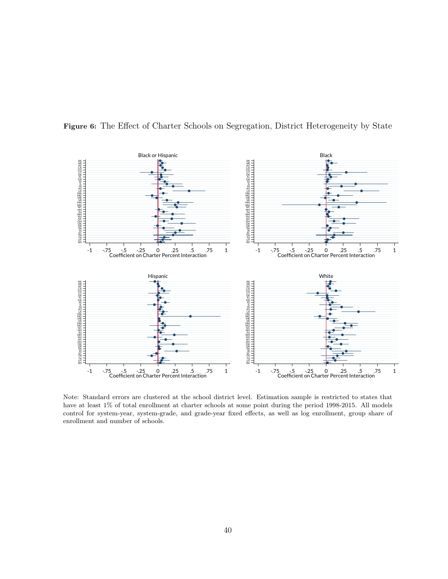

Figure 6: The Effect of Charter Schools on Segregation, District Heterogeneity by State

Note: Standard errors are clustered at the school district level. Estimation sample is restricted to states that have at least 1% of total enrollment at charter schools at some point during the period 1998-2015. All models control for system-year, system-grade, and grade-year fixed effects, as well as log enrollment, group share of enrollment and number of schools.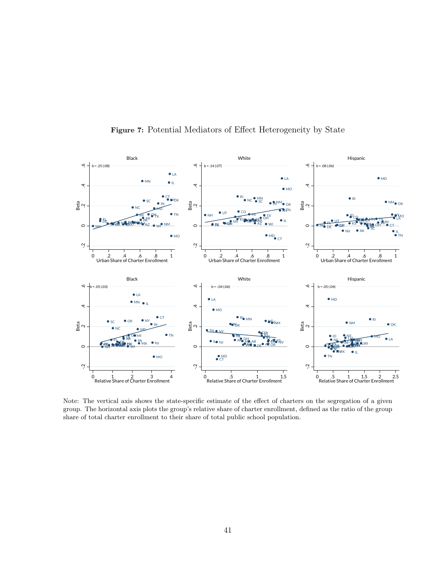

Figure 7: Potential Mediators of Effect Heterogeneity by State

Note: The vertical axis shows the state-specific estimate of the effect of charters on the segregation of a given group. The horizontal axis plots the group's relative share of charter enrollment, defined as the ratio of the group share of total charter enrollment to their share of total public school population.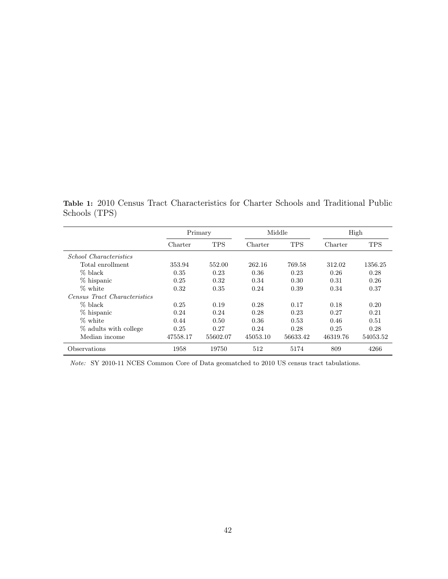Table 1: 2010 Census Tract Characteristics for Charter Schools and Traditional Public Schools (TPS)

|                                     |          | Primary    |          | Middle     |          | High       |
|-------------------------------------|----------|------------|----------|------------|----------|------------|
|                                     | Charter  | <b>TPS</b> | Charter  | <b>TPS</b> | Charter  | <b>TPS</b> |
| <i>School Characteristics</i>       |          |            |          |            |          |            |
| Total enrollment                    | 353.94   | 552.00     | 262.16   | 769.58     | 312.02   | 1356.25    |
| $%$ black                           | 0.35     | 0.23       | 0.36     | 0.23       | 0.26     | 0.28       |
| % hispanic                          | 0.25     | 0.32       | 0.34     | 0.30       | 0.31     | 0.26       |
| % white                             | 0.32     | 0.35       | 0.24     | 0.39       | 0.34     | 0.37       |
| <i>Census Tract Characteristics</i> |          |            |          |            |          |            |
| $%$ black                           | 0.25     | 0.19       | 0.28     | 0.17       | 0.18     | 0.20       |
| % hispanic                          | 0.24     | 0.24       | 0.28     | 0.23       | 0.27     | 0.21       |
| % white                             | 0.44     | 0.50       | 0.36     | 0.53       | 0.46     | 0.51       |
| % adults with college               | 0.25     | 0.27       | 0.24     | 0.28       | 0.25     | 0.28       |
| Median income                       | 47558.17 | 55602.07   | 45053.10 | 56633.42   | 46319.76 | 54053.52   |
| Observations                        | 1958     | 19750      | 512      | 5174       | 809      | 4266       |

Note: SY 2010-11 NCES Common Core of Data geomatched to 2010 US census tract tabulations.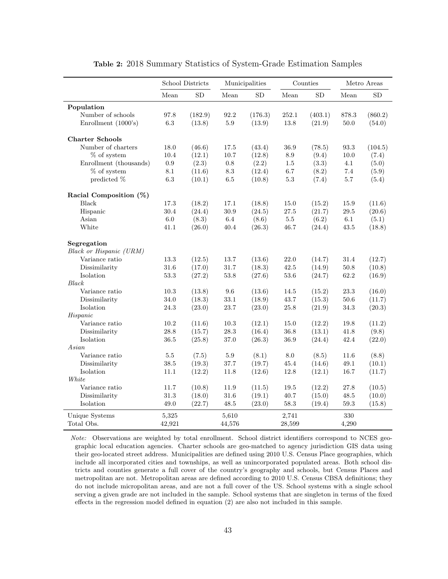|                                        |           | School Districts |          | Municipalities |                 | Counties   |          | Metro Areas |
|----------------------------------------|-----------|------------------|----------|----------------|-----------------|------------|----------|-------------|
|                                        | Mean      | SD               | Mean     | SD             | Mean            | ${\rm SD}$ | Mean     | SD          |
| Population                             |           |                  |          |                |                 |            |          |             |
| Number of schools                      | 97.8      | (182.9)          | 92.2     | (176.3)        | 252.1           | (403.1)    | 878.3    | (860.2)     |
| Enrollment (1000's)                    | $6.3\,$   | (13.8)           | $5.9\,$  | (13.9)         | 13.8            | (21.9)     | $50.0\,$ | (54.0)      |
|                                        |           |                  |          |                |                 |            |          |             |
| <b>Charter Schools</b>                 |           |                  |          |                |                 |            |          |             |
| Number of charters                     | 18.0      | (46.6)           | 17.5     | (43.4)         | 36.9            | (78.5)     | 93.3     | (104.5)     |
| $%$ of system                          | $10.4\,$  | (12.1)           | $10.7\,$ | (12.8)         | $\!\!\!\!\!8.9$ | (9.4)      | $10.0\,$ | (7.4)       |
| Enrollment (thousands)                 | $\rm 0.9$ | (2.3)            | $0.8\,$  | (2.2)          | $1.5\,$         | (3.3)      | 4.1      | (5.0)       |
| $%$ of system                          | 8.1       | (11.6)           | 8.3      | (12.4)         | 6.7             | (8.2)      | 7.4      | (5.9)       |
| predicted %                            | 6.3       | (10.1)           | $6.5\,$  | (10.8)         | $5.3\,$         | (7.4)      | 5.7      | (5.4)       |
| Racial Composition (%)                 |           |                  |          |                |                 |            |          |             |
| Black                                  | 17.3      | (18.2)           | 17.1     | (18.8)         | 15.0            | (15.2)     | 15.9     | (11.6)      |
| Hispanic                               | 30.4      | (24.4)           | 30.9     | (24.5)         | 27.5            | (21.7)     | 29.5     | (20.6)      |
| Asian                                  | $6.0\,$   | (8.3)            | 6.4      | (8.6)          | $5.5\,$         | (6.2)      | 6.1      | (5.1)       |
| White                                  | 41.1      | (26.0)           | 40.4     | (26.3)         | 46.7            | (24.4)     | 43.5     | (18.8)      |
|                                        |           |                  |          |                |                 |            |          |             |
| Segregation<br>Black or Hispanic (URM) |           |                  |          |                |                 |            |          |             |
| Variance ratio                         | $13.3\,$  | (12.5)           | $13.7\,$ | (13.6)         | $22.0\,$        | (14.7)     | 31.4     | (12.7)      |
| Dissimilarity                          | $31.6\,$  | (17.0)           | 31.7     | (18.3)         | $42.5\,$        | (14.9)     | 50.8     | (10.8)      |
| Isolation                              | $53.3\,$  | (27.2)           | $53.8\,$ | (27.6)         | $53.6\,$        | (24.7)     | 62.2     | (16.9)      |
| Black                                  |           |                  |          |                |                 |            |          |             |
| Variance ratio                         | 10.3      | (13.8)           | $\,9.6$  | (13.6)         | 14.5            | (15.2)     | $23.3\,$ | (16.0)      |
| Dissimilarity                          | $34.0\,$  | (18.3)           | $33.1\,$ | (18.9)         | 43.7            | (15.3)     | $50.6\,$ | (11.7)      |
| Isolation                              | $24.3\,$  | (23.0)           | 23.7     | (23.0)         | 25.8            | (21.9)     | 34.3     | (20.3)      |
| Hispanic                               |           |                  |          |                |                 |            |          |             |
| Variance ratio                         | 10.2      | (11.6)           | 10.3     | (12.1)         | 15.0            | (12.2)     | 19.8     | (11.2)      |
| Dissimilarity                          | 28.8      | (15.7)           | $28.3\,$ | (16.4)         | 36.8            | (13.1)     | 41.8     | (9.8)       |
| Isolation                              | $36.5\,$  | (25.8)           | $37.0\,$ | (26.3)         | 36.9            | (24.4)     | 42.4     | (22.0)      |
| Asian                                  |           |                  |          |                |                 |            |          |             |
| Variance ratio                         | 5.5       | (7.5)            | $5.9\,$  | (8.1)          | 8.0             | (8.5)      | 11.6     | (8.8)       |
| Dissimilarity                          | 38.5      | (19.3)           | 37.7     | (19.7)         | 45.4            | (14.6)     | 49.1     | (10.1)      |
| Isolation                              | 11.1      | (12.2)           | 11.8     | (12.6)         | 12.8            | (12.1)     | 16.7     | (11.7)      |
| White                                  |           |                  |          |                |                 |            |          |             |
| Variance ratio                         | 11.7      | (10.8)           | 11.9     | (11.5)         | 19.5            | (12.2)     | 27.8     | (10.5)      |
| Dissimilarity                          | $31.3\,$  | (18.0)           | $31.6\,$ | (19.1)         | 40.7            | (15.0)     | 48.5     | (10.0)      |
| Isolation                              | $49.0\,$  | (22.7)           | 48.5     | (23.0)         | 58.3            | (19.4)     | $59.3\,$ | (15.8)      |
|                                        |           |                  |          |                |                 |            |          |             |
| Unique Systems                         | 5,325     |                  | 5,610    |                | 2,741           |            | 330      |             |
| Total Obs.                             | 42,921    |                  | 44,576   |                | 28,599          |            | 4,290    |             |

Table 2: 2018 Summary Statistics of System-Grade Estimation Samples

Note: Observations are weighted by total enrollment. School district identifiers correspond to NCES geographic local education agencies. Charter schools are geo-matched to agency jurisdiction GIS data using their geo-located street address. Municipalities are defined using 2010 U.S. Census Place geographies, which include all incorporated cities and townships, as well as unincorporated populated areas. Both school districts and counties generate a full cover of the country's geography and schools, but Census Places and metropolitan are not. Metropolitan areas are defined according to 2010 U.S. Census CBSA definitions; they do not include micropolitan areas, and are not a full cover of the US. School systems with a single school serving a given grade are not included in the sample. School systems that are singleton in terms of the fixed effects in the regression model defined in equation (2) are also not included in this sample.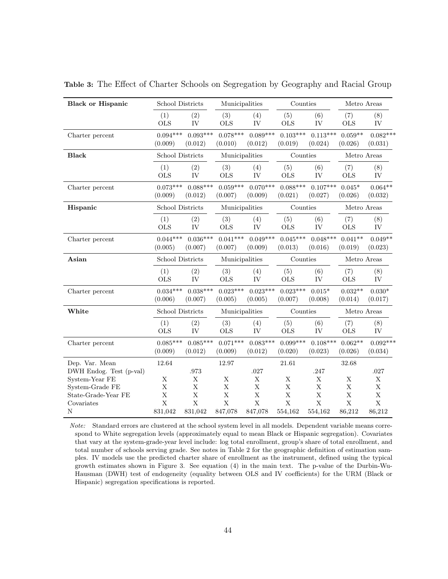| <b>Black or Hispanic</b> | School Districts |             | Municipalities |            | Counties    |             | Metro Areas |             |
|--------------------------|------------------|-------------|----------------|------------|-------------|-------------|-------------|-------------|
|                          | (1)              | (2)         | (3)            | (4)        | (5)         | (6)         | (7)         | (8)         |
|                          | <b>OLS</b>       | IV          | <b>OLS</b>     | IV         | <b>OLS</b>  | IV          | <b>OLS</b>  | IV          |
| Charter percent          | $0.094***$       | $0.093***$  | $0.078***$     | $0.089***$ | $0.103***$  | $0.113***$  | $0.059**$   | $0.082***$  |
|                          | (0.009)          | (0.012)     | (0.010)        | (0.012)    | (0.019)     | (0.024)     | (0.026)     | (0.031)     |
| <b>Black</b>             | School Districts |             | Municipalities |            | Counties    |             | Metro Areas |             |
|                          | (1)              | (2)         | (3)            | (4)        | (5)         | (6)         | (7)         | (8)         |
|                          | <b>OLS</b>       | IV          | <b>OLS</b>     | IV         | <b>OLS</b>  | IV          | <b>OLS</b>  | IV          |
| Charter percent          | $0.073***$       | $0.088***$  | $0.059***$     | $0.070***$ | $0.088***$  | $0.107***$  | $0.045*$    | $0.064**$   |
|                          | (0.009)          | (0.012)     | (0.007)        | (0.009)    | (0.021)     | (0.027)     | (0.026)     | (0.032)     |
| Hispanic                 | School Districts |             | Municipalities |            | Counties    |             | Metro Areas |             |
|                          | (1)              | (2)         | (3)            | (4)        | (5)         | (6)         | (7)         | (8)         |
|                          | <b>OLS</b>       | IV          | <b>OLS</b>     | IV         | <b>OLS</b>  | IV          | <b>OLS</b>  | IV          |
| Charter percent          | $0.044***$       | $0.036***$  | $0.041***$     | $0.049***$ | $0.045***$  | $0.048***$  | $0.041**$   | $0.049**$   |
|                          | (0.005)          | (0.007)     | (0.007)        | (0.009)    | (0.013)     | (0.016)     | (0.019)     | (0.023)     |
| Asian                    | School Districts |             | Municipalities |            | Counties    |             | Metro Areas |             |
|                          | (1)              | (2)         | (3)            | (4)        | (5)         | (6)         | (7)         | (8)         |
|                          | <b>OLS</b>       | IV          | <b>OLS</b>     | IV         | <b>OLS</b>  | ${\rm IV}$  | <b>OLS</b>  | IV          |
| Charter percent          | $0.034***$       | $0.038***$  | $0.023***$     | $0.023***$ | $0.023***$  | $0.015*$    | $0.032**$   | $0.030*$    |
|                          | (0.006)          | (0.007)     | (0.005)        | (0.005)    | (0.007)     | (0.008)     | (0.014)     | (0.017)     |
| White                    | School Districts |             | Municipalities |            | Counties    |             | Metro Areas |             |
|                          | (1)              | (2)         | (3)            | (4)        | (5)         | (6)         | (7)         | (8)         |
|                          | <b>OLS</b>       | IV          | $_{\rm OLS}$   | IV         | <b>OLS</b>  | IV          | <b>OLS</b>  | IV          |
| Charter percent          | $0.085***$       | $0.085***$  | $0.071***$     | $0.083***$ | $0.099***$  | $0.108***$  | $0.062**$   | $0.092***$  |
|                          | (0.009)          | (0.012)     | (0.009)        | (0.012)    | (0.020)     | (0.023)     | (0.026)     | (0.034)     |
| Dep. Var. Mean           | 12.64            |             | 12.97          |            | 21.61       |             | 32.68       |             |
| DWH Endog. Test (p-val)  |                  | .973        |                | .027       |             | .247        |             | .027        |
| System-Year FE           | X                | $\mathbf X$ | X              | X          | X           | X           | X           | X           |
| System-Grade FE          | X                | $\mathbf X$ | $\mathbf X$    | $\rm X$    | X           | $\mathbf X$ | $\mathbf X$ | $\mathbf X$ |
| State-Grade-Year FE      | $\mathbf X$      | X           | $\mathbf X$    | X          | $\mathbf X$ | $\mathbf X$ | $\mathbf X$ | $\mathbf X$ |
| Covariates               | $\bar{X}$        | $\bar{X}$   | $\mathbf X$    | $\bar{X}$  | $\bar{X}$   | $\bar{X}$   | $\mathbf X$ | $\mathbf X$ |
| $\mathbf N$              | 831,042          | 831,042     | 847,078        | 847,078    | 554,162     | 554,162     | 86,212      | 86,212      |

Table 3: The Effect of Charter Schools on Segregation by Geography and Racial Group

Note: Standard errors are clustered at the school system level in all models. Dependent variable means correspond to White segregation levels (approximately equal to mean Black or Hispanic segregation). Covariates that vary at the system-grade-year level include: log total enrollment, group's share of total enrollment, and total number of schools serving grade. See notes in Table 2 for the geographic definition of estimation samples. IV models use the predicted charter share of enrollment as the instrument, defined using the typical growth estimates shown in Figure 3. See equation (4) in the main text. The p-value of the Durbin-Wu-Hausman (DWH) test of endogeneity (equality between OLS and IV coefficients) for the URM (Black or Hispanic) segregation specifications is reported.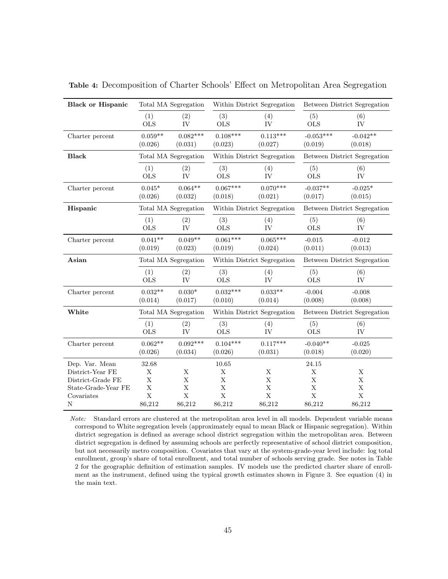| <b>Black or Hispanic</b> |                      | Total MA Segregation  |                       | Within District Segregation |                        | Between District Segregation        |
|--------------------------|----------------------|-----------------------|-----------------------|-----------------------------|------------------------|-------------------------------------|
|                          | (1)<br><b>OLS</b>    | (2)<br>IV             | (3)<br><b>OLS</b>     | (4)<br>IV                   | (5)<br><b>OLS</b>      | (6)<br>IV                           |
| Charter percent          | $0.059**$<br>(0.026) | $0.082***$<br>(0.031) | $0.108***$<br>(0.023) | $0.113***$<br>(0.027)       | $-0.053***$<br>(0.019) | $-0.042**$<br>(0.018)               |
| <b>Black</b>             |                      | Total MA Segregation  |                       | Within District Segregation |                        | Between District Segregation        |
|                          | (1)<br><b>OLS</b>    | (2)<br><b>IV</b>      | (3)<br><b>OLS</b>     | (4)<br><b>IV</b>            | (5)<br><b>OLS</b>      | (6)<br>${\rm IV}$                   |
| Charter percent          | $0.045*$<br>(0.026)  | $0.064**$<br>(0.032)  | $0.067***$<br>(0.018) | $0.070***$<br>(0.021)       | $-0.037**$<br>(0.017)  | $-0.025*$<br>(0.015)                |
| Hispanic                 |                      | Total MA Segregation  |                       | Within District Segregation |                        | Between District Segregation        |
|                          | (1)<br><b>OLS</b>    | (2)<br>IV             | (3)<br><b>OLS</b>     | (4)<br>IV                   | (5)<br><b>OLS</b>      | (6)<br>IV                           |
| Charter percent          | $0.041**$<br>(0.019) | $0.049**$<br>(0.023)  | $0.061***$<br>(0.019) | $0.065***$<br>(0.024)       | $-0.015$<br>(0.011)    | $-0.012$<br>(0.013)                 |
| Asian                    |                      | Total MA Segregation  |                       | Within District Segregation |                        | <b>Between District Segregation</b> |
|                          | (1)<br><b>OLS</b>    | (2)<br>IV             | (3)<br><b>OLS</b>     | (4)<br>IV                   | (5)<br><b>OLS</b>      | (6)<br>IV                           |
| Charter percent          | $0.032**$<br>(0.014) | $0.030*$<br>(0.017)   | $0.032***$<br>(0.010) | $0.033**$<br>(0.014)        | $-0.004$<br>(0.008)    | $-0.008$<br>(0.008)                 |
| White                    |                      | Total MA Segregation  |                       | Within District Segregation |                        | <b>Between District Segregation</b> |
|                          | (1)<br><b>OLS</b>    | (2)<br>IV             | (3)<br><b>OLS</b>     | (4)<br>IV                   | (5)<br><b>OLS</b>      | (6)<br>IV                           |
| Charter percent          | $0.062**$<br>(0.026) | $0.092***$<br>(0.034) | $0.104***$<br>(0.026) | $0.117***$<br>(0.031)       | $-0.040**$<br>(0.018)  | $-0.025$<br>(0.020)                 |
| Dep. Var. Mean           | 32.68                |                       | 10.65                 |                             | 24.15                  |                                     |
| District-Year FE         | X                    | X                     | X                     | X                           | X                      | X                                   |
| District-Grade FE        | $\mathbf X$          | X                     | $\mathbf X$           | $\mathbf X$                 | $\mathbf X$            | $\mathbf X$                         |
| State-Grade-Year FE      | $\mathbf X$          | X                     | $\mathbf X$           | $\mathbf X$                 | $\mathbf X$            | $\mathbf X$                         |
| Covariates               | $\bar{X}$            | X                     | X                     | $\mathbf X$                 | $\mathbf X$            | $\mathbf X$                         |
| N                        | 86,212               | 86,212                | 86,212                | 86,212                      | 86,212                 | 86,212                              |

Table 4: Decomposition of Charter Schools' Effect on Metropolitan Area Segregation

Note: Standard errors are clustered at the metropolitan area level in all models. Dependent variable means correspond to White segregation levels (approximately equal to mean Black or Hispanic segregation). Within district segregation is defined as average school district segregation within the metropolitan area. Between district segregation is defined by assuming schools are perfectly representative of school district composition, but not necessarily metro composition. Covariates that vary at the system-grade-year level include: log total enrollment, group's share of total enrollment, and total number of schools serving grade. See notes in Table 2 for the geographic definition of estimation samples. IV models use the predicted charter share of enrollment as the instrument, defined using the typical growth estimates shown in Figure 3. See equation (4) in the main text.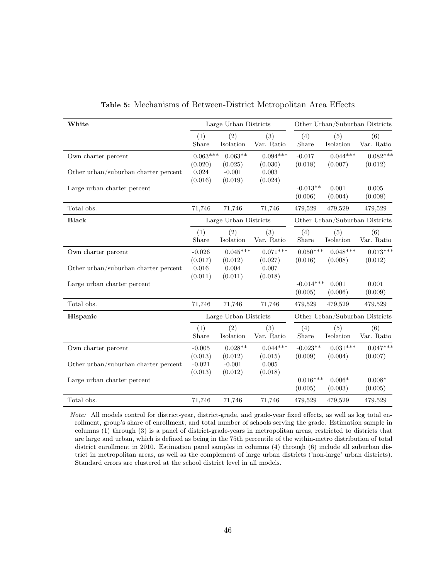| White                                |                       | Large Urban Districts |                       |                        |                       | Other Urban/Suburban Districts |
|--------------------------------------|-----------------------|-----------------------|-----------------------|------------------------|-----------------------|--------------------------------|
|                                      | (1)<br>Share          | (2)<br>Isolation      | (3)<br>Var. Ratio     | (4)<br>Share           | (5)<br>Isolation      | (6)<br>Var. Ratio              |
| Own charter percent                  | $0.063***$<br>(0.020) | $0.063**$<br>(0.025)  | $0.094***$<br>(0.030) | $-0.017$<br>(0.018)    | $0.044***$<br>(0.007) | $0.082***$<br>(0.012)          |
| Other urban/suburban charter percent | 0.024<br>(0.016)      | $-0.001$<br>(0.019)   | 0.003<br>(0.024)      |                        |                       |                                |
| Large urban charter percent          |                       |                       |                       | $-0.013**$<br>(0.006)  | 0.001<br>(0.004)      | 0.005<br>(0.008)               |
| Total obs.                           | 71,746                | 71,746                | 71,746                | 479,529                | 479,529               | 479,529                        |
| <b>Black</b>                         |                       | Large Urban Districts |                       |                        |                       | Other Urban/Suburban Districts |
|                                      | (1)<br>Share          | (2)<br>Isolation      | (3)<br>Var. Ratio     | (4)<br>Share           | (5)<br>Isolation      | (6)<br>Var. Ratio              |
| Own charter percent                  | $-0.026$<br>(0.017)   | $0.045***$<br>(0.012) | $0.071***$<br>(0.027) | $0.050***$<br>(0.016)  | $0.048***$<br>(0.008) | $0.073***$<br>(0.012)          |
| Other urban/suburban charter percent | 0.016<br>(0.011)      | 0.004<br>(0.011)      | 0.007<br>(0.018)      |                        |                       |                                |
| Large urban charter percent          |                       |                       |                       | $-0.014***$<br>(0.005) | 0.001<br>(0.006)      | 0.001<br>(0.009)               |
| Total obs.                           | 71,746                | 71,746                | 71,746                | 479,529                | 479,529               | 479,529                        |
| Hispanic                             |                       | Large Urban Districts |                       |                        |                       | Other Urban/Suburban Districts |
|                                      | (1)<br>Share          | (2)<br>Isolation      | (3)<br>Var. Ratio     | (4)<br>Share           | (5)<br>Isolation      | (6)<br>Var. Ratio              |
| Own charter percent                  | $-0.005$<br>(0.013)   | $0.028**$<br>(0.012)  | $0.044***$<br>(0.015) | $-0.023**$<br>(0.009)  | $0.031***$<br>(0.004) | $0.047***$<br>(0.007)          |
| Other urban/suburban charter percent | $-0.021$<br>(0.013)   | $-0.001$<br>(0.012)   | 0.005<br>(0.018)      |                        |                       |                                |
| Large urban charter percent          |                       |                       |                       | $0.016***$<br>(0.005)  | $0.006*$<br>(0.003)   | $0.008*$<br>(0.005)            |
| Total obs.                           | 71,746                | 71,746                | 71,746                | 479,529                | 479,529               | 479,529                        |

Table 5: Mechanisms of Between-District Metropolitan Area Effects

Note: All models control for district-year, district-grade, and grade-year fixed effects, as well as log total enrollment, group's share of enrollment, and total number of schools serving the grade. Estimation sample in columns (1) through (3) is a panel of district-grade-years in metropolitan areas, restricted to districts that are large and urban, which is defined as being in the 75th percentile of the within-metro distribution of total district enrollment in 2010. Estimation panel samples in columns (4) through (6) include all suburban district in metropolitan areas, as well as the complement of large urban districts ('non-large' urban districts). Standard errors are clustered at the school district level in all models.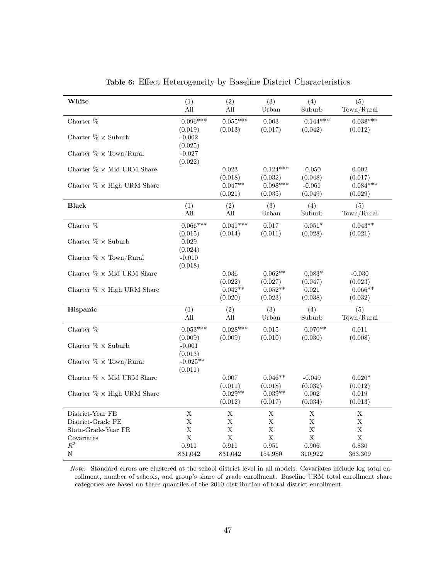| White                                 | (1)                 | (2)                  | (3)                  | (4)                 | (5)                 |
|---------------------------------------|---------------------|----------------------|----------------------|---------------------|---------------------|
|                                       | All                 | All                  | Urban                | Suburb              | Town/Rural          |
|                                       | $0.096***$          | $0.055***$           |                      | $0.144***$          | $0.038***$          |
| Charter %                             | (0.019)             | (0.013)              | 0.003<br>(0.017)     | (0.042)             | (0.012)             |
| Charter $\% \times$ Suburb            | $-0.002$            |                      |                      |                     |                     |
|                                       | (0.025)             |                      |                      |                     |                     |
| Charter $\% \times \text{Town/Rural}$ | $-0.027$            |                      |                      |                     |                     |
|                                       | (0.022)             |                      |                      |                     |                     |
| Charter $\%$ $\times$ Mid URM Share   |                     | 0.023                | $0.124***$           | $-0.050$            | 0.002               |
|                                       |                     | (0.018)              | (0.032)              | (0.048)             | (0.017)             |
| Charter $\% \times$ High URM Share    |                     | $0.047**$            | $0.098***$           | $-0.061$            | $0.084***$          |
|                                       |                     | (0.021)              | (0.035)              | (0.049)             | (0.029)             |
| <b>Black</b>                          | (1)                 | (2)                  | (3)                  | (4)                 | (5)                 |
|                                       | All                 | All                  | Urban                | Suburb              | Town/Rural          |
| Charter %                             | $0.066***$          | $0.041***$           | 0.017                | $0.051*$            | $0.043**$           |
|                                       | (0.015)             | (0.014)              | (0.011)              | (0.028)             | (0.021)             |
| Charter $\% \times$ Suburb            | $\,0.029\,$         |                      |                      |                     |                     |
|                                       | (0.024)             |                      |                      |                     |                     |
| Charter $\% \times \text{Town/Rural}$ | $-0.010$            |                      |                      |                     |                     |
|                                       | (0.018)             |                      |                      |                     |                     |
| Charter $\%$ $\times$ Mid URM Share   |                     | $0.036\,$            | $0.062**$            | $0.083*$<br>(0.047) | $-0.030$<br>(0.023) |
| Charter $\% \times$ High URM Share    |                     | (0.022)<br>$0.042**$ | (0.027)<br>$0.052**$ | 0.021               | $0.066**$           |
|                                       |                     | (0.020)              | (0.023)              | (0.038)             | (0.032)             |
|                                       |                     |                      |                      |                     |                     |
| Hispanic                              | (1)<br>All          | (2)<br>All           | (3)                  | (4)<br>Suburb       | (5)<br>Town/Rural   |
|                                       |                     |                      | Urban                |                     |                     |
| Charter %                             | $0.053***$          | $0.028***$           | 0.015                | $0.070**$           | 0.011               |
|                                       | (0.009)             | (0.009)              | (0.010)              | (0.030)             | (0.008)             |
| Charter $\% \times$ Suburb            | $-0.001$<br>(0.013) |                      |                      |                     |                     |
| Charter $\% \times$ Town/Rural        | $-0.025**$          |                      |                      |                     |                     |
|                                       | (0.011)             |                      |                      |                     |                     |
| Charter $\%$ $\times$ Mid URM Share   |                     | $0.007\,$            | $0.046**$            | $-0.049$            | $0.020*$            |
|                                       |                     | (0.011)              | (0.018)              | (0.032)             | (0.012)             |
| Charter $\% \times$ High URM Share    |                     | $0.029**$            | $0.039**$            | 0.002               | 0.019               |
|                                       |                     | (0.012)              | (0.017)              | (0.034)             | (0.013)             |
| District-Year FE                      | $\mathbf X$         | $\mathbf X$          | $\mathbf X$          | $\mathbf X$         | $\mathbf X$         |
| District-Grade FE                     | $\mathbf X$         | $\mathbf X$          | X                    | $\mathbf X$         | $\mathbf X$         |
| State-Grade-Year FE                   | $\mathbf X$         | $\mathbf X$          | $\mathbf X$          | $\mathbf X$         | $\mathbf X$         |
| Covariates                            | $\mathbf X$         | $\mathbf X$          | $\bar{X}$            | $\mathbf X$         | $\mathbf X$         |
| $R^2$                                 | 0.911               | 0.911                | 0.951                | 0.906               | 0.830               |
| $\mathbf N$                           | 831,042             | 831,042              | 154,980              | 310,922             | 363,309             |

Table 6: Effect Heterogeneity by Baseline District Characteristics

Note: Standard errors are clustered at the school district level in all models. Covariates include log total enrollment, number of schools, and group's share of grade enrollment. Baseline URM total enrollment share categories are based on three quantiles of the 2010 distribution of total district enrollment.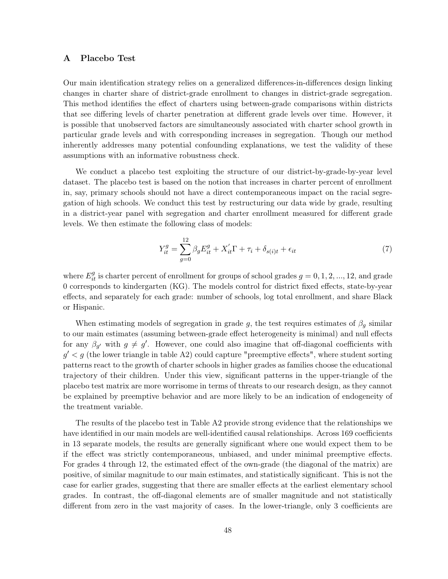# A Placebo Test

Our main identification strategy relies on a generalized differences-in-differences design linking changes in charter share of district-grade enrollment to changes in district-grade segregation. This method identifies the effect of charters using between-grade comparisons within districts that see differing levels of charter penetration at different grade levels over time. However, it is possible that unobserved factors are simultaneously associated with charter school growth in particular grade levels and with corresponding increases in segregation. Though our method inherently addresses many potential confounding explanations, we test the validity of these assumptions with an informative robustness check.

We conduct a placebo test exploiting the structure of our district-by-grade-by-year level dataset. The placebo test is based on the notion that increases in charter percent of enrollment in, say, primary schools should not have a direct contemporaneous impact on the racial segregation of high schools. We conduct this test by restructuring our data wide by grade, resulting in a district-year panel with segregation and charter enrollment measured for different grade levels. We then estimate the following class of models:

$$
Y_{it}^g = \sum_{g=0}^{12} \beta_g E_{it}^g + X_{it}' \Gamma + \tau_i + \delta_{s(i)t} + \epsilon_{it}
$$
\n
$$
\tag{7}
$$

where  $E_{it}^g$  is charter percent of enrollment for groups of school grades  $g = 0, 1, 2, ..., 12$ , and grade 0 corresponds to kindergarten (KG). The models control for district fixed effects, state-by-year effects, and separately for each grade: number of schools, log total enrollment, and share Black or Hispanic.

When estimating models of segregation in grade g, the test requires estimates of  $\beta_q$  similar to our main estimates (assuming between-grade effect heterogeneity is minimal) and null effects for any  $\beta_{g'}$  with  $g \neq g'$ . However, one could also imagine that off-diagonal coefficients with  $g' < g$  (the lower triangle in table A2) could capture "preemptive effects", where student sorting patterns react to the growth of charter schools in higher grades as families choose the educational trajectory of their children. Under this view, significant patterns in the upper-triangle of the placebo test matrix are more worrisome in terms of threats to our research design, as they cannot be explained by preemptive behavior and are more likely to be an indication of endogeneity of the treatment variable.

The results of the placebo test in Table A2 provide strong evidence that the relationships we have identified in our main models are well-identified causal relationships. Across 169 coefficients in 13 separate models, the results are generally significant where one would expect them to be if the effect was strictly contemporaneous, unbiased, and under minimal preemptive effects. For grades 4 through 12, the estimated effect of the own-grade (the diagonal of the matrix) are positive, of similar magnitude to our main estimates, and statistically significant. This is not the case for earlier grades, suggesting that there are smaller effects at the earliest elementary school grades. In contrast, the off-diagonal elements are of smaller magnitude and not statistically different from zero in the vast majority of cases. In the lower-triangle, only 3 coefficients are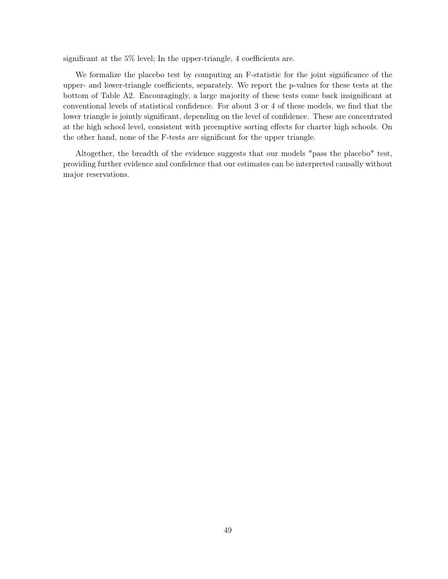significant at the 5% level; In the upper-triangle, 4 coefficients are.

We formalize the placebo test by computing an F-statistic for the joint significance of the upper- and lower-triangle coefficients, separately. We report the p-values for these tests at the bottom of Table A2. Encouragingly, a large majority of these tests come back insignificant at conventional levels of statistical confidence. For about 3 or 4 of these models, we find that the lower triangle is jointly significant, depending on the level of confidence. These are concentrated at the high school level, consistent with preemptive sorting effects for charter high schools. On the other hand, none of the F-tests are significant for the upper triangle.

Altogether, the breadth of the evidence suggests that our models "pass the placebo" test, providing further evidence and confidence that our estimates can be interpreted causally without major reservations.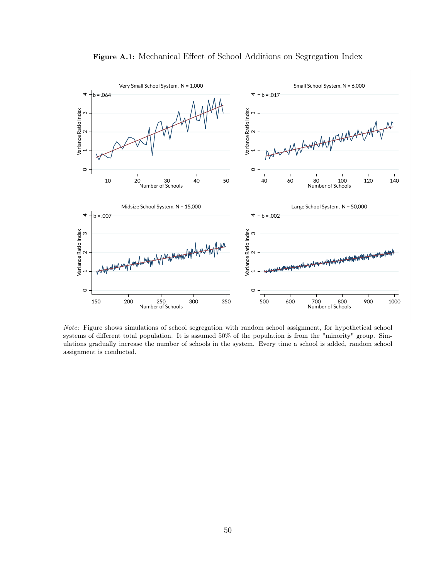

Figure A.1: Mechanical Effect of School Additions on Segregation Index

Note: Figure shows simulations of school segregation with random school assignment, for hypothetical school systems of different total population. It is assumed 50% of the population is from the "minority" group. Simulations gradually increase the number of schools in the system. Every time a school is added, random school assignment is conducted.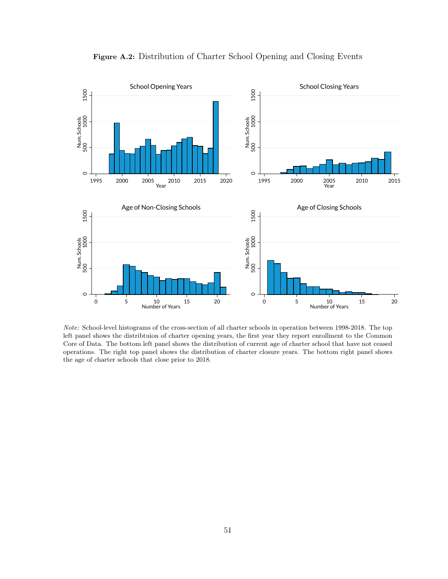

Figure A.2: Distribution of Charter School Opening and Closing Events

Note: School-level histograms of the cross-section of all charter schools in operation between 1998-2018. The top left panel shows the distribtuion of charter opening years, the first year they report enrollment to the Common Core of Data. The bottom left panel shows the distribution of current age of charter school that have not ceased operations. The right top panel shows the distribution of charter closure years. The bottom right panel shows the age of charter schools that close prior to 2018.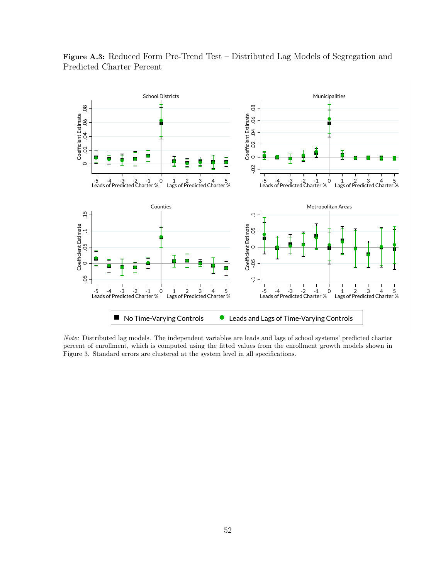

Figure A.3: Reduced Form Pre-Trend Test – Distributed Lag Models of Segregation and Predicted Charter Percent

Note: Distributed lag models. The independent variables are leads and lags of school systems' predicted charter percent of enrollment, which is computed using the fitted values from the enrollment growth models shown in Figure 3. Standard errors are clustered at the system level in all specifications.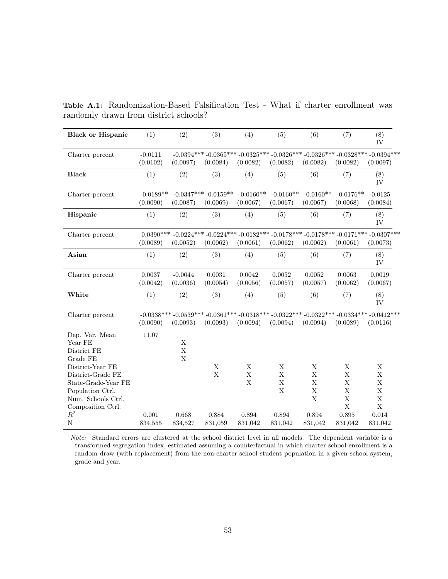| <b>Black or Hispanic</b>                                                                                                                                                            | (1)                     | (2)                             | (3)                                                                                                                 | (4)                             | (5)                        | (6)                                       | (7)                                                                | (8)<br>IV                                                                              |
|-------------------------------------------------------------------------------------------------------------------------------------------------------------------------------------|-------------------------|---------------------------------|---------------------------------------------------------------------------------------------------------------------|---------------------------------|----------------------------|-------------------------------------------|--------------------------------------------------------------------|----------------------------------------------------------------------------------------|
| Charter percent                                                                                                                                                                     | $-0.0111$<br>(0.0102)   | (0.0097)                        | $-0.0394***$ $-0.0365***$ $-0.0325***$ $-0.0326***$ $-0.0326***$ $-0.0328***$ $-0.0394***$<br>(0.0084)              | (0.0082)                        | (0.0082)                   | (0.0082)                                  | (0.0082)                                                           | (0.0097)                                                                               |
| <b>Black</b>                                                                                                                                                                        | (1)                     | (2)                             | (3)                                                                                                                 | (4)                             | (5)                        | (6)                                       | (7)                                                                | (8)<br>IV                                                                              |
| Charter percent                                                                                                                                                                     | $-0.0189**$<br>(0.0090) | (0.0087)                        | $-0.0347***-0.0159**$<br>(0.0069)                                                                                   | $-0.0160**$<br>(0.0067)         | $-0.0160**$<br>(0.0067)    | $-0.0160**$<br>(0.0067)                   | $-0.0176**$<br>(0.0068)                                            | $-0.0125$<br>(0.0084)                                                                  |
| Hispanic                                                                                                                                                                            | (1)                     | (2)                             | (3)                                                                                                                 | (4)                             | (5)                        | (6)                                       | (7)                                                                | (8)<br>IV                                                                              |
| Charter percent                                                                                                                                                                     | (0.0089)                | (0.0052)                        | $0.0390***$ $-0.0224***$ $-0.0224***$ $-0.0182***$ $-0.0178***$ $-0.0178***$ $-0.0171***$ $-0.0307***$<br>(0.0062)  | (0.0061)                        | (0.0062)                   | (0.0062)                                  | (0.0061)                                                           | (0.0073)                                                                               |
| Asian                                                                                                                                                                               | (1)                     | (2)                             | (3)                                                                                                                 | (4)                             | (5)                        | (6)                                       | (7)                                                                | (8)<br>IV                                                                              |
| Charter percent                                                                                                                                                                     | 0.0037<br>(0.0042)      | $-0.0044$<br>(0.0036)           | 0.0031<br>(0.0054)                                                                                                  | 0.0042<br>(0.0056)              | 0.0052<br>(0.0057)         | 0.0052<br>(0.0057)                        | 0.0063<br>(0.0062)                                                 | 0.0019<br>(0.0067)                                                                     |
| White                                                                                                                                                                               | (1)                     | (2)                             | (3)                                                                                                                 | (4)                             | (5)                        | (6)                                       | (7)                                                                | (8)<br>IV                                                                              |
| Charter percent                                                                                                                                                                     | (0.0090)                | (0.0093)                        | $-0.0338***$ $-0.0539***$ $-0.0361***$ $-0.0318***$ $-0.0322***$ $-0.0322***$ $-0.0334***$ $-0.0412***$<br>(0.0093) | (0.0094)                        | (0.0094)                   | (0.0094)                                  | (0.0089)                                                           | (0.0116)                                                                               |
| Dep. Var. Mean<br>Year FE<br>District FE<br>Grade FE<br>District-Year FE<br>District-Grade FE<br>State-Grade-Year FE<br>Population Ctrl.<br>Num. Schools Ctrl.<br>Composition Ctrl. | 11.07                   | X<br>$\mathbf X$<br>$\mathbf X$ | $\mathbf X$<br>$\mathbf X$                                                                                          | $\mathbf X$<br>X<br>$\mathbf X$ | X<br>X<br>$\mathbf X$<br>X | X<br>X<br>X<br>$\mathbf X$<br>$\mathbf X$ | X<br>X<br>$\mathbf X$<br>$\mathbf X$<br>$\mathbf X$<br>$\mathbf X$ | $\mathbf X$<br>$\mathbf X$<br>$\mathbf X$<br>$\mathbf X$<br>$\mathbf X$<br>$\mathbf X$ |
| $R^2$<br>$\mathbf N$                                                                                                                                                                | 0.001<br>834,555        | 0.668<br>834,527                | 0.884<br>831,059                                                                                                    | 0.894<br>831,042                | 0.894<br>831,042           | 0.894<br>831,042                          | 0.895<br>831,042                                                   | 0.014<br>831,042                                                                       |

Table A.1: Randomization-Based Falsification Test - What if charter enrollment was randomly drawn from district schools?

Note: Standard errors are clustered at the school district level in all models. The dependent variable is a transformed segregation index, estimated assuming a counterfactual in which charter school enrollment is a random draw (with replacement) from the non-charter school student population in a given school system, grade and year.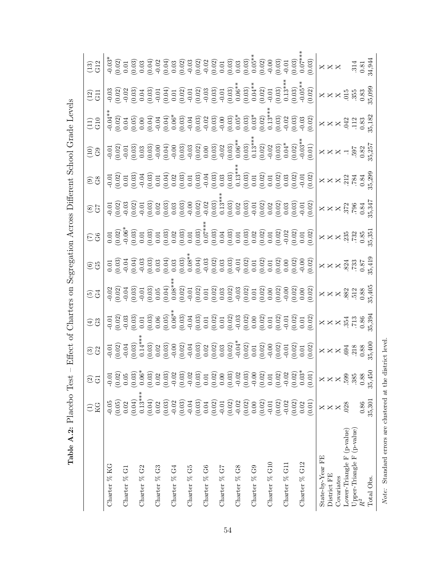|                            | КG<br>К<br>Ξ        | $\odot$ $\odot$                                                                                                                                                                                                                                                                                                                                                                                                                | $\bigoplus\limits_{i=1}^n\mathbb{Z}_i$                                                               | $\boxed{55}$ |                                                                                                                                                                                                                                                                                                                                                                                                                                                                                | $\boxed{\mathfrak{S}}$ |                                            |                                                 | $\left  \begin{smallmatrix} 10 \\ 30 \end{smallmatrix} \right $ | Эă.<br>Э                                                                                                                                                                                                                                                                                                                                                                                                 | $\begin{smallmatrix} 2 \ 1 \end{smallmatrix}$ | $\begin{array}{l l} \hline \Xi^1 & \Big  \frac{1}{2} \Big  \frac{1}{2} \Big  \frac{1}{2} \Big  \frac{1}{2} \Big  \frac{1}{2} \Big  \frac{1}{2} \Big  \frac{1}{2} \Big  \frac{1}{2} \Big  \frac{1}{2} \Big  \frac{1}{2} \Big  \frac{1}{2} \Big  \frac{1}{2} \Big  \frac{1}{2} \Big  \frac{1}{2} \Big  \frac{1}{2} \Big  \frac{1}{2} \Big  \frac{1}{2} \Big  \frac{1}{2} \Big  \frac{1}{2} \Big  \frac{1}{2} \Big $ |
|----------------------------|---------------------|--------------------------------------------------------------------------------------------------------------------------------------------------------------------------------------------------------------------------------------------------------------------------------------------------------------------------------------------------------------------------------------------------------------------------------|------------------------------------------------------------------------------------------------------|--------------|--------------------------------------------------------------------------------------------------------------------------------------------------------------------------------------------------------------------------------------------------------------------------------------------------------------------------------------------------------------------------------------------------------------------------------------------------------------------------------|------------------------|--------------------------------------------|-------------------------------------------------|-----------------------------------------------------------------|----------------------------------------------------------------------------------------------------------------------------------------------------------------------------------------------------------------------------------------------------------------------------------------------------------------------------------------------------------------------------------------------------------|-----------------------------------------------|-------------------------------------------------------------------------------------------------------------------------------------------------------------------------------------------------------------------------------------------------------------------------------------------------------------------------------------------------------------------------------------------------------------------|
| Charter % KG               | $-0.05$             | $\begin{array}{ l} \mid \vec{0} \mid \vec{0} \mid \vec{0} \mid \vec{0} \mid \vec{0} \mid \vec{0} \mid \vec{0} \mid \vec{0} \mid \vec{0} \mid \vec{0} \mid \vec{0} \mid \vec{0} \mid \vec{0} \mid \vec{0} \mid \vec{0} \mid \vec{0} \mid \vec{0} \mid \vec{0} \mid \vec{0} \mid \vec{0} \mid \vec{0} \mid \vec{0} \mid \vec{0} \mid \vec{0} \mid \vec{0} \mid \vec{0} \mid \vec{0} \mid \vec{0} \mid \vec{0} \mid \vec{0} \mid$ |                                                                                                      |              |                                                                                                                                                                                                                                                                                                                                                                                                                                                                                |                        |                                            |                                                 |                                                                 | $\begin{bmatrix} \frac{1}{2} & \frac{1}{2} & \frac{1}{2} & \frac{1}{2} & \frac{1}{2} & \frac{1}{2} & \frac{1}{2} & \frac{1}{2} & \frac{1}{2} & \frac{1}{2} & \frac{1}{2} & \frac{1}{2} & \frac{1}{2} & \frac{1}{2} & \frac{1}{2} & \frac{1}{2} & \frac{1}{2} & \frac{1}{2} & \frac{1}{2} & \frac{1}{2} & \frac{1}{2} & \frac{1}{2} & \frac{1}{2} & \frac{1}{2} & \frac{1}{2} & \frac{1}{2} & \frac{1}{2$ |                                               |                                                                                                                                                                                                                                                                                                                                                                                                                   |
| Charter % G1               | (0.05)<br>0.02      |                                                                                                                                                                                                                                                                                                                                                                                                                                |                                                                                                      |              |                                                                                                                                                                                                                                                                                                                                                                                                                                                                                |                        |                                            |                                                 |                                                                 |                                                                                                                                                                                                                                                                                                                                                                                                          |                                               |                                                                                                                                                                                                                                                                                                                                                                                                                   |
|                            | (0.04)              |                                                                                                                                                                                                                                                                                                                                                                                                                                |                                                                                                      |              |                                                                                                                                                                                                                                                                                                                                                                                                                                                                                |                        |                                            |                                                 |                                                                 |                                                                                                                                                                                                                                                                                                                                                                                                          |                                               |                                                                                                                                                                                                                                                                                                                                                                                                                   |
| Charter % G2               | $0.13***$           |                                                                                                                                                                                                                                                                                                                                                                                                                                |                                                                                                      |              |                                                                                                                                                                                                                                                                                                                                                                                                                                                                                |                        |                                            |                                                 |                                                                 |                                                                                                                                                                                                                                                                                                                                                                                                          |                                               |                                                                                                                                                                                                                                                                                                                                                                                                                   |
| Charter % G3               | (0.04)<br>0.02      |                                                                                                                                                                                                                                                                                                                                                                                                                                |                                                                                                      |              |                                                                                                                                                                                                                                                                                                                                                                                                                                                                                |                        |                                            |                                                 |                                                                 |                                                                                                                                                                                                                                                                                                                                                                                                          |                                               |                                                                                                                                                                                                                                                                                                                                                                                                                   |
| Charter % G4               | (0.03)<br>$-0.02$   |                                                                                                                                                                                                                                                                                                                                                                                                                                |                                                                                                      |              |                                                                                                                                                                                                                                                                                                                                                                                                                                                                                |                        |                                            |                                                 |                                                                 |                                                                                                                                                                                                                                                                                                                                                                                                          |                                               |                                                                                                                                                                                                                                                                                                                                                                                                                   |
|                            | (0.03)              |                                                                                                                                                                                                                                                                                                                                                                                                                                |                                                                                                      |              |                                                                                                                                                                                                                                                                                                                                                                                                                                                                                |                        |                                            |                                                 |                                                                 |                                                                                                                                                                                                                                                                                                                                                                                                          |                                               |                                                                                                                                                                                                                                                                                                                                                                                                                   |
| Charter % G5               | $-0.04$             |                                                                                                                                                                                                                                                                                                                                                                                                                                |                                                                                                      |              |                                                                                                                                                                                                                                                                                                                                                                                                                                                                                |                        |                                            |                                                 |                                                                 |                                                                                                                                                                                                                                                                                                                                                                                                          |                                               |                                                                                                                                                                                                                                                                                                                                                                                                                   |
| Charter % G6               | (0.03)<br>$0.04\,$  |                                                                                                                                                                                                                                                                                                                                                                                                                                |                                                                                                      |              |                                                                                                                                                                                                                                                                                                                                                                                                                                                                                |                        |                                            |                                                 |                                                                 |                                                                                                                                                                                                                                                                                                                                                                                                          |                                               |                                                                                                                                                                                                                                                                                                                                                                                                                   |
|                            | (0.02)              |                                                                                                                                                                                                                                                                                                                                                                                                                                |                                                                                                      |              |                                                                                                                                                                                                                                                                                                                                                                                                                                                                                |                        |                                            |                                                 |                                                                 |                                                                                                                                                                                                                                                                                                                                                                                                          |                                               |                                                                                                                                                                                                                                                                                                                                                                                                                   |
| Charter % G7               | $-0.01$<br>$(0.02)$ |                                                                                                                                                                                                                                                                                                                                                                                                                                |                                                                                                      |              |                                                                                                                                                                                                                                                                                                                                                                                                                                                                                |                        |                                            |                                                 |                                                                 |                                                                                                                                                                                                                                                                                                                                                                                                          |                                               |                                                                                                                                                                                                                                                                                                                                                                                                                   |
| Charter % G8               |                     |                                                                                                                                                                                                                                                                                                                                                                                                                                |                                                                                                      |              |                                                                                                                                                                                                                                                                                                                                                                                                                                                                                |                        |                                            |                                                 |                                                                 |                                                                                                                                                                                                                                                                                                                                                                                                          |                                               |                                                                                                                                                                                                                                                                                                                                                                                                                   |
|                            | $-0.02$<br>(0.02)   |                                                                                                                                                                                                                                                                                                                                                                                                                                |                                                                                                      |              |                                                                                                                                                                                                                                                                                                                                                                                                                                                                                |                        |                                            |                                                 |                                                                 |                                                                                                                                                                                                                                                                                                                                                                                                          |                                               |                                                                                                                                                                                                                                                                                                                                                                                                                   |
| Charter % G9               | (0.00)              |                                                                                                                                                                                                                                                                                                                                                                                                                                |                                                                                                      |              |                                                                                                                                                                                                                                                                                                                                                                                                                                                                                |                        |                                            |                                                 |                                                                 |                                                                                                                                                                                                                                                                                                                                                                                                          |                                               |                                                                                                                                                                                                                                                                                                                                                                                                                   |
| Charter % G10              | $-0.01$<br>$(0.02)$ |                                                                                                                                                                                                                                                                                                                                                                                                                                |                                                                                                      |              |                                                                                                                                                                                                                                                                                                                                                                                                                                                                                |                        |                                            |                                                 |                                                                 |                                                                                                                                                                                                                                                                                                                                                                                                          |                                               |                                                                                                                                                                                                                                                                                                                                                                                                                   |
| Charter % G11              |                     |                                                                                                                                                                                                                                                                                                                                                                                                                                |                                                                                                      |              |                                                                                                                                                                                                                                                                                                                                                                                                                                                                                |                        |                                            |                                                 |                                                                 |                                                                                                                                                                                                                                                                                                                                                                                                          |                                               |                                                                                                                                                                                                                                                                                                                                                                                                                   |
|                            | $-0.02$<br>$(0.02)$ |                                                                                                                                                                                                                                                                                                                                                                                                                                |                                                                                                      |              |                                                                                                                                                                                                                                                                                                                                                                                                                                                                                |                        |                                            |                                                 |                                                                 |                                                                                                                                                                                                                                                                                                                                                                                                          |                                               |                                                                                                                                                                                                                                                                                                                                                                                                                   |
| Charter % G12              | 0.02                |                                                                                                                                                                                                                                                                                                                                                                                                                                |                                                                                                      |              |                                                                                                                                                                                                                                                                                                                                                                                                                                                                                |                        |                                            |                                                 |                                                                 |                                                                                                                                                                                                                                                                                                                                                                                                          |                                               |                                                                                                                                                                                                                                                                                                                                                                                                                   |
|                            | (0.01)              |                                                                                                                                                                                                                                                                                                                                                                                                                                |                                                                                                      |              |                                                                                                                                                                                                                                                                                                                                                                                                                                                                                |                        |                                            |                                                 |                                                                 |                                                                                                                                                                                                                                                                                                                                                                                                          |                                               |                                                                                                                                                                                                                                                                                                                                                                                                                   |
| State-by-Year FE           | ×                   |                                                                                                                                                                                                                                                                                                                                                                                                                                |                                                                                                      |              |                                                                                                                                                                                                                                                                                                                                                                                                                                                                                |                        |                                            |                                                 |                                                                 |                                                                                                                                                                                                                                                                                                                                                                                                          |                                               |                                                                                                                                                                                                                                                                                                                                                                                                                   |
| District FE                |                     |                                                                                                                                                                                                                                                                                                                                                                                                                                |                                                                                                      |              |                                                                                                                                                                                                                                                                                                                                                                                                                                                                                |                        |                                            |                                                 |                                                                 |                                                                                                                                                                                                                                                                                                                                                                                                          |                                               |                                                                                                                                                                                                                                                                                                                                                                                                                   |
| Covariates                 |                     |                                                                                                                                                                                                                                                                                                                                                                                                                                |                                                                                                      |              |                                                                                                                                                                                                                                                                                                                                                                                                                                                                                |                        |                                            |                                                 |                                                                 |                                                                                                                                                                                                                                                                                                                                                                                                          |                                               |                                                                                                                                                                                                                                                                                                                                                                                                                   |
| Lower-Triangle F (p-value) | 028                 |                                                                                                                                                                                                                                                                                                                                                                                                                                |                                                                                                      |              |                                                                                                                                                                                                                                                                                                                                                                                                                                                                                |                        |                                            |                                                 |                                                                 |                                                                                                                                                                                                                                                                                                                                                                                                          |                                               |                                                                                                                                                                                                                                                                                                                                                                                                                   |
| Upper-Triangle F (p-value) |                     |                                                                                                                                                                                                                                                                                                                                                                                                                                |                                                                                                      |              |                                                                                                                                                                                                                                                                                                                                                                                                                                                                                |                        |                                            |                                                 |                                                                 |                                                                                                                                                                                                                                                                                                                                                                                                          |                                               |                                                                                                                                                                                                                                                                                                                                                                                                                   |
| Total Obs.                 | 35,301<br>0.86      | $X X X 33800$<br>$X 33800$<br>$X 33800$                                                                                                                                                                                                                                                                                                                                                                                        | $x \times x$ $\ddot{x}$ $\ddot{x}$ $\ddot{x}$ $\ddot{x}$ $\ddot{x}$ $\ddot{x}$ $\ddot{x}$ $\ddot{x}$ |              | $X \times X \overset{3}{\phantom{1}} \overset{3}{\phantom{1}} \overset{3}{\phantom{1}} \overset{5}{\phantom{1}} \overset{5}{\phantom{1}} \overset{5}{\phantom{1}} \overset{1}{\phantom{1}} \overset{1}{\phantom{1}} \overset{1}{\phantom{1}} \overset{1}{\phantom{1}} \overset{1}{\phantom{1}} \overset{1}{\phantom{1}} \overset{1}{\phantom{1}} \overset{1}{\phantom{1}} \overset{1}{\phantom{1}} \overset{1}{\phantom{1}} \overset{1}{\phantom{1}} \overset{1}{\phantom{1}}$ |                        | $X X X 3700347$<br>$77960347$<br>$7960347$ | $X \times X \frac{21}{31} \times 24 \times 399$ |                                                                 | $X \times X \frac{3}{2} \frac{1}{1} \frac{2}{3} \frac{3}{3} \frac{3}{5}$                                                                                                                                                                                                                                                                                                                                 |                                               | $314$<br>$0.81$<br>$4.944$                                                                                                                                                                                                                                                                                                                                                                                        |
|                            |                     |                                                                                                                                                                                                                                                                                                                                                                                                                                |                                                                                                      |              |                                                                                                                                                                                                                                                                                                                                                                                                                                                                                |                        |                                            |                                                 |                                                                 |                                                                                                                                                                                                                                                                                                                                                                                                          |                                               |                                                                                                                                                                                                                                                                                                                                                                                                                   |

Table A.2: Placebo Test – Effect of Charters on Segregation Across Different School Grade Levels

Table A.2: Placebo Test – Effect of Charters on Segregation Across Different School Grade Levels

Note: Standard errors are clustered at the district level.

 $Note:~\operatorname{Standard}$  errors are clustered at the district level.

54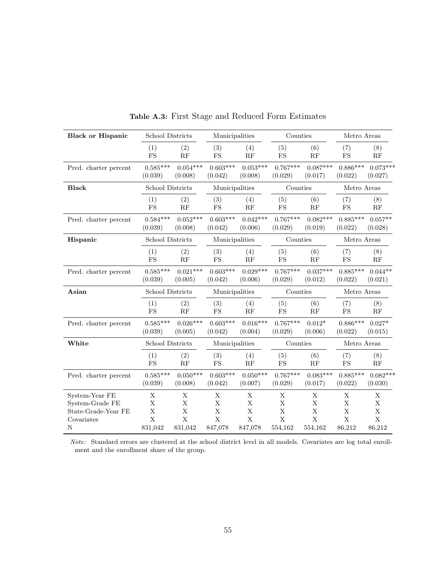| <b>Black or Hispanic</b> | School Districts          |             | Municipalities            |             | Counties                  |                           | Metro Areas               |               |
|--------------------------|---------------------------|-------------|---------------------------|-------------|---------------------------|---------------------------|---------------------------|---------------|
|                          | (1)                       | (2)         | (3)                       | (4)         | (5)                       | (6)                       | (7)                       | (8)           |
|                          | <b>FS</b>                 | RF          | FS                        | RF          | <b>FS</b>                 | RF                        | <b>FS</b>                 | RF            |
| Pred. charter percent    | $0.585***$                | $0.054***$  | $0.603***$                | $0.053***$  | $0.767***$                | $0.087***$                | $0.886***$                | $0.073***$    |
|                          | (0.039)                   | (0.008)     | (0.042)                   | (0.008)     | (0.029)                   | (0.017)                   | (0.022)                   | (0.027)       |
| <b>Black</b>             | School Districts          |             | Municipalities            |             | Counties                  |                           | Metro Areas               |               |
|                          | (1)                       | (2)         | (3)                       | (4)         | (5)                       | (6)                       | (7)                       | (8)           |
|                          | <b>FS</b>                 | RF          | <b>FS</b>                 | RF          | FS                        | RF                        | <b>FS</b>                 | RF            |
| Pred. charter percent    | $0.584***$                | $0.052***$  | $0.603***$                | $0.042***$  | $0.767***$                | $0.082***$                | $0.885***$                | $0.057**$     |
|                          | (0.039)                   | (0.008)     | (0.042)                   | (0.006)     | (0.029)                   | (0.019)                   | (0.022)                   | (0.028)       |
| Hispanic                 | <b>School Districts</b>   |             | Municipalities            |             | Counties                  |                           | Metro Areas               |               |
|                          | (1)                       | (2)         | (3)                       | (4)         | (5)                       | (6)                       | (7)                       | (8)           |
|                          | <b>FS</b>                 | RF          | <b>FS</b>                 | RF          | FS                        | RF                        | <b>FS</b>                 | RF            |
| Pred. charter percent    | $0.585***$                | $0.021***$  | $0.603***$                | $0.029***$  | $0.767***$                | $0.037***$                | $0.885***$                | $0.044**$     |
|                          | (0.039)                   | (0.005)     | (0.042)                   | (0.006)     | (0.029)                   | (0.012)                   | (0.022)                   | (0.021)       |
| Asian                    | School Districts          |             | Municipalities            |             | Counties                  |                           | Metro Areas               |               |
|                          | (1)                       | (2)         | (3)                       | (4)         | (5)                       | (6)                       | (7)                       | (8)           |
|                          | <b>FS</b>                 | RF          | $_{\rm FS}$               | RF          | <b>FS</b>                 | RF                        | <b>FS</b>                 | RF            |
| Pred. charter percent    | $0.585***$                | $0.026***$  | $0.603***$                | $0.016***$  | $0.767***$                | $0.012*$                  | $0.886***$                | $0.027*$      |
|                          | (0.039)                   | (0.005)     | (0.042)                   | (0.004)     | (0.029)                   | (0.006)                   | (0.022)                   | (0.015)       |
| White                    | <b>School Districts</b>   |             | Municipalities            |             | Counties                  |                           | Metro Areas               |               |
|                          | (1)                       | (2)         | (3)                       | (4)         | (5)                       | (6)                       | (7)                       | (8)           |
|                          | $_{\rm FS}$               | RF          | $_{\rm FS}$               | RF          | $_{\rm FS}$               | RF                        | $_{\rm FS}$               | $\mathbf{RF}$ |
| Pred. charter percent    | $0.585***$                | $0.050***$  | $0.603***$                | $0.050***$  | $0.767***$                | $0.083***$                | $0.885***$                | $0.082***$    |
|                          | (0.039)                   | (0.008)     | (0.042)                   | (0.007)     | (0.029)                   | (0.017)                   | (0.022)                   | (0.030)       |
| System-Year FE           | $\mathbf X$               | X           | $\mathbf X$               | $\mathbf X$ | X                         | $\mathbf X$               | $\mathbf X$               | $\mathbf X$   |
| System-Grade FE          | X                         | X           | X                         | X           | $\mathbf X$               | X                         | X                         | X             |
| State-Grade-Year FE      | $\mathbf X$               | $\mathbf X$ | $\mathbf X$               | $\mathbf X$ | $\mathbf X$               | $\mathbf X$               | X                         | $\mathbf X$   |
| Covariates               | $\boldsymbol{\mathrm{X}}$ | $\mathbf X$ | $\boldsymbol{\mathrm{X}}$ | X           | $\boldsymbol{\mathrm{X}}$ | $\boldsymbol{\mathrm{X}}$ | $\boldsymbol{\mathrm{X}}$ | X             |
| N                        | 831,042                   | 831,042     | 847,078                   | 847,078     | 554,162                   | 554,162                   | 86,212                    | 86,212        |

Table A.3: First Stage and Reduced Form Estimates

Note: Standard errors are clustered at the school district level in all models. Covariates are log total enrollment and the enrollment share of the group.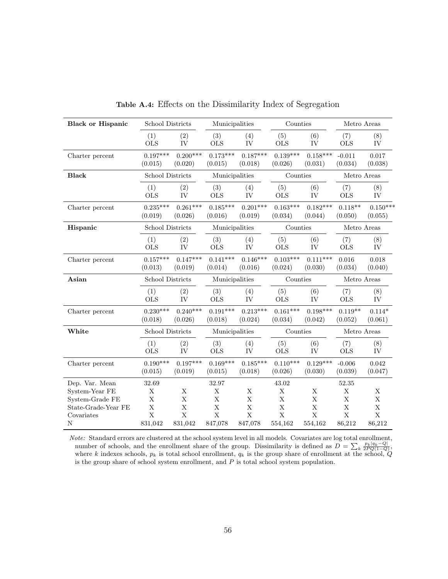| <b>Black or Hispanic</b> | School Districts        |                       | Municipalities        |                       | Counties              |                       | Metro Areas          |                       |
|--------------------------|-------------------------|-----------------------|-----------------------|-----------------------|-----------------------|-----------------------|----------------------|-----------------------|
|                          | (1)<br><b>OLS</b>       | (2)<br>IV             | (3)<br><b>OLS</b>     | (4)<br>IV             | (5)<br><b>OLS</b>     | (6)<br>IV             | (7)<br><b>OLS</b>    | (8)<br>IV             |
| Charter percent          | $0.197***$<br>(0.015)   | $0.200***$<br>(0.020) | $0.173***$<br>(0.015) | $0.187***$<br>(0.018) | $0.139***$<br>(0.026) | $0.158***$<br>(0.031) | $-0.011$<br>(0.034)  | 0.017<br>(0.038)      |
| <b>Black</b>             | <b>School Districts</b> |                       | Municipalities        |                       | Counties              |                       | Metro Areas          |                       |
|                          | (1)<br><b>OLS</b>       | (2)<br><b>IV</b>      | (3)<br><b>OLS</b>     | (4)<br>IV             | (5)<br>$\rm OLS$      | (6)<br><b>IV</b>      | (7)<br><b>OLS</b>    | (8)<br><b>IV</b>      |
| Charter percent          | $0.235***$<br>(0.019)   | $0.261***$<br>(0.026) | $0.185***$<br>(0.016) | $0.201***$<br>(0.019) | $0.163***$<br>(0.034) | $0.182***$<br>(0.044) | $0.118**$<br>(0.050) | $0.150***$<br>(0.055) |
| Hispanic                 | <b>School Districts</b> |                       | Municipalities        |                       | Counties              |                       | Metro Areas          |                       |
|                          | (1)<br><b>OLS</b>       | (2)<br>IV             | (3)<br>$_{\rm OLS}$   | (4)<br>IV             | (5)<br><b>OLS</b>     | (6)<br>IV             | (7)<br><b>OLS</b>    | (8)<br>IV             |
| Charter percent          | $0.157***$<br>(0.013)   | $0.147***$<br>(0.019) | $0.141***$<br>(0.014) | $0.146***$<br>(0.016) | $0.103***$<br>(0.024) | $0.111***$<br>(0.030) | 0.016<br>(0.034)     | 0.018<br>(0.040)      |
| Asian                    | <b>School Districts</b> |                       | Municipalities        |                       | Counties              |                       | Metro Areas          |                       |
|                          | (1)<br><b>OLS</b>       | (2)<br><b>IV</b>      | (3)<br><b>OLS</b>     | (4)<br>IV             | (5)<br><b>OLS</b>     | (6)<br>IV             | (7)<br>$_{\rm OLS}$  | (8)<br>IV             |
| Charter percent          | $0.230***$<br>(0.018)   | $0.240***$<br>(0.026) | $0.191***$<br>(0.018) | $0.213***$<br>(0.024) | $0.161***$<br>(0.034) | $0.198***$<br>(0.042) | $0.119**$<br>(0.052) | $0.114*$<br>(0.061)   |
| White                    | <b>School Districts</b> |                       | Municipalities        |                       | Counties              |                       | Metro Areas          |                       |
|                          | (1)<br><b>OLS</b>       | (2)<br><b>IV</b>      | (3)<br><b>OLS</b>     | (4)<br>IV             | (5)<br><b>OLS</b>     | (6)<br>IV             | (7)<br><b>OLS</b>    | (8)<br>IV             |
| Charter percent          | $0.190***$<br>(0.015)   | $0.197***$<br>(0.019) | $0.169***$<br>(0.015) | $0.185***$<br>(0.018) | $0.110***$<br>(0.026) | $0.129***$<br>(0.030) | $-0.006$<br>(0.039)  | 0.042<br>(0.047)      |
| Dep. Var. Mean           | 32.69                   |                       | 32.97                 |                       | 43.02                 |                       | 52.35                |                       |
| System-Year FE           | X                       | $\mathbf X$           | $\mathbf X$           | X                     | $\mathbf X$           | X                     | X                    | X                     |
| System-Grade FE          | $\mathbf X$             | $\mathbf X$           | $\mathbf X$           | $\bar{X}$             | $\mathbf X$           | X                     | $\bar{X}$            | X                     |
| State-Grade-Year FE      | $\mathbf X$             | $\mathbf X$           | $\mathbf X$           | $\mathbf X$           | $\mathbf X$           | $\mathbf X$           | $\mathbf X$          | $\bar{X}$             |
| Covariates               | $\bar{X}$               | $\bar{X}$             | $\bar{X}$             | $\bar{X}$             | $\bar{X}$             | $\bar{X}$             | $\bar{X}$            | $\bar{X}$             |
| $\rm N$                  | 831,042                 | 831,042               | 847,078               | 847,078               | 554,162               | 554,162               | 86,212               | 86,212                |

Table A.4: Effects on the Dissimilarity Index of Segregation

Note: Standard errors are clustered at the school system level in all models. Covariates are log total enrollment, number of schools, and the enrollment share of the group. Dissimilarity is defined as  $\overline{D} = \sum_k \frac{p_k|q_k-Q|}{2PQ(1-Q)}$ , where k indexes schools,  $p_k$  is total school enrollment,  $q_k$  is the group share of enrollment at the school,  $Q$ is the group share of school system enrollment, and  $P$  is total school system population.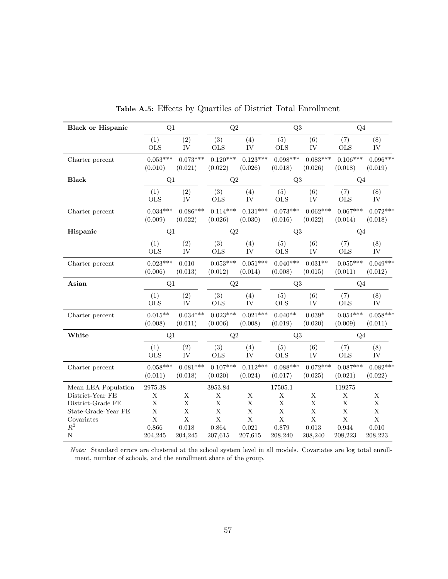| <b>Black or Hispanic</b>                | Q1               |             | $\mathrm{Q}2$ |             | Q3           |             | Q <sub>4</sub>        |             |
|-----------------------------------------|------------------|-------------|---------------|-------------|--------------|-------------|-----------------------|-------------|
|                                         | (1)              | (2)         | (3)           | (4)         | (5)          | (6)         | (7)                   | (8)         |
|                                         | <b>OLS</b>       | IV          | <b>OLS</b>    | IV          | <b>OLS</b>   | IV          | <b>OLS</b>            | IV          |
| Charter percent                         | $0.053***$       | $0.073***$  | $0.120***$    | $0.123***$  | $0.098***$   | $0.083***$  | $0.106***$            | $0.096***$  |
|                                         | (0.010)          | (0.021)     | (0.022)       | (0.026)     | (0.018)      | (0.026)     | (0.018)               | (0.019)     |
| <b>Black</b>                            | Q1               |             | Q2            |             | Q3           |             | Q <sub>4</sub>        |             |
|                                         | (1)              | (2)         | (3)           | (4)         | (5)          | (6)         | (7)                   | (8)         |
|                                         | <b>OLS</b>       | IV          | <b>OLS</b>    | IV          | <b>OLS</b>   | IV          | <b>OLS</b>            | IV          |
| Charter percent                         | $0.034***$       | $0.086***$  | $0.114***$    | $0.131***$  | $0.073***$   | $0.062***$  | $0.067***$            | $0.072***$  |
|                                         | (0.009)          | (0.022)     | (0.026)       | (0.030)     | (0.016)      | (0.022)     | (0.014)               | (0.018)     |
| Hispanic                                | Q1               |             | $\mathrm{Q}2$ |             | Q3           |             | Q <sub>4</sub>        |             |
|                                         | (1)              | (2)         | (3)           | (4)         | (5)          | (6)         | (7)                   | (8)         |
|                                         | <b>OLS</b>       | IV          | <b>OLS</b>    | IV          | <b>OLS</b>   | IV          | <b>OLS</b>            | IV          |
| Charter percent                         | $0.023***$       | 0.010       | $0.053***$    | $0.051***$  | $0.040***$   | $0.031**$   | $0.055***$            | $0.049***$  |
|                                         | (0.006)          | (0.013)     | (0.012)       | (0.014)     | (0.008)      | (0.015)     | (0.011)               | (0.012)     |
| Asian                                   | Q1               |             | $\mathrm{Q}2$ |             | Q3           |             | Q <sub>4</sub>        |             |
|                                         | (1)              | (2)         | (3)           | (4)         | (5)          | (6)         | (7)                   | (8)         |
|                                         | <b>OLS</b>       | IV          | <b>OLS</b>    | IV          | <b>OLS</b>   | IV          | <b>OLS</b>            | IV          |
| Charter percent                         | $0.015**$        | $0.034***$  | $0.023***$    | $0.021***$  | $0.040**$    | $0.039*$    | $0.054***$            | $0.058***$  |
|                                         | (0.008)          | (0.011)     | (0.006)       | (0.008)     | (0.019)      | (0.020)     | (0.009)               | (0.011)     |
| White                                   | Q1               |             | Q2            |             | Q3           |             | Q <sub>4</sub>        |             |
|                                         | (1)              | (2)         | (3)           | (4)         | (5)          | (6)         | (7)                   | (8)         |
|                                         | <b>OLS</b>       | IV          | <b>OLS</b>    | IV          | $\rm OLS$    | IV          | <b>OLS</b>            | ${\rm IV}$  |
| Charter percent                         | $0.058***$       | $0.081***$  | $0.107***$    | $0.112***$  | $0.088***$   | $0.072***$  | $0.087***$            | $0.082***$  |
|                                         | (0.011)          | (0.018)     | (0.020)       | (0.024)     | (0.017)      | (0.025)     | (0.021)               | (0.022)     |
| Mean LEA Population<br>District-Year FE | $2975.38\,$<br>Х | X           | 3953.84<br>X  | Х           | 17505.1<br>X | $\mathbf X$ | 119275<br>$\mathbf X$ | $\mathbf X$ |
| District-Grade FE                       | $\mathbf X$      | $\mathbf X$ | $\mathbf X$   | X           | $\mathbf X$  | $\mathbf X$ | $\mathbf X$           | $\mathbf X$ |
| State-Grade-Year FE                     | $\mathbf X$      | $\bar{X}$   | $\mathbf X$   | $\mathbf X$ | $\mathbf X$  | $\mathbf X$ | $\mathbf X$           | $\mathbf X$ |
| Covariates                              | $\bar{X}$        | $\mathbf X$ | $\bar{X}$     | $\bar{X}$   | $\mathbf X$  | $\bar{X}$   | $\bar{X}$             | $\mathbf X$ |
| $\mathbb{R}^2$                          | 0.866            | 0.018       | 0.864         | 0.021       | 0.879        | 0.013       | 0.944                 | 0.010       |
| $\rm N$                                 | 204,245          | 204,245     | 207,615       | 207,615     | 208,240      | 208,240     | 208,223               | 208,223     |

Table A.5: Effects by Quartiles of District Total Enrollment

Note: Standard errors are clustered at the school system level in all models. Covariates are log total enrollment, number of schools, and the enrollment share of the group.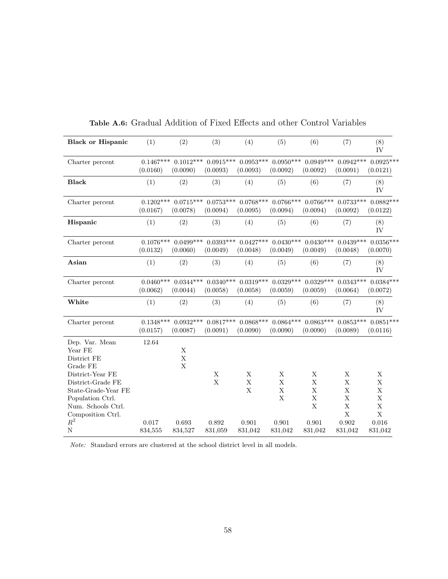| <b>Black or Hispanic</b>                                                                                                                                                                     | (1)                     | (2)                                                | (3)                                 | (4)                                                | (5)                                                               | (6)                                                                    | (7)                                                                         | (8)<br>IV                                                         |
|----------------------------------------------------------------------------------------------------------------------------------------------------------------------------------------------|-------------------------|----------------------------------------------------|-------------------------------------|----------------------------------------------------|-------------------------------------------------------------------|------------------------------------------------------------------------|-----------------------------------------------------------------------------|-------------------------------------------------------------------|
| Charter percent                                                                                                                                                                              | $0.1467***$<br>(0.0160) | $0.1012***$<br>(0.0090)                            | $0.0915***$<br>(0.0093)             | $0.0953***$<br>(0.0093)                            | $0.0950***$<br>(0.0092)                                           | $0.0949***$<br>(0.0092)                                                | $0.0942***$<br>(0.0091)                                                     | $0.0925***$<br>(0.0121)                                           |
| <b>Black</b>                                                                                                                                                                                 | (1)                     | (2)                                                | (3)                                 | (4)                                                | (5)                                                               | (6)                                                                    | (7)                                                                         | (8)<br>IV                                                         |
| Charter percent                                                                                                                                                                              | $0.1202***$<br>(0.0167) | $0.0715***$<br>(0.0078)                            | $0.0753***$<br>(0.0094)             | $0.0768***$<br>(0.0095)                            | $0.0766***$<br>(0.0094)                                           | $0.0766***$<br>(0.0094)                                                | $0.0733***$<br>(0.0092)                                                     | $0.0882***$<br>(0.0122)                                           |
| Hispanic                                                                                                                                                                                     | (1)                     | (2)                                                | (3)                                 | (4)                                                | (5)                                                               | (6)                                                                    | (7)                                                                         | (8)<br>IV                                                         |
| Charter percent                                                                                                                                                                              | $0.1076***$<br>(0.0132) | $0.0499***$<br>(0.0060)                            | $0.0393***$<br>(0.0049)             | $0.0427***$<br>(0.0048)                            | $0.0430***$<br>(0.0049)                                           | $0.0430***$<br>(0.0049)                                                | $0.0439***$<br>(0.0048)                                                     | $0.0356***$<br>(0.0070)                                           |
| Asian                                                                                                                                                                                        | (1)                     | (2)                                                | (3)                                 | (4)                                                | (5)                                                               | (6)                                                                    | (7)                                                                         | (8)<br>IV                                                         |
| Charter percent                                                                                                                                                                              | $0.0460***$<br>(0.0062) | $0.0344***$<br>(0.0044)                            | $0.0340***$<br>(0.0058)             | $0.0319***$<br>(0.0058)                            | $0.0329***$<br>(0.0059)                                           | $0.0329***$<br>(0.0059)                                                | $0.0343***$<br>(0.0064)                                                     | $0.0384***$<br>(0.0072)                                           |
| White                                                                                                                                                                                        | (1)                     | (2)                                                | (3)                                 | (4)                                                | (5)                                                               | (6)                                                                    | (7)                                                                         | (8)<br>IV                                                         |
| Charter percent                                                                                                                                                                              | $0.1348***$<br>(0.0157) | $0.0932***$<br>(0.0087)                            | $0.0817***$<br>(0.0091)             | (0.0090)                                           | $0.0868****0.0864****$<br>(0.0090)                                | $0.0863***$<br>(0.0090)                                                | $0.0853***$<br>(0.0089)                                                     | $0.0851***$<br>(0.0116)                                           |
| Dep. Var. Mean<br>Year FE<br>District FE<br>Grade FE<br>District-Year FE<br>District-Grade FE<br>State-Grade-Year FE<br>Population Ctrl.<br>Num. Schools Ctrl.<br>Composition Ctrl.<br>$R^2$ | 12.64<br>0.017          | $\mathbf X$<br>$\mathbf X$<br>$\mathbf X$<br>0.693 | $\mathbf X$<br>$\mathbf X$<br>0.892 | $\mathbf X$<br>$\mathbf X$<br>$\mathbf X$<br>0.901 | $\mathbf X$<br>$\mathbf X$<br>$\mathbf X$<br>$\mathbf X$<br>0.901 | X<br>$\mathbf X$<br>$\mathbf X$<br>$\mathbf X$<br>$\mathbf X$<br>0.901 | X<br>X<br>$\mathbf X$<br>$\mathbf X$<br>$\mathbf X$<br>$\mathbf X$<br>0.902 | X<br>X<br>$\mathbf X$<br>X<br>$\mathbf X$<br>$\mathbf X$<br>0.016 |
| $\mathbf N$                                                                                                                                                                                  | 834,555                 | 834,527                                            | 831,059                             | 831,042                                            | 831,042                                                           | 831,042                                                                | 831,042                                                                     | 831,042                                                           |

Table A.6: Gradual Addition of Fixed Effects and other Control Variables

 $\emph{Note:}$  Standard errors are clustered at the school district level in all models.